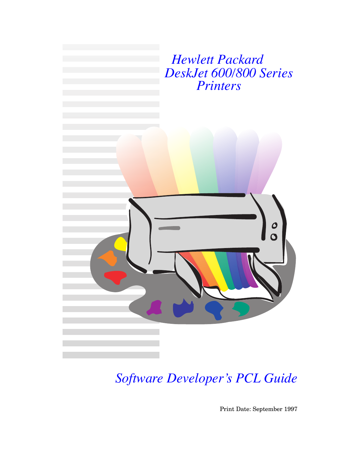

*Software Developer's PCL Guide*

Print Date: September 1997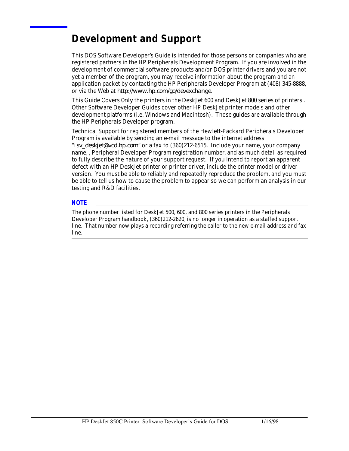## **Development and Support**

This DOS Software Developer's Guide is intended for those persons or companies who are registered partners in the HP Peripherals Development Program. If you are involved in the development of commercial software products and/or DOS printer drivers and you are not yet a member of the program, you may receive information about the program and an application packet by contacting the HP Peripherals Developer Program at (408) 345-8888, or via the Web at *http://www.hp.com/go/devexchange*.

This Guide Covers *0nly* the printers in the DeskJet 600 and DeskJet 800 series of printers . Other Software Developer Guides cover other HP DeskJet printer models and other development platforms (i.e. Windows and Macintosh). Those guides are available through the HP Peripherals Developer program.

Technical Support for registered members of the Hewlett-Packard Peripherals Developer Program is available by sending an e-mail message to the internet address "*isv\_deskjet@vcd.hp.com*" or a fax to (360)212-6515. Include your name, your company name, , Peripheral Developer Program registration number, and as much detail as required to fully describe the nature of your support request. If you intend to report an apparent defect with an HP DeskJet printer or printer driver, include the printer model or driver version. You must be able to reliably and repeatedly reproduce the problem, and you must be able to tell us how to cause the problem to appear so we can perform an analysis in our testing and R&D facilities.

#### *NOTE*

The phone number listed for DeskJet 500, 600, and 800 series printers in the Peripherals Developer Program handbook, (360)212-2620, is no longer in operation as a staffed support line. That number now plays a recording referring the caller to the new e-mail address and fax line.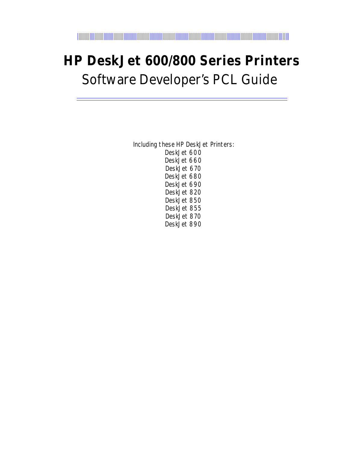# **HP DeskJet 600/800 Series Printers** Software Developer's PCL Guide

Including these HP DeskJet Printers: DeskJet 600 DeskJet 660 DeskJet 670 DeskJet 680 DeskJet 690 DeskJet 820 DeskJet 850 DeskJet 855 DeskJet 870 DeskJet 890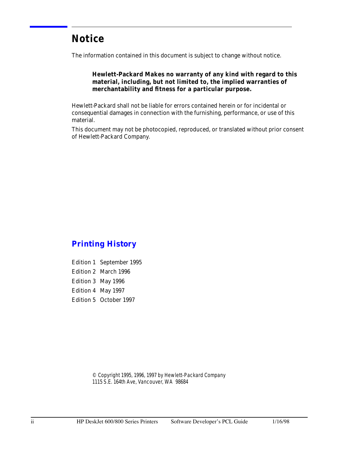## **Notice**

The information contained in this document is subject to change without notice.

### **Hewlett-Packard Makes no warranty of any kind with regard to this material, including, but not limited to, the implied warranties of merchantability and fitness for a particular purpose.**

Hewlett-Packard shall not be liable for errors contained herein or for incidental or consequential damages in connection with the furnishing, performance, or use of this material.

This document may not be photocopied, reproduced, or translated without prior consent of Hewlett-Packard Company.

### *Printing History*

Edition 1 September 1995 Edition 2 March 1996 Edition 3 May 1996 Edition 4 May 1997 Edition 5 October 1997

> © Copyright 1995, 1996, 1997 by Hewlett-Packard Company 1115 S.E. 164th Ave, Vancouver, WA 98684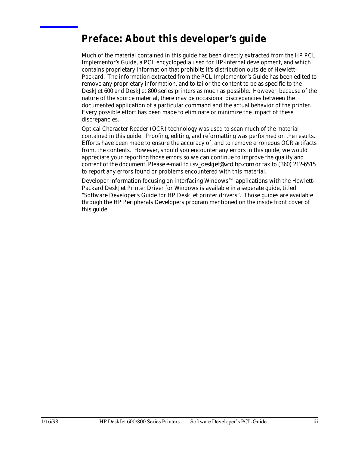## **Preface: About this developer's guide**

Much of the material contained in this guide has been directly extracted from the HP PCL Implementor's Guide, a PCL encyclopedia used for HP-internal development, and which contains proprietary information that prohibits it's distribution outside of Hewlett-Packard. The information extracted from the PCL Implementor's Guide has been edited to remove any proprietary information, and to tailor the content to be as specific to the DeskJet 600 and DeskJet 800 series printers as much as possible. However, because of the nature of the source material, there may be occasional discrepancies between the documented application of a particular command and the actual behavior of the printer. Every possible effort has been made to eliminate or minimize the impact of these discrepancies.

Optical Character Reader (OCR) technology was used to scan much of the material contained in this guide. Proofing, editing, and reformatting was performed on the results. Efforts have been made to ensure the accuracy of, and to remove erroneous OCR artifacts from, the contents. However, should you encounter any errors in this guide, we would appreciate your reporting those errors so we can continue to improve the quality and content of the document. Please e-mail to *isv\_deskjet@vcd.hp.com* or fax to (360) 212-6515 to report any errors found or problems encountered with this material.

Developer information focusing on interfacing Windows™ applications with the Hewlett-Packard DeskJet Printer Driver for Windows is available in a seperate guide, titled "Software Developer's Guide for HP DeskJet printer drivers". Those guides are available through the HP Peripherals Developers program mentioned on the inside front cover of this guide.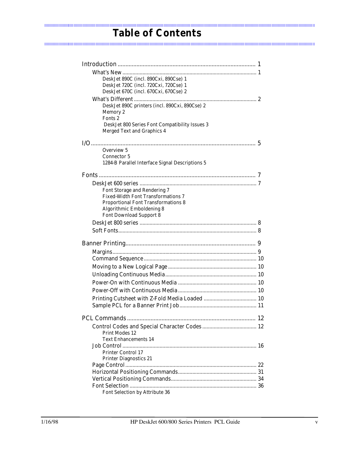| DeskJet 890C (incl. 890Cxi, 890Cse) 1           |  |
|-------------------------------------------------|--|
| DeskJet 720C (incl. 720Cxi, 720Cse) 1           |  |
| DeskJet 670C (incl. 670Cxi, 670Cse) 2           |  |
|                                                 |  |
| DeskJet 890C printers (incl. 890Cxi, 890Cse) 2  |  |
| Memory 2                                        |  |
| Fonts <sub>2</sub>                              |  |
| DeskJet 800 Series Font Compatibility Issues 3  |  |
| <b>Merged Text and Graphics 4</b>               |  |
|                                                 |  |
| Overview 5                                      |  |
| <b>Connector 5</b>                              |  |
| 1284-B Parallel Interface Signal Descriptions 5 |  |
|                                                 |  |
|                                                 |  |
|                                                 |  |
| Font Storage and Rendering 7                    |  |
| <b>Fixed-Width Font Transformations 7</b>       |  |
| <b>Proportional Font Transformations 8</b>      |  |
| <b>Algorithmic Emboldening 8</b>                |  |
| <b>Font Download Support 8</b>                  |  |
|                                                 |  |
|                                                 |  |
|                                                 |  |
|                                                 |  |
|                                                 |  |
|                                                 |  |
|                                                 |  |
|                                                 |  |
|                                                 |  |
|                                                 |  |
|                                                 |  |
|                                                 |  |
|                                                 |  |
|                                                 |  |
| <b>Print Modes 12</b>                           |  |
| <b>Text Enhancements 14</b>                     |  |
|                                                 |  |
| <b>Printer Control 17</b>                       |  |
| <b>Printer Diagnostics 21</b>                   |  |
|                                                 |  |
|                                                 |  |
|                                                 |  |
|                                                 |  |
| Font Selection by Attribute 36                  |  |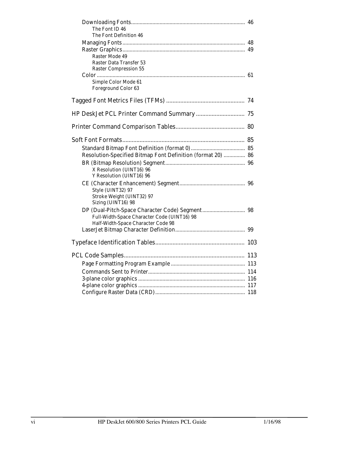| The Font ID 46<br>The Font Definition 46                                                |  |
|-----------------------------------------------------------------------------------------|--|
| <b>Raster Mode 49</b><br><b>Raster Data Transfer 53</b><br><b>Raster Compression 55</b> |  |
| Simple Color Mode 61<br>Foreground Color 63                                             |  |
|                                                                                         |  |
|                                                                                         |  |
|                                                                                         |  |
|                                                                                         |  |
|                                                                                         |  |
| Resolution-Specified Bitmap Font Definition (format 20)  86                             |  |
| X Resolution (UINT16) 96<br>Y Resolution (UINT16) 96                                    |  |
| Style (UINT32) 97<br>Stroke Weight (UINT32) 97<br>Sizing (UINT16) 98                    |  |
| Full-Width-Space Character Code (UINT16) 98<br>Half-Width-Space Character Code 98       |  |
|                                                                                         |  |
|                                                                                         |  |
|                                                                                         |  |
|                                                                                         |  |
|                                                                                         |  |
|                                                                                         |  |
|                                                                                         |  |
|                                                                                         |  |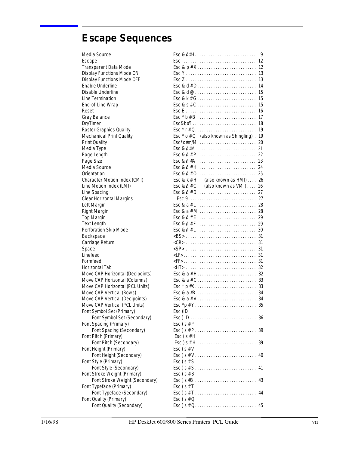## **Escape Sequences**

| Media Source                     | $\mathsf{Esc}\&\ell\#H$<br>9                                                                          |
|----------------------------------|-------------------------------------------------------------------------------------------------------|
| Escape                           |                                                                                                       |
| Transparent Data Mode            |                                                                                                       |
| Display Functions Mode ON        | 13                                                                                                    |
| Display Functions Mode OFF       |                                                                                                       |
| Enable Underline                 |                                                                                                       |
| Disable Underline                |                                                                                                       |
| Line Termination                 | $Esc & k#G \dots 15$                                                                                  |
| End-of-Line Wrap                 |                                                                                                       |
| Reset                            | 16                                                                                                    |
| Gray Balance                     | -17                                                                                                   |
| <b>DryTimer</b>                  |                                                                                                       |
| Raster Graphics Quality          | $\mathsf{Esc} * \mathsf{r} \# \mathsf{Q} \dots \dots \dots \dots \dots \dots \dots \dots \dots$<br>19 |
| <b>Mechanical Print Quality</b>  | Esc $*$ o $#Q$ (also known as Shingling). 19                                                          |
| <b>Print Quality</b>             | $Esc*o#m/M.$<br>20                                                                                    |
| Media Type                       | $\mathsf{Esc} \& \ell \# \mathsf{M} \dots \dots \dots \dots \dots \dots \dots \dots \dots$<br>21      |
| Page Length                      |                                                                                                       |
| Page Size                        |                                                                                                       |
| Media Source                     |                                                                                                       |
| Orientation                      |                                                                                                       |
| Character Motion Index (CMI)     | Esc & k # H (also known as HMI) 26                                                                    |
| Line Motion Index (LMI)          | Esc & $\ell$ # C (also known as VMI)<br>26                                                            |
| Line Spacing                     |                                                                                                       |
| <b>Clear Horizontal Margins</b>  | Esc 927                                                                                               |
| Left Margin                      |                                                                                                       |
| <b>Right Margin</b>              |                                                                                                       |
| <b>Top Margin</b>                |                                                                                                       |
| <b>Text Length</b>               |                                                                                                       |
| Perforation Skip Mode            |                                                                                                       |
| Backspace                        |                                                                                                       |
| Carriage Return                  |                                                                                                       |
| Space                            |                                                                                                       |
| Linefeed                         |                                                                                                       |
| Formfeed                         |                                                                                                       |
| Horizontal Tab                   |                                                                                                       |
| Move CAP Horizontal (Decipoints) |                                                                                                       |
| Move CAP Horizontal (Columns)    |                                                                                                       |
| Move CAP Horizontal (PCL Units)  |                                                                                                       |
| Move CAP Vertical (Rows)         |                                                                                                       |
| Move CAP Vertical (Decipoints)   |                                                                                                       |
| Move CAP Vertical (PCL Units)    |                                                                                                       |
| Font Symbol Set (Primary)        | Esc (ID                                                                                               |
| Font Symbol Set (Secondary)      | 36                                                                                                    |
| Font Spacing (Primary)           | Esc $(s \# P)$                                                                                        |
| Font Spacing (Secondary)         | 39                                                                                                    |
| Font Pitch (Primary)             | Esc $(s \# H)$                                                                                        |
| Font Pitch (Secondary)           |                                                                                                       |
| Font Height (Primary)            | Esc $(s \# V)$                                                                                        |
| Font Height (Secondary)          | 40                                                                                                    |
| Font Style (Primary)             | Esc $(s \# S)$                                                                                        |
| Font Style (Secondary)           | 41                                                                                                    |
| Font Stroke Weight (Primary)     | Esc $(s#B)$                                                                                           |
| Font Stroke Weight (Secondary)   |                                                                                                       |
| Font Typeface (Primary)          | Esc $(s#T)$                                                                                           |
| Font Typeface (Secondary)        |                                                                                                       |
| Font Quality (Primary)           | Esc $(s \# Q)$                                                                                        |
| Font Quality (Secondary)         |                                                                                                       |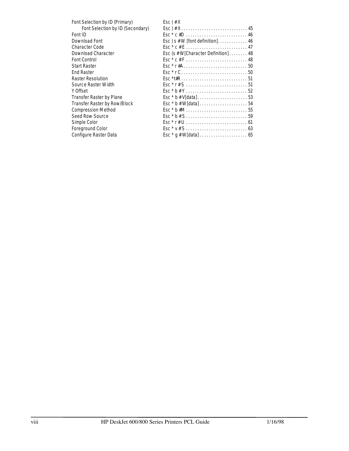| Esc $f \# X$                                                                                                   |
|----------------------------------------------------------------------------------------------------------------|
|                                                                                                                |
| $\mathsf{Esc} * \mathsf{c} \# \mathsf{D} \ldots \ldots \ldots \ldots \ldots \ldots \ldots \ldots \ldots \ 46$  |
| $\text{Esc}$ ) s # W [font definition] 46                                                                      |
| $\mathsf{Esc}^* \mathsf{c} \# \mathsf{E} \ldots \ldots \ldots \ldots \ldots \ldots \ldots \ldots 47$           |
| Esc (s # W[Character Definition] 48                                                                            |
|                                                                                                                |
|                                                                                                                |
| $\mathsf{Esc} \cdot \mathsf{r} \mathsf{C} \ldots \ldots \ldots \ldots \ldots \ldots \ldots \ldots \mathsf{50}$ |
|                                                                                                                |
| $Esc * r # S       51$                                                                                         |
|                                                                                                                |
|                                                                                                                |
|                                                                                                                |
|                                                                                                                |
|                                                                                                                |
|                                                                                                                |
| $Esc * v # S $                                                                                                 |
|                                                                                                                |
|                                                                                                                |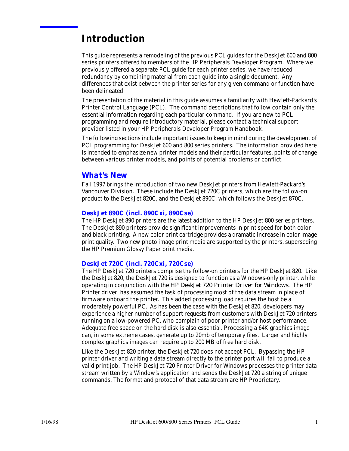## **Introduction**

This guide represents a remodeling of the previous PCL guides for the DeskJet 600 and 800 series printers offered to members of the HP Peripherals Developer Program. Where we previously offered a separate PCL guide for each printer series, we have reduced redundancy by combining material from each guide into a single document. Any differences that exist between the printer series for any given command or function have been delineated.

The presentation of the material in this guide assumes a familiarity with Hewlett-Packard's Printer Control Language (PCL). The command descriptions that follow contain only the essential information regarding each particular command. If you are new to PCL programming and require introductory material, please contact a technical support provider listed in your HP Peripherals Developer Program Handbook.

The following sections include important issues to keep in mind during the development of PCL programming for DeskJet 600 and 800 series printers. The information provided here is intended to emphasize new printer models and their particular features, points of change between various printer models, and points of potential problems or conflict.

### *What's New*

Fall 1997 brings the introduction of two new DeskJet printers from Hewlett-Packard's Vancouver Division. These include the DeskJet 720C printers, which are the follow-on product to the DeskJet 820C, and the DeskJet 890C, which follows the DeskJet 870C.

### *DeskJet 890C (incl. 890Cxi, 890Cse)*

The HP DeskJet 890 printers are the latest addition to the HP DeskJet 800 series printers. The DeskJet 890 printers provide significant improvements in print speed for both color and black printing. A new color print cartridge provides a dramatic increase in color image print quality. Two new photo image print media are supported by the printers, superseding the HP Premium Glossy Paper print media.

### *DeskJet 720C (incl. 720Cxi, 720Cse)*

The HP DeskJet 720 printers comprise the follow-on printers for the HP DeskJet 820. Like the DeskJet 820, the DeskJet 720 is designed to function as a Windows-only printer, while operating in conjunction with the *HP DeskJet 720 Printer Driver for Windows*. The HP Printer driver has assumed the task of processing most of the data stream in place of firmware onboard the printer. This added processing load requires the host be a moderately powerful PC. As has been the case with the DeskJet 820, developers may experience a higher number of support requests from customers with DeskJet 720 printers running on a low-powered PC, who complain of poor printer and/or host performance. Adequate free space on the hard disk is also essential. Processing a 64K graphics image can, in some extreme cases, generate up to 20mb of temporary files. Larger and highly complex graphics images can require up to 200 MB of free hard disk.

Like the DeskJet 820 printer, the DeskJet 720 does not accept PCL. Bypassing the HP printer driver and writing a data stream directly to the printer port will fail to produce a valid print job. The HP DeskJet 720 Printer Driver for Windows processes the printer data stream written by a Window's application and sends the DeskJet 720 a string of unique commands. The format and protocol of that data stream are HP Proprietary.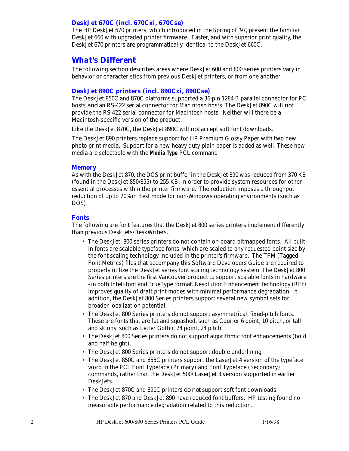### *DeskJet 670C (incl. 670Cxi, 670Cse)*

The HP DeskJet 670 printers, which introduced in the Spring of '97, present the familiar DeskJet 660 with upgraded printer firmware. Faster, and with superior print quality, the DeskJet 670 printers are programmatically identical to the DeskJet 660C.

### *What's Different*

The following section describes areas where DeskJet 600 and 800 series printers vary in behavior or characteristics from previous DeskJet printers, or from one another.

### *DeskJet 890C printers (incl. 890Cxi, 890Cse)*

The DeskJet 850C and 870C platforms supported a 36-pin 1284-B parallel connector for PC hosts *and* an RS-422 serial connector for Macintosh hosts. The DeskJet 890C will *not* provide the RS-422 serial connector for Macintosh hosts. Neither will there be a Macintosh-specific version of the product.

Like the DeskJet 870C, the DeskJet 890C will *not* accept soft font downloads.

The DeskJet 890 printers replace support for HP Premium Glossy Paper with two new photo print media. Support for a new heavy duty plain paper is added as well. These new media are selectable with the **Media Type** PCL command

### *Memory*

As with the DeskJet 870, the DOS print buffer in the DeskJet 890 was reduced from 370 KB (found in the DeskJet 850/855) to 255 KB, in order to provide system resources for other essential processes within the printer firmware. The reduction imposes a throughput reduction of up to 20% in Best mode for non-Windows operating environments (such as DOS).

### *Fonts*

The following are font features that the DeskJet 800 series printers implement differently than previous DeskJets/DeskWriters.

- The DeskJet 800 series printers do not contain on-board bitmapped fonts. All builtin fonts are scalable typeface fonts, which are scaled to any requested point size by the font scaling technology included in the printer's firmware. The TFM (Tagged Font Metrics) files that accompany this Software Developers Guide are required to properly utilize the DeskJet series font scaling technology system. The DeskJet 800 Series printers are the first Vancouver product to support scalable fonts in hardware - in both Intellifont and TrueType format. Resolution Enhancement technology (REt) improves quality of draft print modes with minimal performance degradation. In addition, the DeskJet 800 Series printers support several new symbol sets for broader localization potential.
- The DeskJet 800 Series printers do not support asymmetrical, fixed-pitch fonts. These are fonts that are fat and squashed, such as Courier 6 point, 10 pitch, or tall and skinny, such as Letter Gothic 24 point, 24 pitch.
- The DeskJet 800 Series printers do not support algorithmic font enhancements (bold and half-height).
- The DeskJet 800 Series printers do not support double underlining.
- The DeskJet 850C and 855C printers support the LaserJet 4 version of the typeface word in the PCL Font Typeface (Primary) and Font Typeface (Secondary) commands, rather than the DeskJet 500/ LaserJet 3 version supported in earlier DeskJets.
- The DeskJet 870C and 890C printers *do not* support soft font downloads
- The DeskJet 870 and DeskJet 890 have reduced font buffers. HP testing found no measurable performance degradation related to this reduction.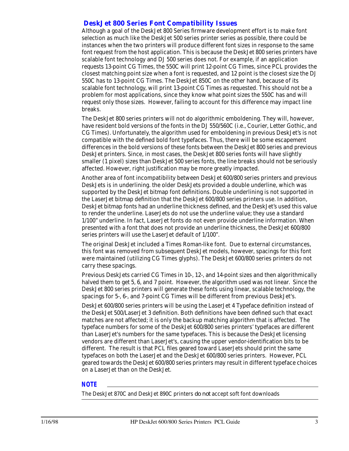### *DeskJet 800 Series Font Compatibility Issues*

Although a goal of the DeskJet 800 Series firmware development effort is to make font selection as much like the DeskJet 500 series printer series as possible, there could be instances when the two printers will produce different font sizes in response to the same font request from the host application. This is because the DeskJet 800 series printers have scalable font technology and DJ 500 series does not. For example, if an application requests 13-point CG Times, the 550C will print 12-point CG Times, since PCL provides the closest matching point size when a font is requested, and 12 point is the closest size the DJ 550C has to 13-point CG Times. The DeskJet 850C on the other hand, because of its scalable font technology, will print 13-point CG Times as requested. This should not be a problem for most applications, since they know what point sizes the 550C has and will request only those sizes. However, failing to account for this difference may impact line breaks.

The DeskJet 800 series printers will not do algorithmic emboldening. They will, however, have resident bold versions of the fonts in the DJ 550/560C (i.e., Courier, Letter Gothic, and CG Times). Unfortunately, the algorithm used for emboldening in previous DeskJet's is not compatible with the defined bold font typefaces. Thus, there will be some escapement differences in the bold versions of these fonts between the DeskJet 800 series and previous DeskJet printers. Since, in most cases, the DeskJet 800 series fonts will have slightly smaller (1 pixel) sizes than DeskJet 500 series fonts, the line breaks should not be seriously affected. However, right justification may be more greatly impacted.

Another area of font incompatibility between DeskJet 600/800 series printers and previous DeskJets is in underlining. the older DeskJets provided a double underline, which was supported by the DeskJet bitmap font definitions. Double underlining is not supported in the LaserJet bitmap definition that the DeskJet 600/800 series printers use. In addition, DeskJet bitmap fonts had an underline thickness defined, and the DeskJet's used this value to render the underline. LaserJets do not use the underline value; they use a standard 1/100" underline. In fact, LaserJet fonts do not even provide underline information. When presented with a font that does not provide an underline thickness, the DeskJet 600/800 series printers will use the LaserJet default of 1/100".

The original DeskJet included a Times Roman-like font. Due to external circumstances, this font was removed from subsequent DeskJet models, however, spacings for this font were maintained (utilizing CG Times glyphs). The DeskJet 600/800 series printers do not carry these spacings.

Previous DeskJets carried CG Times in 10-, 12-, and 14-point sizes and then algorithmically halved them to get 5, 6, and 7 point. However, the algorithm used was not linear. Since the DeskJet 800 series printers will generate these fonts using linear, scalable technology, the spacings for 5-, 6-, and 7-point CG Times will be different from previous DeskJet's.

DeskJet 600/800 series printers will be using the LaserJet 4 Typeface definition instead of the DeskJet 500/LaserJet 3 definition. Both definitions have been defined such that exact matches are not affected; it is only the backup matching algorithm that is affected. The typeface numbers for some of the DeskJet 600/800 series printers' typefaces are different than LaserJet's numbers for the same typefaces. This is because the DeskJet licensing vendors are different than LaserJet's, causing the upper vendor-identification bits to be different. The result is that PCL files geared toward LaserJets should print the same typefaces on both the LaserJet and the DeskJet 600/800 series printers. However, PCL geared towards the DeskJet 600/800 series printers may result in different typeface choices on a LaserJet than on the DeskJet.

### *NOTE*

The DeskJet 870C and DeskJet 890C printers *do not* accept soft font downloads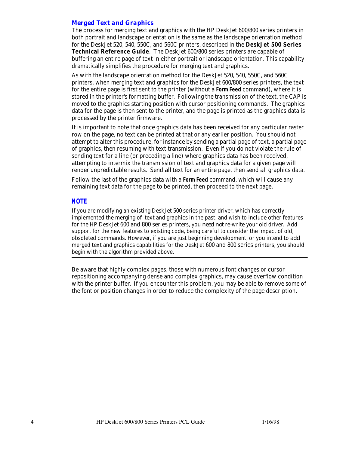### *Merged Text and Graphics*

The process for merging text and graphics with the HP DeskJet 600/800 series printers in both portrait and landscape orientation is the same as the landscape orientation method for the DeskJet 520, 540, 550C, and 560C printers, described in the **DeskJet 500 Series Technical Reference Guide**. The DeskJet 600/800 series printers are capable of buffering an entire page of text in either portrait or landscape orientation. This capability dramatically simplifies the procedure for merging text and graphics.

As with the landscape orientation method for the DeskJet 520, 540, 550C, and 560C printers, when merging text and graphics for the DeskJet 600/800 series printers, the text for the entire page is first sent to the printer (without a **Form Feed** command), where it is stored in the printer's formatting buffer. Following the transmission of the text, the CAP is moved to the graphics starting position with cursor positioning commands. The graphics data for the page is then sent to the printer, and the page is printed as the graphics data is processed by the printer firmware.

It is important to note that once graphics data has been received for any particular raster row on the page, no text can be printed at that or any earlier position. You should not attempt to alter this procedure, for instance by sending a partial page of text, a partial page of graphics, then resuming with text transmission. Even if you do not violate the rule of sending text for a line (or preceding a line) where graphics data has been received, attempting to intermix the transmission of text and graphics data for a given page will render unpredictable results. Send *all* text for an entire page, then send *all* graphics data.

Follow the last of the graphics data with a **Form Feed** command, which will cause any remaining text data for the page to be printed, then proceed to the next page.

#### *NOTE*

If you are modifying an existing DeskJet 500 series printer driver, which has correctly implemented the merging of text and graphics in the past, and wish to include other features for the HP DeskJet 600 and 800 series printers, you *need not* re-write your old driver. Add support for the new features to existing code, being careful to consider the impact of old, obsoleted commands. However, if you are just beginning development, or you intend to *add* merged text and graphics capabilities for the DeskJet 600 and 800 series printers, you should begin with the algorithm provided above.

Be aware that highly complex pages, those with numerous font changes or cursor repositioning accompanying dense and complex graphics, may cause overflow condition with the printer buffer. If you encounter this problem, you may be able to remove some of the font or position changes in order to reduce the complexity of the page description.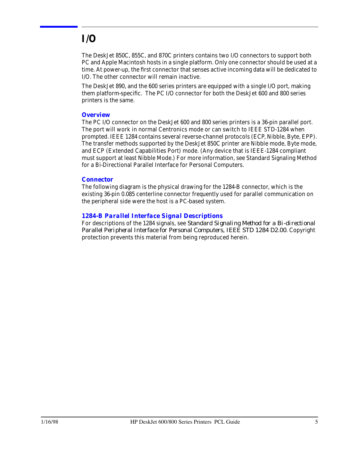## **I/O**

The DeskJet 850C, 855C, and 870C printers contains two I/O connectors to support both PC and Apple Macintosh hosts in a single platform. Only one connector should be used at a time. At power-up, the first connector that senses active incoming data will be dedicated to I/O. The other connector will remain inactive.

The DeskJet 890, and the 600 series printers are equipped with a single I/O port, making them platform-specific. The PC I/O connector for both the DeskJet 600 and 800 series printers is the same.

### *Overview*

The PC I/O connector on the DeskJet 600 and 800 series printers is a 36-pin parallel port. The port will work in normal Centronics mode or can switch to IEEE STD-1284 when prompted. IEEE 1284 contains several reverse-channel protocols (ECP, Nibble, Byte, EPP). The transfer methods supported by the DeskJet 850C printer are Nibble mode, Byte mode, and ECP (Extended Capabilities Port) mode. (Any device that is IEEE-1284 compliant must support at least Nibble Mode.) For more information, see Standard Signaling Method for a Bi-Directional Parallel Interface for Personal Computers.

### *Connector*

The following diagram is the physical drawing for the 1284-B connector, which is the existing 36-pin 0.085 centerline connector frequently used for parallel communication on the peripheral side were the host is a PC-based system.

### *1284-B Parallel Interface Signal Descriptions*

For descriptions of the 1284 signals, see *Standard Signaling Method for a Bi-directional Parallel Peripheral Interface for Personal Computers, IEEE STD 1284 D2.00*. Copyright protection prevents this material from being reproduced herein.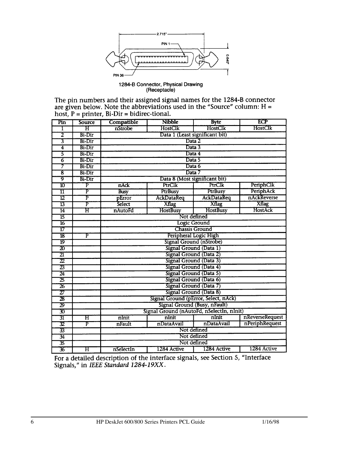

1284-B Connector, Physical Drawing<br>(Receptacle)

The pin numbers and their assigned signal names for the 1284-B connector<br>are given below. Note the abbreviations used in the "Source" column:  $H =$ <br>host,  $P =$  printer, Bi-Dir = bidirec-tional.

| Pin                                   | <b>Source</b>           | Compatible                                | <b>Nibble</b>                        | <b>Byte</b>                  | ECP             |  |  |  |  |  |  |  |  |  |  |
|---------------------------------------|-------------------------|-------------------------------------------|--------------------------------------|------------------------------|-----------------|--|--|--|--|--|--|--|--|--|--|
| 1                                     | $\overline{\mathrm{H}}$ | nStrobe                                   | HostClk                              | HostClk                      | HostClk         |  |  |  |  |  |  |  |  |  |  |
| 2                                     | Bi-Dir                  |                                           |                                      |                              |                 |  |  |  |  |  |  |  |  |  |  |
| $\overline{3}$                        | Bi-Dir                  | Data 1 (Least significant bit)<br>Data 2  |                                      |                              |                 |  |  |  |  |  |  |  |  |  |  |
| 4                                     | Bi-Dir                  | Data 3                                    |                                      |                              |                 |  |  |  |  |  |  |  |  |  |  |
| 5                                     | <b>Bi-Dir</b>           | Data 4                                    |                                      |                              |                 |  |  |  |  |  |  |  |  |  |  |
| 76                                    | <b>Bi-Dir</b>           | Data 5                                    |                                      |                              |                 |  |  |  |  |  |  |  |  |  |  |
| 7                                     | <b>Bi-Dir</b>           | Data 6                                    |                                      |                              |                 |  |  |  |  |  |  |  |  |  |  |
| ह                                     | <b>Bi-Dir</b>           |                                           | Data 7                               |                              |                 |  |  |  |  |  |  |  |  |  |  |
| 9                                     | Bi-Dir                  |                                           | Data 8 (Most significant bit)        |                              |                 |  |  |  |  |  |  |  |  |  |  |
| 10                                    | $\overline{\text{P}}$   | nAck                                      | PtrClk                               | PtrClk                       | PeriphClk       |  |  |  |  |  |  |  |  |  |  |
| $\overline{\mathbf{11}}$              | F                       | <b>Busy</b>                               | PtrBusy                              | PtrBusy                      | PeriphAck       |  |  |  |  |  |  |  |  |  |  |
| $\overline{12}$                       | P                       | pError                                    | <b>AckDataReq</b>                    | AckDataReq                   | nAckReverse     |  |  |  |  |  |  |  |  |  |  |
| $\overline{13}$                       | $\overline{\text{P}}$   | Select                                    | <b>Xflag</b>                         | <b>Xflag</b>                 | <b>Xflag</b>    |  |  |  |  |  |  |  |  |  |  |
| $\overline{14}$                       | Ħ                       | nAutoFd                                   | <b>HostBusy</b>                      | <b>HostBusy</b>              | HostAck         |  |  |  |  |  |  |  |  |  |  |
| 15                                    |                         | Not defined                               |                                      |                              |                 |  |  |  |  |  |  |  |  |  |  |
| $\overline{16}$                       |                         | Logic Ground                              |                                      |                              |                 |  |  |  |  |  |  |  |  |  |  |
| 17                                    |                         |                                           |                                      | <b>Chassis Ground</b>        |                 |  |  |  |  |  |  |  |  |  |  |
| $\overline{18}$                       | P                       |                                           | Peripheral Logic High                |                              |                 |  |  |  |  |  |  |  |  |  |  |
| 19                                    |                         |                                           |                                      | Signal Ground (nStrobe)      |                 |  |  |  |  |  |  |  |  |  |  |
| $\overline{\bm{x}}$                   |                         |                                           | Signal Ground (Data 1)               |                              |                 |  |  |  |  |  |  |  |  |  |  |
| $\overline{21}$                       |                         |                                           | Signal Ground (Data 2)               |                              |                 |  |  |  |  |  |  |  |  |  |  |
| $\overline{\mathcal{D}}$              |                         |                                           | Signal Ground (Data 3)               |                              |                 |  |  |  |  |  |  |  |  |  |  |
| $\overline{\boldsymbol{\mathcal{Z}}}$ |                         |                                           | Signal Ground (Data 4)               |                              |                 |  |  |  |  |  |  |  |  |  |  |
| $\overline{24}$                       |                         |                                           | Signal Ground (Data 5)               |                              |                 |  |  |  |  |  |  |  |  |  |  |
| 25                                    |                         |                                           | Signal Ground (Data 6)               |                              |                 |  |  |  |  |  |  |  |  |  |  |
| $\overline{\mathbf{26}}$              |                         |                                           | Signal Ground (Data 7)               |                              |                 |  |  |  |  |  |  |  |  |  |  |
| 27                                    |                         |                                           | Signal Ground (Data 8)               |                              |                 |  |  |  |  |  |  |  |  |  |  |
| $\overline{\textbf{z}}$               |                         |                                           | Signal Ground (pError, Select, nAck) |                              |                 |  |  |  |  |  |  |  |  |  |  |
| $\overline{\mathcal{D}}$              |                         |                                           |                                      | Signal Ground (Busy, nFault) |                 |  |  |  |  |  |  |  |  |  |  |
| 30                                    |                         | Signal Ground (nAutoFd, nSelectIn, nInit) |                                      |                              |                 |  |  |  |  |  |  |  |  |  |  |
| 31                                    | $\overline{\mathrm{H}}$ | nlnit                                     | nInit                                | nInit                        | nReverseRequest |  |  |  |  |  |  |  |  |  |  |
| 32                                    | $\overline{\mathbf{p}}$ | nFault                                    | nDataAvail                           | nDataAvail                   | nPeriphRequest  |  |  |  |  |  |  |  |  |  |  |
| 33                                    |                         | Not defined                               |                                      |                              |                 |  |  |  |  |  |  |  |  |  |  |
| 34                                    |                         |                                           |                                      | Not defined                  |                 |  |  |  |  |  |  |  |  |  |  |
| 35                                    |                         |                                           |                                      | Not defined                  |                 |  |  |  |  |  |  |  |  |  |  |
| 36                                    | $\overline{\mathrm{H}}$ | nSelectIn                                 | 1284 Active                          | 1284 Active                  | 1284 Active     |  |  |  |  |  |  |  |  |  |  |

For a detailed description of the interface signals, see Section 5, "Interface Signals," in IEEE Standard 1284-19XX.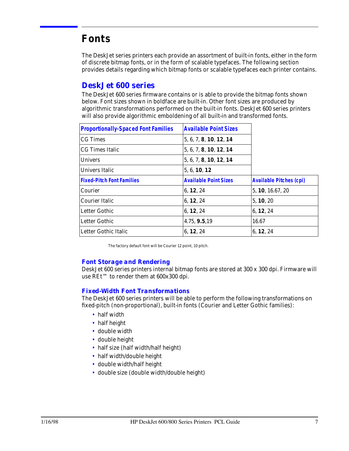## **Fonts**

The DeskJet series printers each provide an assortment of built-in fonts, either in the form of discrete bitmap fonts, or in the form of scalable typefaces. The following section provides details regarding which bitmap fonts or scalable typefaces each printer contains.

### *DeskJet 600 series*

The DeskJet 600 series firmware contains or is able to provide the bitmap fonts shown below. Font sizes shown in boldface are built-in. Other font sizes are produced by algorithmic transformations performed on the built-in fonts. DeskJet 600 series printers will also provide algorithmic emboldening of all built-in and transformed fonts.

| <b>Proportionally-Spaced Font Families</b> | <b>Available Point Sizes</b> |                                |
|--------------------------------------------|------------------------------|--------------------------------|
| <b>CG</b> Times                            | 5, 6, 7, 8, 10, 12, 14       |                                |
| <b>CG Times Italic</b>                     | 5, 6, 7, 8, 10, 12, 14       |                                |
| <b>Univers</b>                             | 5, 6, 7, 8, 10, 12, 14       |                                |
| Univers Italic                             | 5, 6, 10, 12                 |                                |
| <b>Fixed-Pitch Font Families</b>           | <b>Available Point Sizes</b> | <b>Available Pitches (cpi)</b> |
| Courier                                    | 6, 12, 24                    | 5, 10, 16.67, 20               |
| Courier Italic                             | 6, 12, 24                    | 5, 10, 20                      |
| Letter Gothic                              | 6, 12, 24                    | 6, 12, 24                      |
| Letter Gothic                              | 4.75, 9.5, 19                | 16.67                          |
| Letter Gothic Italic                       | 6, 12, 24                    | 6, 12, 24                      |

The factory default font will be Courier 12 point, 10 pitch.

### *Font Storage and Rendering*

DeskJet 600 series printers internal bitmap fonts are stored at 300 x 300 dpi. Firmware will use REt™ to render them at 600x300 dpi.

### *Fixed-Width Font Transformations*

The DeskJet 600 series printers will be able to perform the following transformations on fixed-pitch (non-proportional), built-in fonts (Courier and Letter Gothic families):

- half width
- half height
- double width
- double height
- half size (half width/half height)
- half width/double height
- double width/half height
- double size (double width/double height)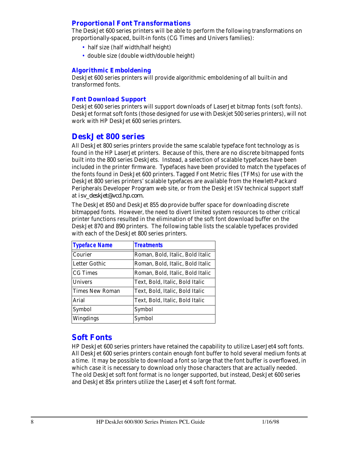### *Proportional Font Transformations*

The DeskJet 600 series printers will be able to perform the following transformations on proportionally-spaced, built-in fonts (CG Times and Univers families):

- half size (half width/half height)
- double size (double width/double height)

### *Algorithmic Emboldening*

DeskJet 600 series printers will provide algorithmic emboldening of all built-in and transformed fonts.

#### *Font Download Support*

DeskJet 600 series printers will support downloads of LaserJet bitmap fonts (soft fonts). DeskJet format soft fonts (those designed for use with Deskjet 500 series printers), will not work with HP DeskJet 600 series printers.

### *DeskJet 800 series*

All DeskJet 800 series printers provide the same scalable typeface font technology as is found in the HP LaserJet printers. Because of this, there are no discrete bitmapped fonts built into the 800 series DeskJets. Instead, a selection of scalable typefaces have been included in the printer firmware. Typefaces have been provided to match the typefaces of the fonts found in DeskJet 600 printers. Tagged Font Metric files (TFMs) for use with the DeskJet 800 series printers' scalable typefaces are available from the Hewlett-Packard Peripherals Developer Program web site, or from the DeskJet ISV technical support staff at *isv\_deskjet@vcd.hp.com.*

The DeskJet 850 and DeskJet 855 *do* provide buffer space for downloading discrete bitmapped fonts. However, the need to divert limited system resources to other critical printer functions resulted in the elimination of the soft font download buffer on the DeskJet 870 and 890 printers. The following table lists the scalable typefaces provided with each of the DeskJet 800 series printers.

| <b>Typeface Name</b>   | <b>Treatments</b>                |
|------------------------|----------------------------------|
| Courier                | Roman, Bold, Italic, Bold Italic |
| Letter Gothic          | Roman, Bold, Italic, Bold Italic |
| <b>CG</b> Times        | Roman, Bold, Italic, Bold Italic |
| <b>Univers</b>         | Text, Bold, Italic, Bold Italic  |
| <b>Times New Roman</b> | Text, Bold, Italic, Bold Italic  |
| Arial                  | Text, Bold, Italic, Bold Italic  |
| Symbol                 | Symbol                           |
| Wingdings              | Symbol                           |

### *Soft Fonts*

HP DeskJet 600 series printers have retained the capability to utilize LaserJet4 soft fonts. All DeskJet 600 series printers contain enough font buffer to hold several medium fonts at a time. It may be possible to download a font so large that the font buffer is overflowed, in which case it is necessary to download only those characters that are actually needed. The old DeskJet soft font format is no longer supported, but instead, DeskJet 600 series and DeskJet 85x printers utilize the LaserJet 4 soft font format.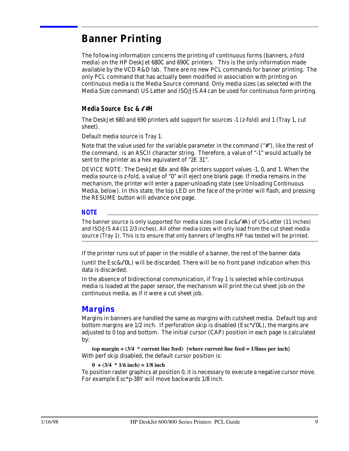## **Banner Printing**

The following information concerns the printing of continuous forms (banners, z-fold media) on the HP DeskJet 680C and 690C printers. This is the only information made available by the VCD R&D lab. There are no new PCL commands for banner printing. The only PCL command that has actually been modified in association with printing on continuous media is the Media Source command. Only media sizes (as selected with the Media Size command) US Letter and ISO/JIS A4 can be used for continuous form printing.

### *Media Source Esc &* l *#H*

The DeskJet 680 and 690 printers add support for sources -1 (z-fold) and 1 (Tray 1, cut sheet).

Default media source is Tray 1.

Note that the value used for the variable parameter in the command ("#"), like the rest of the command, is an ASCII character string. Therefore, a value of "-1" would actually be sent to the printer as a hex equivalent of "2E 31".

DEVICE NOTE: The DeskJet 68x and 69x printers support values -1, 0, and 1. When the media source is z-fold, a value of "0" will eject one blank page. If media remains in the mechanism, the printer will enter a paper-unloading state (see Unloading Continuous Media, below). In this state, the top LED on the face of the printer will flash, and pressing the RESUME button will advance one page.

#### *NOTE*

The banner source is only supported for media sizes (see Esc  $\&\ell^*$  #A) of US-Letter (11 inches) and ISO/JIS A4 (11 2/3 inches). All other media sizes will only load from the cut sheet media source (Tray 1). This is to ensure that only banners of lengths HP has tested will be printed.

If the printer runs out of paper in the middle of a banner, the rest of the banner data

(until the  $\text{Esc}\&\ell$ OL) will be discarded. There will be no front panel indication when this data is discarded.

In the absence of bidirectional communication, if Tray 1 is selected while continuous media is loaded at the paper sensor, the mechanism will print the cut sheet job on the continuous media, as if it were a cut sheet job.

### *Margins*

Margins in banners are handled the same as margins with cutsheet media. Default top and bottom margins are  $1/2$  inch. If perforation skip is disabled (Esc\* $\ell$ 0L), the margins are adjusted to 0 top and bottom. The initial cursor (CAP) position in each page is calculated by:

**top margin + (3/4 \* current line feed) {where current line feed = 1/lines per inch}** With perf skip disabled, the default cursor position is:

**0 + (3/4 \* 1/6 inch) = 1/8 inch**

To position raster graphics at position 0, it is necessary to execute a negative cursor move. For example Esc\*p-38Y will move backwards 1/8 inch.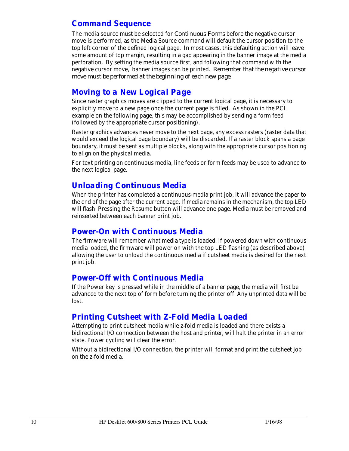### *Command Sequence*

The media source must be selected for *Continuous Forms* before the negative cursor move is performed, as the Media Source command will default the cursor position to the top left corner of the defined logical page. In most cases, this defaulting action will leave some amount of top margin, resulting in a gap appearing in the banner image at the media perforation. By setting the media source first, and following that command with the negative cursor move, banner images can be printed. *Remember that the negative cursor move must be performed at the beginning of each new page*.

### *Moving to a New Logical Page*

Since raster graphics moves are clipped to the current logical page, it is necessary to explicitly move to a new page once the current page is filled. As shown in the PCL example on the following page, this may be accomplished by sending a form feed (followed by the appropriate cursor positioning).

Raster graphics advances never move to the next page, any excess rasters (raster data that would exceed the logical page boundary) will be discarded. If a raster block spans a page boundary, it must be sent as multiple blocks, along with the appropriate cursor positioning to align on the physical media.

For text printing on continuous media, line feeds or form feeds may be used to advance to the next logical page.

### *Unloading Continuous Media*

When the printer has completed a continuous-media print job, it will advance the paper to the end of the page after the current page. If media remains in the mechanism, the top LED will flash. Pressing the Resume button will advance one page. Media must be removed and reinserted between each banner print job.

### *Power-On with Continuous Media*

The firmware will remember what media type is loaded. If powered down with continuous media loaded, the firmware will power on with the top LED flashing (as described above) allowing the user to unload the continuous media if cutsheet media is desired for the next print job.

### *Power-Off with Continuous Media*

If the Power key is pressed while in the middle of a banner page, the media will first be advanced to the next top of form before turning the printer off. Any unprinted data will be lost.

### *Printing Cutsheet with Z-Fold Media Loaded*

Attempting to print cutsheet media while z-fold media is loaded and there exists a bidirectional I/O connection between the host and printer, will halt the printer in an error state. Power cycling will clear the error.

Without a bidirectional I/O connection, the printer will format and print the cutsheet job on the z-fold media.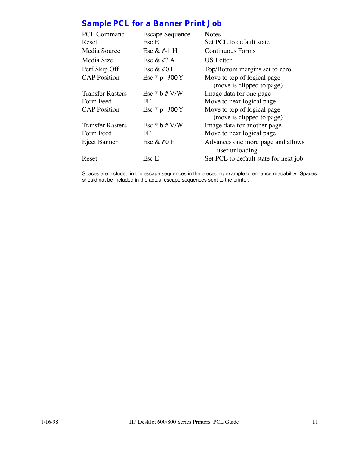## *Sample PCL for a Banner Print Job*

| <b>PCL Command</b>      | <b>Escape Sequence</b> | <b>Notes</b>                                             |
|-------------------------|------------------------|----------------------------------------------------------|
| Reset                   | Esc E                  | Set PCL to default state                                 |
| Media Source            | Esc & $\ell$ -1 H      | Continuous Forms                                         |
| Media Size              | Esc & $\ell$ 2 A       | US Letter                                                |
| Perf Skip Off           | Esc & $\ell$ 0 L       | Top/Bottom margins set to zero                           |
| <b>CAP</b> Position     | Esc $*$ p -300 Y       | Move to top of logical page<br>(move is clipped to page) |
| <b>Transfer Rasters</b> | Esc $*$ b # V/W        | Image data for one page                                  |
| Form Feed               | FF                     | Move to next logical page                                |
| <b>CAP</b> Position     | Esc $*$ p -300 Y       | Move to top of logical page<br>(move is clipped to page) |
| <b>Transfer Rasters</b> | Esc $*$ b # V/W        | Image data for another page                              |
| Form Feed               | FF                     | Move to next logical page                                |
| Eject Banner            | Esc & $\ell$ 0 H       | Advances one more page and allows<br>user unloading      |
| Reset                   | Esc E                  | Set PCL to default state for next job                    |
|                         |                        |                                                          |

Spaces are included in the escape sequences in the preceding example to enhance readability. Spaces should not be included in the actual escape sequences sent to the printer.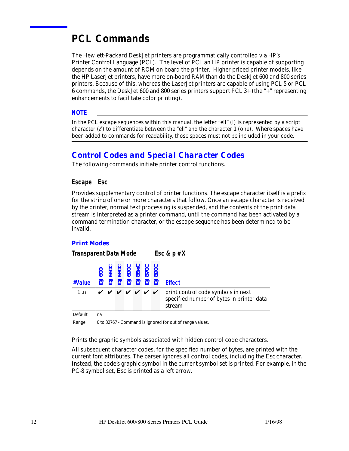## **PCL Commands**

The Hewlett-Packard DeskJet printers are programmatically controlled via HP's Printer Control Language (PCL). The level of PCL an HP printer is capable of supporting depends on the amount of ROM on board the printer. Higher priced printer models, like the HP LaserJet printers, have more on-board RAM than do the DeskJet 600 and 800 series printers. Because of this, whereas the LaserJet printers are capable of using PCL 5 or PCL 6 commands, the DeskJet 600 and 800 series printers support PCL 3+ (the "+" representing enhancements to facilitate color printing).

#### *NOTE*

In the PCL escape sequences within this manual, the letter "ell" (l) is represented by a script character  $(\ell)$  to differentiate between the "ell" and the character 1 (one). Where spaces have been added to commands for readability, those spaces must not be included in your code.

### *Control Codes and Special Character Codes*

The following commands initiate printer control functions.

### *Escape Esc*

Provides supplementary control of printer functions. The escape character itself is a prefix for the string of one or more characters that follow. Once an escape character is received by the printer, normal text processing is suspended, and the contents of the print data stream is interpreted as a printer command, until the command has been activated by a command termination character, or the escape sequence has been determined to be invalid.

### *Print Modes*

*Transparent Data Mode Esc & p # X*

| #Value | $\frac{600}{6600}$<br>$\frac{6600}{6900}$<br>$\frac{6900}{6900}$<br>$\frac{600}{6900}$ |  |  |                      | $ \vec{a} $ $\vec{a}$ $\vec{a}$ $\vec{a}$ $\vec{a}$ $\vec{a}$ $\vec{a}$ $\vec{a}$ $\vec{a}$ $\vec{b}$ $\vec{c}$ |
|--------|----------------------------------------------------------------------------------------|--|--|----------------------|-----------------------------------------------------------------------------------------------------------------|
| 1n     |                                                                                        |  |  | <i>v v v v v v v</i> | print control code symbols in next<br>specified number of bytes in printer data<br>stream                       |

Default na

Range  $\vert$  0 to 32767 - Command is ignored for out of range values.

Prints the graphic symbols associated with hidden control code characters.

All subsequent character codes, for the specified number of bytes, are printed with the current font attributes. The parser ignores all control codes, including the *Esc* character. Instead, the code's graphic symbol in the current symbol set is printed. For example, in the PC-8 symbol set, *Esc* is printed as a left arrow.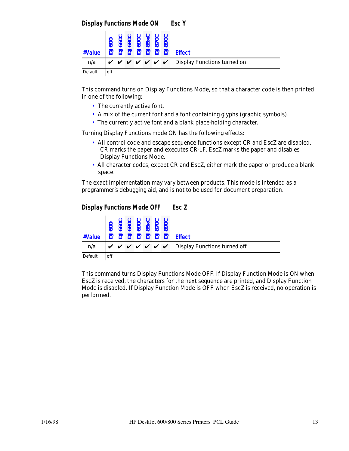| #Value  |     | 88<br>8 8 8 8 9<br>8 8 9 8 9 |  | ∙ပ ပ | 2 2 2 2 2 2 2 Effect                                                                              |
|---------|-----|------------------------------|--|------|---------------------------------------------------------------------------------------------------|
| n/a     |     |                              |  |      | $\forall$ $\forall$ $\forall$ $\forall$ $\forall$ $\forall$ $\forall$ Display Functions turned on |
| Default | off |                              |  |      |                                                                                                   |

This command turns on Display Functions Mode, so that a character code is then printed in one of the following:

- The currently active font.
- A mix of the current font and a font containing glyphs (graphic symbols).
- The currently active font and a blank place-holding character.

Turning Display Functions mode ON has the following effects:

- All control code and escape sequence functions except CR and EscZ are disabled. CR marks the paper and executes CR-LF. EscZ marks the paper and disables Display Functions Mode.
- All character codes, except CR and EscZ, either mark the paper or produce a blank space.

The exact implementation may vary between products. This mode is intended as a programmer's debugging aid, and is not to be used for document preparation.





This command turns Display Functions Mode OFF. If Display Function Mode is ON when EscZ is received, the characters for the next sequence are printed, and Display Function Mode is disabled. If Display Function Mode is OFF when EscZ is received, no operation is performed.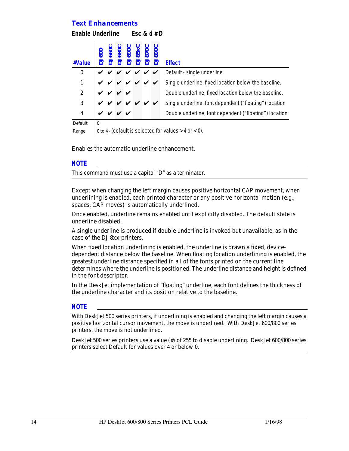### *Text Enhancements*

| Enable Underline<br>Esc & $d \# D$ |                                                                |                    |                                               |  |  |   |   |                                                        |  |
|------------------------------------|----------------------------------------------------------------|--------------------|-----------------------------------------------|--|--|---|---|--------------------------------------------------------|--|
| #Value                             | ටි                                                             | <b>S60</b>         | 0068C<br>DJ680C<br>DJ85XC<br>DJ870C<br>DJ890C |  |  |   |   | <b>Effect</b>                                          |  |
| $\bf{0}$                           |                                                                |                    |                                               |  |  |   | V | Default - single underline                             |  |
| 1                                  |                                                                |                    |                                               |  |  | V | ✔ | Single underline, fixed location below the baseline.   |  |
| $\boldsymbol{2}$                   |                                                                |                    | v v                                           |  |  |   |   | Double underline, fixed location below the baseline.   |  |
| 3                                  |                                                                |                    |                                               |  |  |   |   | Single underline, font dependent ("floating") location |  |
| 4                                  |                                                                | $\boldsymbol{\nu}$ | $\checkmark$                                  |  |  |   |   | Double underline, font dependent ("floating") location |  |
| Default                            | 0                                                              |                    |                                               |  |  |   |   |                                                        |  |
| Range                              | $\alpha$ to $4$ - (default is selected for values > 4 or < 0). |                    |                                               |  |  |   |   |                                                        |  |

Enables the automatic underline enhancement.

#### *NOTE*

This command must use a capital "D" as a terminator.

Except when changing the left margin causes positive horizontal CAP movement, when underlining is enabled, each printed character or any positive horizontal motion (e.g., spaces, CAP moves) is automatically underlined.

Once enabled, underline remains enabled until explicitly disabled. The default state is underline disabled.

A single underline is produced if double underline is invoked but unavailable, as in the case of the DJ 8xx printers.

When fixed location underlining is enabled, the underline is drawn a fixed, devicedependent distance below the baseline. When floating location underlining is enabled, the greatest underline distance specified in all of the fonts printed on the current line determines where the underline is positioned. The underline distance and height is defined in the font descriptor.

In the DeskJet implementation of "floating" underline, each font defines the thickness of the underline character and its position relative to the baseline.

#### *NOTE*

With DeskJet 500 series printers, if underlining is enabled and changing the left margin causes a positive horizontal cursor movement, the move is underlined. With DeskJet 600/800 series printers, the move is not underlined.

DeskJet 500 series printers use a value (#) of 255 to disable underlining. DeskJet 600/800 series printers select Default for values over 4 or below 0.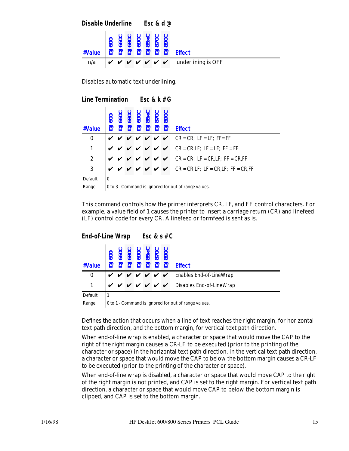|        |  |  | Disable Underline Esc & d $@$ |  |  |                                                                                                                                                                                                                                                                                        |  |  |  |  |
|--------|--|--|-------------------------------|--|--|----------------------------------------------------------------------------------------------------------------------------------------------------------------------------------------------------------------------------------------------------------------------------------------|--|--|--|--|
| #Value |  |  |                               |  |  | $\vec{a}$ $\vec{a}$ $\vec{a}$ $\vec{a}$ $\vec{a}$ $\vec{a}$ $\vec{a}$ $\vec{a}$ $\vec{a}$ $\vec{a}$ $\vec{a}$ $\vec{a}$ $\vec{a}$ $\vec{a}$ $\vec{a}$ $\vec{a}$ $\vec{a}$ $\vec{a}$ $\vec{a}$ $\vec{a}$ $\vec{a}$ $\vec{a}$ $\vec{a}$ $\vec{a}$ $\vec{a}$ $\vec{a}$ $\vec{a}$ $\vec{a$ |  |  |  |  |
| n/a    |  |  |                               |  |  | $\boldsymbol{v} \boldsymbol{v} \boldsymbol{v} \boldsymbol{v} \boldsymbol{v} \boldsymbol{v}$ w underlining is OFF                                                                                                                                                                       |  |  |  |  |

Disables automatic text underlining.

|                  | Line Termination Esc & $k \# G$ |     |  |  |  |  |                                         |                                                                                        |
|------------------|---------------------------------|-----|--|--|--|--|-----------------------------------------|----------------------------------------------------------------------------------------|
| #Value           |                                 | 660 |  |  |  |  | - 2006<br>2018 PT<br>2018 PT<br>2018 PT | <b>Effect</b>                                                                          |
| $\bf{0}$         |                                 |     |  |  |  |  |                                         | $\vee$ $\vee$ $\vee$ $\vee$ $\vee$ $\vee$ CR = CR; LF = LF; FF= FF                     |
| 1                |                                 |     |  |  |  |  |                                         | $\vee$ $\vee$ $\vee$ $\vee$ $\vee$ $\vee$ CR = CR, LF; LF = LF; FF = FF                |
| $\boldsymbol{2}$ |                                 |     |  |  |  |  |                                         | $\vee$ $\vee$ $\vee$ $\vee$ $\vee$ $\vee$ $\vee$ CR = CR; LF = CR,LF; FF = CR,FF       |
| 3                |                                 |     |  |  |  |  |                                         | $\vee$ $\vee$ $\vee$ $\vee$ $\vee$ $\vee$ $\vee$ CR = CR, LF; LF = CR, LF; FF = CR, FF |
| Default          | $\mathbf{0}$                    |     |  |  |  |  |                                         |                                                                                        |

Range  $\vert 0$  to 3 - Command is ignored for out of range values.

This command controls how the printer interprets CR, LF, and FF control characters. For example, a value field of 1 causes the printer to insert a carriage return (CR) and linefeed (LF) control code for every CR. A linefeed or formfeed is sent as is.

*End-of-Line Wrap Esc & s # C*

| #Value       |  |  | 880C<br>690C<br>85 x C<br>890C | 222222 | <b>Effect</b>                                                                                                                        |
|--------------|--|--|--------------------------------|--------|--------------------------------------------------------------------------------------------------------------------------------------|
| $\bf{0}$     |  |  |                                |        | $\boldsymbol{v} \boldsymbol{v} \boldsymbol{v} \boldsymbol{v} \boldsymbol{v} \boldsymbol{v}$ $\boldsymbol{v}$ Enables End-of-LineWrap |
| $\mathbf{1}$ |  |  |                                |        | $\mathsf{V} \mathsf{V} \mathsf{V} \mathsf{V} \mathsf{V} \mathsf{V}$ $\mathsf{V}$ Disables End-of-LineWrap                            |
| Default      |  |  |                                |        |                                                                                                                                      |

Range  $\vert$  0 to 1 - Command is ignored for out of range values.

Defines the action that occurs when a line of text reaches the right margin, for horizontal text path direction, and the bottom margin, for vertical text path direction.

When end-of-line wrap is enabled, a character or space that would move the CAP to the right of the right margin causes a CR-LF to be executed (prior to the printing of the character or space) in the horizontal text path direction. In the vertical text path direction, a character or space that would move the CAP to below the bottom margin causes a CR-LF to be executed (prior to the printing of the character or space).

When end-of-line wrap is disabled, a character or space that would move CAP to the right of the right margin is not printed, and CAP is set to the right margin. For vertical text path direction, a character or space that would move CAP to below the bottom margin is clipped, and CAP is set to the bottom margin.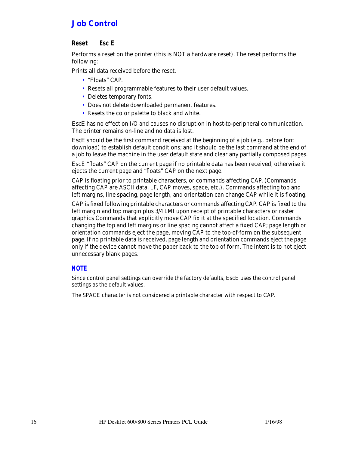### *Job Control*

### *Reset Esc E*

Performs a reset on the printer (this is NOT a hardware reset). The reset performs the following:

Prints all data received before the reset.

- "Floats" CAP.
- Resets all programmable features to their user default values.
- Deletes temporary fonts.
- Does not delete downloaded permanent features.
- Resets the color palette to black and white.

*EscE* has no effect on I/O and causes no disruption in host-to-peripheral communication. The printer remains on-line and no data is lost.

*EscE* should be the first command received at the beginning of a job (e.g., before font download) to establish default conditions; and it should be the last command at the end of a job to leave the machine in the user default state and clear any partially composed pages.

EscE "floats" CAP on the current page if no printable data has been received; otherwise it ejects the current page and "floats" CAP on the next page.

CAP is floating prior to printable characters, or commands affecting CAP. (Commands affecting CAP are ASCII data, LF, CAP moves, space, etc.). Commands affecting top and left margins, line spacing, page length, and orientation can change CAP while it is floating.

CAP is fixed following printable characters or commands affecting CAP. CAP is fixed to the left margin and top margin plus 3/4 LMI upon receipt of printable characters or raster graphics Commands that explicitly move CAP fix it at the specified location. Commands changing the top and left margins or line spacing cannot affect a fixed CAP; page length or orientation commands eject the page, moving CAP to the top-of-form on the subsequent page. If no printable data is received, page length and orientation commands eject the page only if the device cannot move the paper back to the top of form. The intent is to not eject unnecessary blank pages.

### *NOTE*

Since control panel settings can override the factory defaults, EscE uses the control panel settings as the default values.

The SPACE character is not considered a printable character with respect to CAP.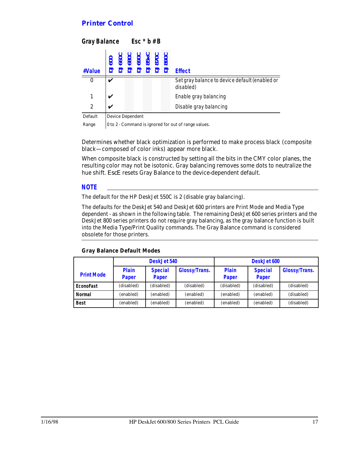### *Printer Control*

| <b>Gray Balance</b> |                                                                   |  | Esc $*$ b # B |  |  |  |                                                             |  |  |
|---------------------|-------------------------------------------------------------------|--|---------------|--|--|--|-------------------------------------------------------------|--|--|
| #Value              | DJ600<br>DJ660C<br>DJ600C<br>DJ85xC<br>DJ870C<br>DJ870C<br>DJ870C |  |               |  |  |  | <b>Effect</b>                                               |  |  |
| $\bf{0}$            | v                                                                 |  |               |  |  |  | Set gray balance to device default (enabled or<br>disabled) |  |  |
| 1                   | v                                                                 |  |               |  |  |  | Enable gray balancing                                       |  |  |
| $\overline{2}$      | V                                                                 |  |               |  |  |  | Disable gray balancing                                      |  |  |
| Default             | <b>Device Dependent</b>                                           |  |               |  |  |  |                                                             |  |  |

Range  $\vert$  0 to 2 - Command is ignored for out of range values.

Determines whether black optimization is performed to make process black (composite black—composed of color inks) appear more black.

When composite black is constructed by setting all the bits in the CMY color planes, the resulting color may not be isotonic. Gray balancing removes some dots to neutralize the hue shift. *EscE* resets Gray Balance to the device-dependent default.

#### *NOTE*

The default for the HP DeskJet 550C is 2 (disable gray balancing).

The defaults for the DeskJet 540 and DeskJet 600 printers are Print Mode and Media Type dependent - as shown in the following table. The remaining DeskJet 600 series printers and the DeskJet 800 series printers do not require gray balancing, as the gray balance function is built into the Media Type/Print Quality commands. The Gray Balance command is considered obsolete for those printers.

|                   |                       | DeskJet 540             |                      | DeskJet 600           |                         |                      |  |
|-------------------|-----------------------|-------------------------|----------------------|-----------------------|-------------------------|----------------------|--|
| <b>Print Mode</b> | <b>Plain</b><br>Paper | <b>Special</b><br>Paper | <b>Glossy/Trans.</b> | <b>Plain</b><br>Paper | <b>Special</b><br>Paper | <b>Glossy/Trans.</b> |  |
| <b>EconoFast</b>  | (disabled)            | (disabled)              | (disabled)           | (disabled)            | (disabled)              | (disabled)           |  |
| Normal            | (enabled)             | (enabled)               | (enabled)            | (enabled)             | (enabled)               | (disabled)           |  |
| <b>Best</b>       | (enabled)             | (enabled)               | (enabled)            | (enabled)             | (enabled)               | (disabled)           |  |

#### **Gray Balance Default Modes**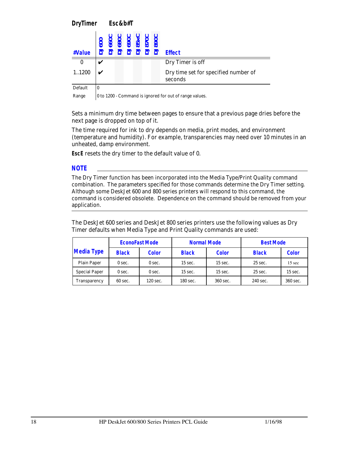*DryTimer Esc&b#T*

| #Value  | 0000<br>0000<br>00000<br>00000<br>0000<br>00000<br><b>RRRRR</b> | <b>Effect</b>                                   |
|---------|-----------------------------------------------------------------|-------------------------------------------------|
|         |                                                                 | Dry Timer is off                                |
| 1.1200  |                                                                 | Dry time set for specified number of<br>seconds |
| Default |                                                                 |                                                 |

Range  $\vert$  0 to 1200 - Command is ignored for out of range values.

Sets a minimum dry time between pages to ensure that a previous page dries before the next page is dropped on top of it.

The time required for ink to dry depends on media, print modes, and environment (temperature and humidity). For example, transparencies may need over 10 minutes in an unheated, damp environment.

**EscE** resets the dry timer to the default value of 0.

*NOTE*

The Dry Timer function has been incorporated into the Media Type/Print Quality command combination. The parameters specified for those commands determine the Dry Timer setting. Although some DeskJet 600 and 800 series printers will respond to this command, the command is considered obsolete. Dependence on the command should be removed from your application.

The DeskJet 600 series and DeskJet 800 series printers use the following values as Dry Timer defaults when Media Type and Print Quality commands are used:

|                      |                   | <b>EconoFast Mode</b> | <b>Normal Mode</b> |              | <b>Best Mode</b> |                  |  |
|----------------------|-------------------|-----------------------|--------------------|--------------|------------------|------------------|--|
| <b>Media Type</b>    | <b>Black</b>      | <b>Color</b>          | <b>Black</b>       | <b>Color</b> | <b>Black</b>     | <b>Color</b>     |  |
| <b>Plain Paper</b>   | 0 sec.            | 0 sec.                | $15$ sec.          | $15$ sec.    | $25$ sec.        | $15 \text{ sec}$ |  |
| <b>Special Paper</b> | 0 sec.            | 0 sec.                | $15$ sec.          | $15$ sec.    | $25$ sec.        | $15$ sec.        |  |
| Transparency         | $60 \text{ sec.}$ | $120$ sec.            | 180 sec.           | 360 sec.     | 240 sec.         | 360 sec.         |  |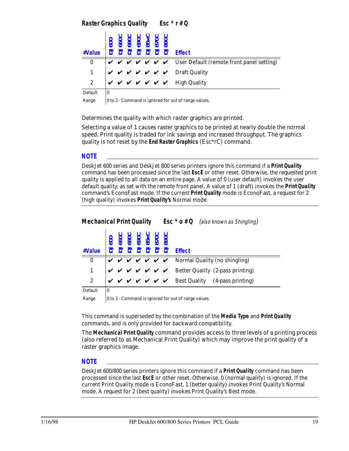### *Raster Graphics Quality Esc \* r # Q*

| #Value       |   |  |  |  |                                                                                                                                                                                                                                                                                       |
|--------------|---|--|--|--|---------------------------------------------------------------------------------------------------------------------------------------------------------------------------------------------------------------------------------------------------------------------------------------|
| $\bf{0}$     |   |  |  |  | $\forall$ $\forall$ $\forall$ $\forall$ $\forall$ $\forall$ $\forall$ User Default (remote front panel setting)                                                                                                                                                                       |
|              |   |  |  |  | $\big $ $\vee$ $\big $ $\vee$ $\big $ $\vee$ $\big $ $\vee$ $\big $ $\vee$ $\big $ $\vee$ $\big $ $\vee$ $\big $ $\vee$ $\big $ $\vee$ $\big $ $\vee$ $\big $ $\vee$ $\big $ $\vee$ $\big $ $\vee$ $\big $ $\vee$ $\big $ $\vee$ $\big $ $\vee$ $\big $ $\vee$ $\big $ $\vee$ $\big $ |
| $\mathbf{2}$ |   |  |  |  | $\boldsymbol{v} \boldsymbol{v} \boldsymbol{v} \boldsymbol{v} \boldsymbol{v} \boldsymbol{v}$ High Quality                                                                                                                                                                              |
| Dofoult      | n |  |  |  |                                                                                                                                                                                                                                                                                       |

Default |0

Range  $\vert$  0 to 2 - Command is ignored for out of range values.

Determines the quality with which raster graphics are printed.

Selecting a value of 1 causes raster graphics to be printed at nearly double the normal speed. Print quality is traded for ink savings and increased throughput. The graphics quality is not reset by the **End Raster Graphics** (Esc\*rC) command.

### *NOTE*

DeskJet 600 series and DeskJet 800 series printers ignore this command if a **Print Quality** command has been processed since the last **EscE** or other reset. Otherwise, the requested print quality is applied to all data on an entire page. A value of 0 (user default) invokes the user default quality, as set with the remote front panel. A value of 1 (draft) invokes the **Print Quality** command's EconoFast mode. If the current **Print Quality** mode is EconoFast, a request for 2 (high quality) invokes **Print Quality's** Normal mode.

### *Mechanical Print Quality Esc \* o # Q* (also known as Shingling)

| #Value        |    |  |  | $\frac{1}{3}$<br>$\frac{1}{3}$<br>$\frac{1}{3}$<br>$\frac{1}{3}$<br>$\frac{1}{3}$<br>$\frac{1}{3}$<br>$\frac{1}{3}$<br>$\frac{1}{3}$<br>$\frac{1}{3}$<br>$\frac{1}{3}$<br>$\frac{1}{3}$<br>$\frac{1}{3}$<br>$\frac{1}{3}$<br>$\frac{1}{3}$<br><br>$\frac{1}{3}$<br><br><br><br><br><br><br><br><br><br><br><br><br><br><br><br><br><br><br><br><br><br><br><br><br><br><br><br><br><br><br><br><br><br> | $ \vec{a} $ $\vec{a}$ $\vec{a}$ $\vec{a}$ $\vec{a}$ $\vec{a}$ $\vec{a}$ $\vec{a}$ $\vec{a}$ $\vec{a}$ $\vec{a}$ $\vec{a}$ $\vec{a}$ $\vec{a}$ $\vec{a}$ $\vec{a}$ $\vec{a}$ $\vec{a}$ $\vec{a}$ $\vec{a}$ $\vec{a}$ $\vec{a}$ $\vec{a}$ $\vec{a}$ $\vec{a}$ $\vec{a}$ $\vec{a}$ $\vec{a$ |
|---------------|----|--|--|---------------------------------------------------------------------------------------------------------------------------------------------------------------------------------------------------------------------------------------------------------------------------------------------------------------------------------------------------------------------------------------------------------|------------------------------------------------------------------------------------------------------------------------------------------------------------------------------------------------------------------------------------------------------------------------------------------|
| $\mathbf{0}$  |    |  |  |                                                                                                                                                                                                                                                                                                                                                                                                         | $\mathbf{v} \times \mathbf{v} \times \mathbf{v} \times \mathbf{v}$ Normal Quality (no shingling)                                                                                                                                                                                         |
|               |    |  |  |                                                                                                                                                                                                                                                                                                                                                                                                         | $\vee$ $\vee$ $\vee$ $\vee$ $\vee$ $\vee$ Better Quality (2-pass printing)                                                                                                                                                                                                               |
| $\mathbf{2}$  |    |  |  |                                                                                                                                                                                                                                                                                                                                                                                                         | $\mathbf{v} \times \mathbf{v} \times \mathbf{v} \times \mathbf{v}$ Best Quality (4-pass printing)                                                                                                                                                                                        |
| $D_{0}$ foult | Ιn |  |  |                                                                                                                                                                                                                                                                                                                                                                                                         |                                                                                                                                                                                                                                                                                          |

Default

Range  $\vert$  0 to 2 - Command is ignored for out of range values.

This command is superseded by the combination of the **Media Type** and **Print Quality** commands, and is only provided for backward compatibility.

The **Mechanical Print Quality** command provides access to three levels of a printing process (also referred to as Mechanical Print Quality) which may improve the print quality of a raster graphics image.

### *NOTE*

DeskJet 600/800 series printers ignore this command if a **Print Quality** command has been processed since the last **EscE** or other reset. Otherwise, 0 (normal quality) is ignored. If the current Print Quality mode is EconoFast, 1 (better quality) invokes Print Quality's Normal mode. A request for 2 (best quality) invokes Print Quality's Best mode.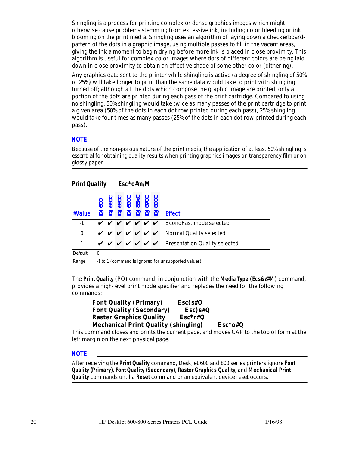Shingling is a process for printing complex or dense graphics images which might otherwise cause problems stemming from excessive ink, including color bleeding or ink blooming on the print media. Shingling uses an algorithm of laying down a checkerboardpattern of the dots in a graphic image, using multiple passes to fill in the vacant areas, giving the ink a moment to begin drying before more ink is placed in close proximity. This algorithm is useful for complex color images where dots of different colors are being laid down in close proximity to obtain an effective shade of some other color (dithering).

Any graphics data sent to the printer while shingling is active (a degree of shingling of 50% or 25%) will take longer to print than the same data would take to print with shingling turned off; although all the dots which compose the graphic image are printed, only a portion of the dots are printed during each pass of the print cartridge. Compared to using no shingling, 50% shingling would take twice as many passes of the print cartridge to print a given area (50% of the dots in each dot row printed during each pass), 25% shingling would take four times as many passes (25% of the dots in each dot row printed during each pass).

#### *NOTE*

Because of the non-porous nature of the print media, the application of at least 50% shingling is *essential* for obtaining quality results when printing graphics images on transparency film or on glossy paper.

### *Print Quality Esc\*o#m/M*

| #Value           |              |  |  |  |                                                                                                                                      |
|------------------|--------------|--|--|--|--------------------------------------------------------------------------------------------------------------------------------------|
| $\overline{-1}$  |              |  |  |  | $\vee$ $\vee$ $\vee$ $\vee$ $\vee$ $\vee$ $\vee$ EconoFast mode selected                                                             |
| $\boldsymbol{0}$ |              |  |  |  | $\boldsymbol{v} \boldsymbol{v} \boldsymbol{v} \boldsymbol{v} \boldsymbol{v} \boldsymbol{v}$ $\boldsymbol{v}$ Normal Quality selected |
| $\mathbf{1}$     |              |  |  |  | $\mathbf{v} \times \mathbf{v} \times \mathbf{v} \times \mathbf{v}$ Presentation Quality selected                                     |
| Default          | $\mathbf{0}$ |  |  |  |                                                                                                                                      |

Range  $\vert$ -1 to 1 (command is ignored for unsupported values).

The **Print Quality** (PQ) command, in conjunction with the **Media Type** (*Ecs&*l*#M*) command, provides a high-level print mode specifier and replaces the need for the following commands:

| <b>Font Quality (Primary)</b>               | $Esc(s\#Q)$ |           |
|---------------------------------------------|-------------|-----------|
| <b>Font Quality (Secondary)</b>             | $Esc$ ) s#Q |           |
| <b>Raster Graphics Quality</b>              | $Esc*r#Q$   |           |
| <b>Mechanical Print Quality (shingling)</b> |             | $Esc*o*Q$ |

This command closes and prints the current page, and moves CAP to the top of form at the left margin on the next physical page.

### *NOTE*

After receiving the **Print Quality** command, DeskJet 600 and 800 series printers ignore **Font Quality (Primary)**, **Font Quality (Secondary)**, **Raster Graphics Quality**, and **Mechanical Print Quality** commands until a **Reset** command or an equivalent device reset occurs.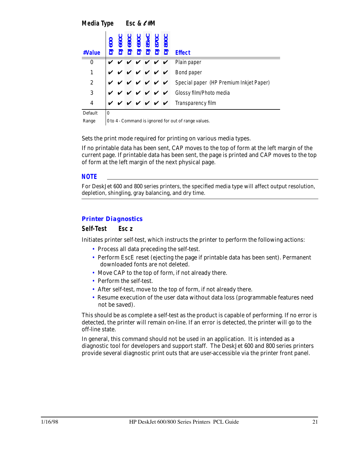*Media Type Esc &* <sup>l</sup> *#M*

| #Value           |   |  | <b>890</b><br>8528<br>8528 | っ |  | <b>Effect</b>                                                                 |
|------------------|---|--|----------------------------|---|--|-------------------------------------------------------------------------------|
| $\bf{0}$         |   |  |                            |   |  | $\vee$ $\vee$ $\vee$ $\vee$ $\vee$ Plain paper                                |
| 1                |   |  |                            |   |  | $\mathbf{v} \times \mathbf{v} \times \mathbf{v} \times \mathbf{v}$ Bond paper |
| $\boldsymbol{2}$ |   |  |                            |   |  | V V V V V Gpecial paper (HP Premium Inkjet Paper)                             |
| 3                | ✓ |  |                            |   |  | V V V V V Glossy film/Photo media                                             |
| 4                |   |  |                            |   |  | V V V V V V Transparency film                                                 |
| Default          | 0 |  |                            |   |  |                                                                               |

Range  $\vert$  0 to 4 - Command is ignored for out of range values.

Sets the print mode required for printing on various media types.

If no printable data has been sent, CAP moves to the top of form at the left margin of the current page. If printable data has been sent, the page is printed and CAP moves to the top of form at the left margin of the next physical page.

### *NOTE*

For DeskJet 600 and 800 series printers, the specified media type will affect output resolution, depletion, shingling, gray balancing, and dry time.

### *Printer Diagnostics*

### *Self-Test Esc z*

Initiates printer self-test, which instructs the printer to perform the following actions:

- Process all data preceding the self-test.
- Perform EscE reset (ejecting the page if printable data has been sent). Permanent downloaded fonts are not deleted.
- Move CAP to the top of form, if not already there.
- Perform the self-test.
- After self-test, move to the top of form, if not already there.
- Resume execution of the user data without data loss (programmable features need not be saved).

This should be as complete a self-test as the product is capable of performing. If no error is detected, the printer will remain on-line. If an error is detected, the printer will go to the off-line state.

In general, this command should not be used in an application. It is intended as a diagnostic tool for developers and support staff. The DeskJet 600 and 800 series printers provide several diagnostic print outs that are user-accessible via the printer front panel.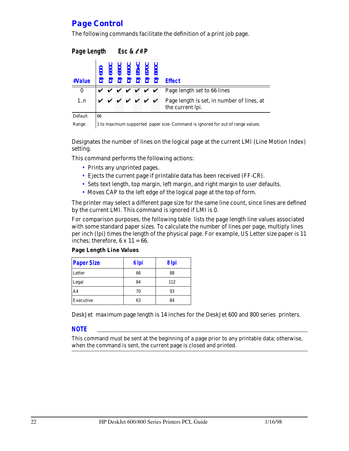### *Page Control*

The following commands facilitate the definition of a print job page.

| Page Length Esc & $\ell$ # P |    |  |  |  |  |                                                                                                                                                                                  |                                                                                                                                   |
|------------------------------|----|--|--|--|--|----------------------------------------------------------------------------------------------------------------------------------------------------------------------------------|-----------------------------------------------------------------------------------------------------------------------------------|
| #Value                       |    |  |  |  |  | $\begin{array}{r} \text{DJ600} \\ \text{DJ660C} \\ \text{DJ600C} \\ \text{DJ690C} \\ \text{DJ690C} \\ \text{DJ85XC} \\ \text{DJ80C} \\ \text{DJ80C} \\ \text{DJ80C} \end{array}$ | <b>Effect</b>                                                                                                                     |
| $\bf{0}$                     |    |  |  |  |  |                                                                                                                                                                                  | $\vee$ $\vee$ $\vee$ $\vee$ $\vee$ $\vee$ Page length set to 66 lines                                                             |
| 1n                           |    |  |  |  |  |                                                                                                                                                                                  | $\mathbf{v} \times \mathbf{v} \times \mathbf{v} \times \mathbf{v}$ Page length is set, in number of lines, at<br>the current lpi. |
| Default                      | 66 |  |  |  |  |                                                                                                                                                                                  |                                                                                                                                   |

Range 1 to maximum supported paper size- Command is ignored for out of range values.

Designates the number of lines on the logical page at the current LMI (Line Motion Index) setting.

This command performs the following actions:

- Prints any unprinted pages.
- Ejects the current page if printable data has been received (FF-CR).
- Sets text length, top margin, left margin, and right margin to user defaults.
- Moves CAP to the left edge of the logical page at the top of form.

The printer may select a different page size for the same line count, since lines are defined by the current LMI. This command is ignored if LMI is 0.

For comparison purposes, the following table lists the page length line values associated with some standard paper sizes. To calculate the number of lines per page, multiply lines per inch (lpi) times the length of the physical page. For example, US Letter size paper is 11 inches; therefore,  $6 \times 11 = 66$ .

| Page Length Line Values |
|-------------------------|
|-------------------------|

| <b>Paper Size</b> | 6 Ipi | 8 Ipi |
|-------------------|-------|-------|
| Letter            | 66    | 88    |
| Legal             | 84    | 112   |
| A <sub>4</sub>    | 70    | 93    |
| Executive         | 63    | 84    |

DeskJet maximum page length is 14 inches for the DeskJet 600 and 800 series printers.

#### *NOTE*

This command must be sent at the beginning of a page prior to any printable data; otherwise, when the command is sent, the current page is closed and printed.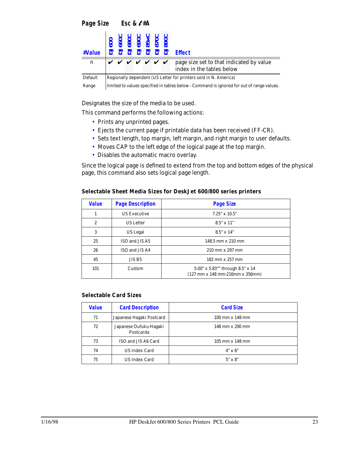| #Value  |                                                                  |  |  |  |  | 000<br>660C<br>680C<br>690C<br>88xC<br>870C | $\overline{a}$ $\overline{a}$ $\overline{a}$ $\overline{a}$ $\overline{a}$ $\overline{a}$ $\overline{a}$ $\overline{a}$ $\overline{b}$ $\overline{c}$ $\overline{c}$ $\overline{c}$ $\overline{c}$ $\overline{c}$ $\overline{c}$ $\overline{c}$ $\overline{c}$ $\overline{c}$ $\overline{c}$ $\overline{c}$ $\overline{c}$ $\overline{c}$ $\overline{c}$ $\overline{c}$ $\overline{$ |  |  |  |
|---------|------------------------------------------------------------------|--|--|--|--|---------------------------------------------|--------------------------------------------------------------------------------------------------------------------------------------------------------------------------------------------------------------------------------------------------------------------------------------------------------------------------------------------------------------------------------------|--|--|--|
| n       |                                                                  |  |  |  |  |                                             | $\forall$ $\forall$ $\forall$ $\forall$ $\forall$ $\forall$ $\forall$ page size set to that indicated by value<br>index in the tables below                                                                                                                                                                                                                                          |  |  |  |
| Default | Regionally dependent (US Letter for printers sold in N. America) |  |  |  |  |                                             |                                                                                                                                                                                                                                                                                                                                                                                      |  |  |  |

Range limited to values specified in tables below - Command is ignored for out of range values.

Designates the size of the media to be used.

This command performs the following actions:

- Prints any unprinted pages.
- Ejects the current page if printable data has been received (FF-CR).
- Sets text length, top margin, left margin, and right margin to user defaults.
- Moves CAP to the left edge of the logical page at the top margin.
- Disables the automatic macro overlay.

Since the logical page is defined to extend from the top and bottom edges of the physical page, this command also sets logical page length.

| <b>Value</b>   | <b>Page Description</b> | <b>Page Size</b>                                                                                                        |  |  |  |
|----------------|-------------------------|-------------------------------------------------------------------------------------------------------------------------|--|--|--|
| 1              | <b>US Executive</b>     | $7.25" \times 10.5"$                                                                                                    |  |  |  |
| $\overline{2}$ | <b>US</b> Letter        | $8.5'' \times 11''$                                                                                                     |  |  |  |
| 3              | US Legal                | $8.5'' \times 14''$                                                                                                     |  |  |  |
| 25             | ISO and JIS A5          | $148.5$ mm $\times$ 210 mm                                                                                              |  |  |  |
| 26             | ISO and JIS A4          | $210 \text{ mm} \times 297 \text{ mm}$                                                                                  |  |  |  |
| 45             | JIS B5                  | 182 mm x 257 mm                                                                                                         |  |  |  |
| 101            | Custom                  | 5.00" x 5.83"" through 8.5" x 14<br>$(127 \text{ mm} \times 148 \text{ mm} \cdot 216 \text{ mm} \times 356 \text{ mm})$ |  |  |  |

| Selectable Sheet Media Sizes for DeskJet 600/800 series printers |  |  |  |
|------------------------------------------------------------------|--|--|--|
|                                                                  |  |  |  |

#### **Selectable Card Sizes**

| <b>Value</b> | <b>Card Description</b>             | <b>Card Size</b>                           |
|--------------|-------------------------------------|--------------------------------------------|
| 71           | Japanese Hagaki Postcard            | $100 \text{ mm} \times 148 \text{ mm}$     |
| 72           | Japanese Oufuku-Hagaki<br>Postcarda | $148$ mm $\times$ 200 mm                   |
| 73           | ISO and JIS A6 Card                 | $105 \, \text{mm} \times 148 \, \text{mm}$ |
| 74           | <b>US Index Card</b>                | $4" \times 6"$                             |
| 75           | <b>US Index Card</b>                | $5" \times 8"$                             |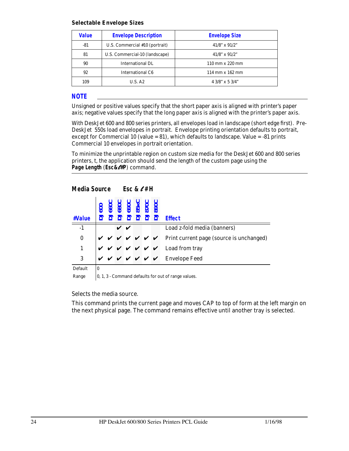#### **Selectable Envelope Sizes**

| <b>Value</b> | <b>Envelope Description</b>    | <b>Envelope Size</b>                   |
|--------------|--------------------------------|----------------------------------------|
| -81          | U.S. Commercial #10 (portrait) | $41/8$ " x $91/2$ "                    |
| 81           | U.S. Commercial-10 (landscape) | $41/8$ " x $91/2$ "                    |
| 90           | International DL               | $110 \text{ mm} \times 220 \text{ mm}$ |
| 92           | International C6               | $114$ mm $\times$ 162 mm               |
| 109          | U.S. A2                        | $4.3/8$ " x 5 3/4"                     |

#### *NOTE*

Unsigned or positive values specify that the short paper axis is aligned with printer's paper axis; negative values specify that the long paper axis is aligned with the printer's paper axis.

With DeskJet 600 and 800 series printers, all envelopes load in landscape (short edge first). Pre-DeskJet 550s load envelopes in portrait. Envelope printing orientation defaults to portrait, except for Commercial 10 (value  $= 81$ ), which defaults to landscape. Value  $= -81$  prints Commercial 10 envelopes in portrait orientation.

To minimize the unprintable region on custom size media for the DeskJet 600 and 800 series printers, t, the application should send the length of the custom page using the **Page Length** (*Esc&*l*#P*) command.

### *Media Source Esc &* l *# H*

| #Value          |          |  |  |  |                                                                                                                 |
|-----------------|----------|--|--|--|-----------------------------------------------------------------------------------------------------------------|
| $\overline{-1}$ |          |  |  |  | Load z-fold media (banners)                                                                                     |
| $\mathbf{0}$    |          |  |  |  |                                                                                                                 |
|                 |          |  |  |  | v v v v v v Frint current page (source is unchanged)<br>v v v v v v Load from tray<br>v v v v V v Envelope Feed |
| 3               |          |  |  |  |                                                                                                                 |
| Default         | $\bf{0}$ |  |  |  |                                                                                                                 |

Range  $\vert$  0, 1, 3 - Command defaults for out of range values.

Selects the media source.

This command prints the current page and moves CAP to top of form at the left margin on the next physical page. The command remains effective until another tray is selected.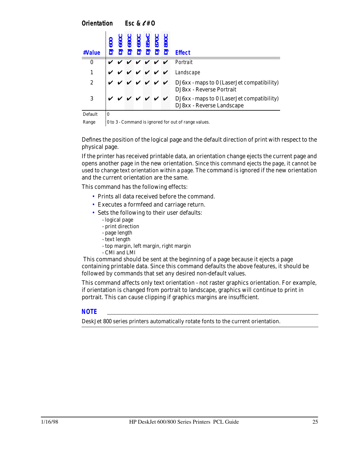*Orientation Esc &* l *# O*

| #Value                    |   |  |  |  | <b>Effect</b>                                                                                                                                                                               |
|---------------------------|---|--|--|--|---------------------------------------------------------------------------------------------------------------------------------------------------------------------------------------------|
| $\bf{0}$                  |   |  |  |  | $\vee$ $\vee$ $\vee$ $\vee$ $\vee$ Portrait                                                                                                                                                 |
|                           |   |  |  |  | v v v v v v Landscape                                                                                                                                                                       |
| $\mathbf{2}$              |   |  |  |  | $\boldsymbol{v} \boldsymbol{v} \boldsymbol{v} \boldsymbol{v} \boldsymbol{v} \boldsymbol{v}$ $\boldsymbol{v}$ DJ6xx - maps to 0 (Laser Jet compatibility)<br><b>DJ8xx - Reverse Portrait</b> |
| 3                         |   |  |  |  | $\mathbf{v} \times \mathbf{v} \times \mathbf{v} \times \mathbf{v}$ DJ6xx - maps to 0 (Laser Jet compatibility)<br>DJ8xx - Reverse Landscape                                                 |
| $D_{0}$ ford <sup>+</sup> | n |  |  |  |                                                                                                                                                                                             |

Default

Range  $\vert$  0 to 3 - Command is ignored for out of range values.

Defines the position of the logical page and the default direction of print with respect to the physical page.

If the printer has received printable data, an orientation change ejects the current page and opens another page in the new orientation. Since this command ejects the page, it cannot be used to change text orientation within a page. The command is ignored if the new orientation and the current orientation are the same.

This command has the following effects:

- Prints all data received before the command.
- Executes a formfeed and carriage return.
- Sets the following to their user defaults:
	- logical page
	- print direction
	- page length
	- text length
	- top margin, left margin, right margin
	- CMI and LMI

 This command should be sent at the beginning of a page because it ejects a page containing printable data. Since this command defaults the above features, it should be followed by commands that set any desired non-default values.

This command affects only text orientation - not raster graphics orientation. For example, if orientation is changed from portrait to landscape, graphics will continue to print in portrait. This can cause clipping if graphics margins are insufficient.

### *NOTE*

DeskJet 800 series printers automatically rotate fonts to the current orientation.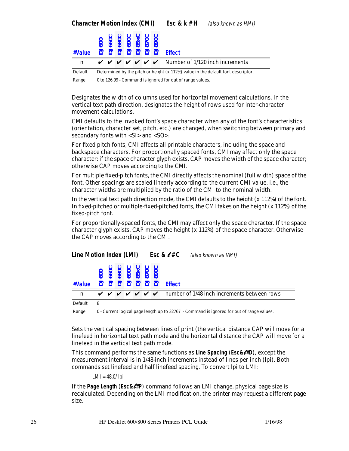|  | (also known as HMI) |
|--|---------------------|
|--|---------------------|

| n       |                                                                                  |  |  |  |  |  | $\forall$ $\lor$ $\lor$ $\lor$ $\lor$ $\lor$ $\lor$ Number of 1/120 inch increments |  |  |  |  |
|---------|----------------------------------------------------------------------------------|--|--|--|--|--|-------------------------------------------------------------------------------------|--|--|--|--|
| Default | Determined by the pitch or height (x 112%) value in the default font descriptor. |  |  |  |  |  |                                                                                     |  |  |  |  |

Range  $\vert$  0 to 126.99 - Command is ignored for out of range values.

Designates the width of columns used for horizontal movement calculations. In the vertical text path direction, designates the height of rows used for inter-character movement calculations.

CMI defaults to the invoked font's space character when any of the font's characteristics (orientation, character set, pitch, etc.) are changed, when switching between primary and secondary fonts with <SI> and <SO>.

For fixed pitch fonts, CMI affects all printable characters, including the space and backspace characters. For proportionally spaced fonts, CMI may affect only the space character: if the space character glyph exists, CAP moves the width of the space character; otherwise CAP moves according to the CMI.

For multiple fixed-pitch fonts, the CMI directly affects the nominal (full width) space of the font. Other spacings are scaled linearly according to the current CMI value, i.e., the character widths are multiplied by the ratio of the CMI to the nominal width.

In the vertical text path direction mode, the CMI defaults to the height (x 112%) of the font. In fixed-pitched or multiple-fixed-pitched fonts, the CMI takes on the height (x 112%) of the fixed-pitch font.

For proportionally-spaced fonts, the CMI may affect only the space character. If the space character glyph exists, CAP moves the height  $(x 112%)$  of the space character. Otherwise the CAP moves according to the CMI.

| <b>Line Motion Index (LMI)</b> |           |  |  |                                 | <b>Esc &amp; <math>\ell</math> # C</b> (also known as VMI)                            |
|--------------------------------|-----------|--|--|---------------------------------|---------------------------------------------------------------------------------------|
| #Value                         | $\bar{S}$ |  |  | 060<br>069<br>069<br>089<br>089 | <b>Effect</b>                                                                         |
| n                              |           |  |  |                                 | $\vee$ $\vee$ $\vee$ $\vee$ $\vee$ $\vee$ mumber of 1/48 inch increments between rows |
| Default                        | 8         |  |  |                                 |                                                                                       |

Range | 0 - Current logical page length up to 32767 - Command is ignored for out of range values.

Sets the vertical spacing between lines of print (the vertical distance CAP will move for a linefeed in horizontal text path mode and the horizontal distance the CAP will move for a linefeed in the vertical text path mode.

This command performs the same functions as **Line Spacing** (*Esc&*l*#D*), except the measurement interval is in 1/48-inch increments instead of lines per inch (lpi). Both commands set linefeed and half linefeed spacing. To convert lpi to LMI:

 $LMI = 48.0/10i$ 

If the **Page Length** (*Esc&*l*#P*) command follows an LMI change, physical page size is recalculated. Depending on the LMI modification, the printer may request a different page size.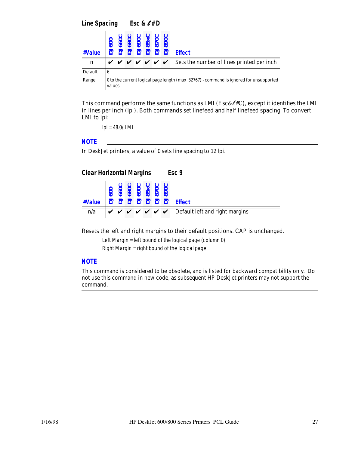*Line Spacing Esc &* l *# D*

| #Value  |   | $\overline{\infty}$ | 690<br>85x |  | <b>Effect</b>                                                                       |
|---------|---|---------------------|------------|--|-------------------------------------------------------------------------------------|
| n       |   |                     |            |  | $\vee$ $\vee$ $\vee$ $\vee$ $\vee$ $\vee$ Sets the number of lines printed per inch |
|         |   |                     |            |  |                                                                                     |
| Default | 6 |                     |            |  |                                                                                     |

This command performs the same functions as LMI ( $\text{Esc}\&\ell\#\text{C}$ ), except it identifies the LMI in lines per inch (lpi). Both commands set linefeed and half linefeed spacing. To convert LMI to lpi:

lpi = 48.0/ LMI

### *NOTE*

In DeskJet printers, a value of 0 sets line spacing to 12 lpi.



Resets the left and right margins to their default positions. CAP is unchanged.

Left Margin = left bound of the logical page (column 0)

Right Margin = right bound of the logical page.

#### *NOTE*

This command is considered to be obsolete, and is listed for backward compatibility only. Do not use this command in new code, as subsequent HP DeskJet printers may not support the command.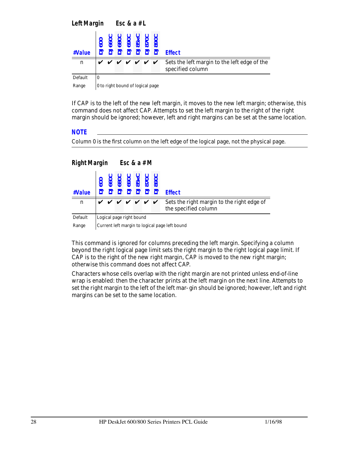| <b>Left Margin</b> |                                  |  |  |  | Esc & $a \# L$ |  |                                                                     |                                                                  |  |  |  |  |
|--------------------|----------------------------------|--|--|--|----------------|--|---------------------------------------------------------------------|------------------------------------------------------------------|--|--|--|--|
| #Value             |                                  |  |  |  |                |  | <b>DJ600<br/>DJ660C<br/>DJ690C<br/>DJ85xC<br/>DJ870C<br/>DJ870C</b> | <b>Effect</b>                                                    |  |  |  |  |
| $\mathbf n$        |                                  |  |  |  |                |  | <i>v v v v v v</i>                                                  | Sets the left margin to the left edge of the<br>specified column |  |  |  |  |
| Default            | 0                                |  |  |  |                |  |                                                                     |                                                                  |  |  |  |  |
| Range              | 0 to right bound of logical page |  |  |  |                |  |                                                                     |                                                                  |  |  |  |  |

If CAP is to the left of the new left margin, it moves to the new left margin; otherwise, this command does not affect CAP. Attempts to set the left margin to the right of the right margin should be ignored; however, left and right margins can be set at the same location.

#### *NOTE*

Column 0 is the first column on the left edge of the logical page, not the physical page.

### *Right Margin Esc & a # M*

| #Value  |                                                |                          |  |  |  | <b>222222</b> |                      | <b>Effect</b>                                                      |  |  |  |  |
|---------|------------------------------------------------|--------------------------|--|--|--|---------------|----------------------|--------------------------------------------------------------------|--|--|--|--|
| n       |                                                |                          |  |  |  |               | <i>v v v v v v v</i> | Sets the right margin to the right edge of<br>the specified column |  |  |  |  |
| Default |                                                | Logical page right bound |  |  |  |               |                      |                                                                    |  |  |  |  |
| Range   | Current left margin to logical page left bound |                          |  |  |  |               |                      |                                                                    |  |  |  |  |

This command is ignored for columns preceding the left margin. Specifying a column beyond the right logical page limit sets the right margin to the right logical page limit. If CAP is to the right of the new right margin, CAP is moved to the new right margin; otherwise this command does not affect CAP.

Characters whose cells overlap with the right margin are not printed unless end-of-line wrap is enabled: then the character prints at the left margin on the next line. Attempts to set the right margin to the left of the left mar- gin should be ignored; however, left and right margins can be set to the same location.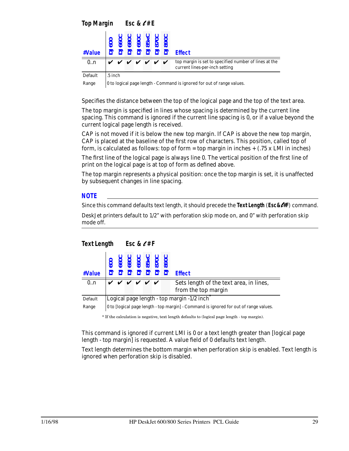| #Value  |         |  |  | 0600<br>06000<br>06000<br>08000<br>$\begin{array}{c}\n 777222 \\ \end{array}$ | <b>Effect</b>                                                                           |
|---------|---------|--|--|-------------------------------------------------------------------------------|-----------------------------------------------------------------------------------------|
| 0.n     |         |  |  | <i>v v v v v v v</i>                                                          | top margin is set to specified number of lines at the<br>current lines-per-inch setting |
| Default | .5 inch |  |  |                                                                               |                                                                                         |

Range | 0 to logical page length - Command is ignored for out of range values.

Specifies the distance between the top of the logical page and the top of the text area.

The top margin is specified in lines whose spacing is determined by the current line spacing. This command is ignored if the current line spacing is 0, or if a value beyond the current logical page length is received.

CAP is not moved if it is below the new top margin. If CAP is above the new top margin, CAP is placed at the baseline of the first row of characters. This position, called top of form, is calculated as follows: top of form = top margin in inches +  $(.75 \times LMI)$  in inches)

The first line of the logical page is always line 0. The vertical position of the first line of print on the logical page is at top of form as defined above.

The top margin represents a physical position: once the top margin is set, it is unaffected by subsequent changes in line spacing.

#### *NOTE*

*Text Length Esc &* l *# F*

Since this command defaults text length, it should precede the **Text Length** (*Esc&*l*#F*) command.

DeskJet printers default to 1/2" with perforation skip mode on, and 0" with perforation skip mode off.

|                  | 600<br>660C<br>680C<br>690C<br>85 XC<br>890C                                        |                                            |  |                    |  |  |         |                                         |  |  |  |  |
|------------------|-------------------------------------------------------------------------------------|--------------------------------------------|--|--------------------|--|--|---------|-----------------------------------------|--|--|--|--|
| #Value           |                                                                                     |                                            |  |                    |  |  | 2222222 | <b>Effect</b>                           |  |  |  |  |
| $\overline{0.n}$ |                                                                                     |                                            |  | <b>V V V V V V</b> |  |  |         | Sets length of the text area, in lines, |  |  |  |  |
|                  |                                                                                     |                                            |  |                    |  |  |         | from the top margin                     |  |  |  |  |
| Default          |                                                                                     | Logical page length - top margin -1/2 inch |  |                    |  |  |         |                                         |  |  |  |  |
| Range            | 0 to logical page length - top margin - Command is ignored for out of range values. |                                            |  |                    |  |  |         |                                         |  |  |  |  |

\* If the calculation is negative, text length defaults to (logical page length - top margin).

This command is ignored if current LMI is 0 or a text length greater than [logical page length - top margin] is requested. A value field of 0 defaults text length.

Text length determines the bottom margin when perforation skip is enabled. Text length is ignored when perforation skip is disabled.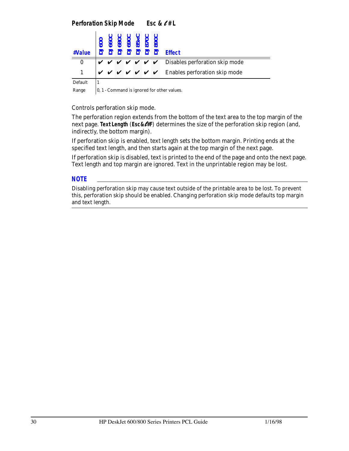## *Perforation Skip Mode Esc &* l *# L*

| #Value   |  |  |  | 000<br>00600<br>006000 008000<br>008000 008000<br>008000 008000 Effect                               |
|----------|--|--|--|------------------------------------------------------------------------------------------------------|
| $\bf{0}$ |  |  |  | $\forall$ $\forall$ $\forall$ $\forall$ $\forall$ $\forall$ $\forall$ Disables perforation skip mode |
|          |  |  |  | $\mathbf{v} \times \mathbf{v} \times \mathbf{v} \times \mathbf{v}$ Enables perforation skip mode     |
| Default  |  |  |  |                                                                                                      |

Range  $\vert 0, 1$  - Command is ignored for other values.

Controls perforation skip mode.

The perforation region extends from the bottom of the text area to the top margin of the next page. **Text Length** (*Esc&*l*#F*) determines the size of the perforation skip region (and, indirectly, the bottom margin).

If perforation skip is enabled, text length sets the bottom margin. Printing ends at the specified text length, and then starts again at the top margin of the next page.

If perforation skip is disabled, text is printed to the end of the page and onto the next page. Text length and top margin are ignored. Text in the unprintable region may be lost.

#### *NOTE*

Disabling perforation skip may cause text outside of the printable area to be lost. To prevent this, perforation skip should be enabled. Changing perforation skip mode defaults top margin and text length.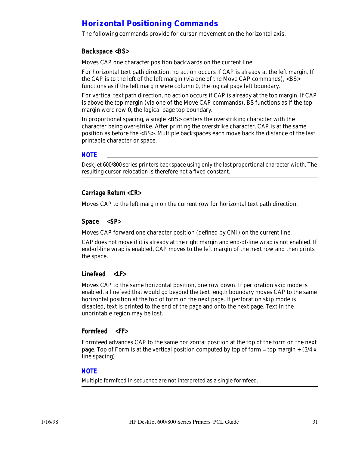# *Horizontal Positioning Commands*

The following commands provide for cursor movement on the horizontal axis.

### *Backspace <BS>*

Moves CAP one character position backwards on the current line.

For horizontal text path direction, no action occurs if CAP is already at the left margin. If the CAP is to the left of the left margin (via one of the Move CAP commands),  $\langle B \rangle$ functions as if the left margin were column 0, the logical page left boundary.

For vertical text path direction, no action occurs if CAP is already at the top margin. If CAP is above the top margin (via one of the Move CAP commands), BS functions as if the top margin were row 0, the logical page top boundary.

In proportional spacing, a single <BS> centers the overstriking character with the character being over-strike. After printing the overstrike character, CAP is at the same position as before the <BS>. Multiple backspaces each move back the distance of the last printable character or space.

#### *NOTE*

DeskJet 600/800 series printers backspace using only the last proportional character width. The resulting cursor relocation is therefore not a fixed constant.

### *Carriage Return <CR>*

Moves CAP to the left margin on the current row for horizontal text path direction.

#### *Space <SP>*

Moves CAP forward one character position (defined by CMI) on the current line.

CAP does not move if it is already at the right margin and end-of-line wrap is not enabled. If end-of-line wrap is enabled, CAP moves to the left margin of the next row and then prints the space.

#### *Linefeed <LF>*

Moves CAP to the same horizontal position, one row down. If perforation skip mode is enabled, a linefeed that would go beyond the text length boundary moves CAP to the same horizontal position at the top of form on the next page. If perforation skip mode is disabled, text is printed to the end of the page and onto the next page. Text in the unprintable region may be lost.

#### *Formfeed <FF>*

Formfeed advances CAP to the same horizontal position at the top of the form on the next page. Top of Form is at the vertical position computed by top of form = top margin +  $(3/4 x)$ line spacing)

#### *NOTE*

Multiple formfeed in sequence are not interpreted as a single formfeed.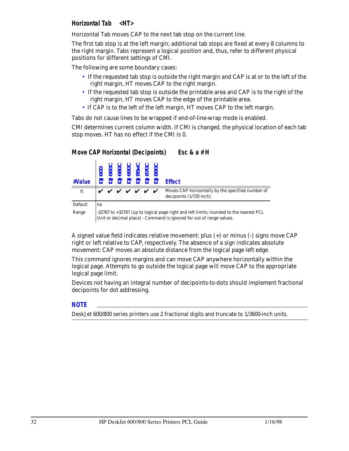## *Horizontal Tab <HT>*

Horizontal Tab moves CAP to the next tab stop on the current line.

The first tab stop is at the left margin; additional tab stops are fixed at every 8 columns to the right margin. Tabs represent a logical position and, thus, refer to different physical positions for different settings of CMI.

The following are some boundary cases:

- If the requested tab stop is outside the right margin and CAP is at or to the left of the right margin, HT moves CAP to the right margin.
- If the requested tab stop is outside the printable area and CAP is to the right of the right margin, HT moves CAP to the edge of the printable area.
- If CAP is to the left of the left margin, HT moves CAP to the left margin.

Tabs do not cause lines to be wrapped if end-of-line-wrap mode is enabled.

CMI determines current column width. If CMI is changed, the physical location of each tab stop moves. HT has no effect if the CMI is 0.

| #Value      |    |                                                                                                                                                                |  |                    |  |  |  | <b>Effect</b>                                                                 |  |  |  |  |
|-------------|----|----------------------------------------------------------------------------------------------------------------------------------------------------------------|--|--------------------|--|--|--|-------------------------------------------------------------------------------|--|--|--|--|
| $\mathbf n$ |    |                                                                                                                                                                |  | <i>v v v v v v</i> |  |  |  | Moves CAP horizontally by the specified number of<br>decipoints (1/720 inch). |  |  |  |  |
| Default     | na |                                                                                                                                                                |  |                    |  |  |  |                                                                               |  |  |  |  |
| Range       |    | -32767 to +32767 (up to logical page right and left limits; rounded to the nearest PCL<br>Unit or decimal place) - Command is ignored for out of range values. |  |                    |  |  |  |                                                                               |  |  |  |  |

## *Move CAP Horizontal (Decipoints) Esc & a # H*

A signed value field indicates relative movement: plus (+) or minus (-) signs move CAP right or left relative to CAP, respectively. The absence of a sign indicates absolute movement: CAP moves an absolute distance from the logical page left edge.

This command ignores margins and can move CAP anywhere horizontally within the logical page. Attempts to go outside the logical page will move CAP to the appropriate logical page limit.

Devices not having an integral number of decipoints-to-dots should implement fractional decipoints for dot addressing.

#### *NOTE*

DeskJet 600/800 series printers use 2 fractional digits and truncate to 1/3600-inch units.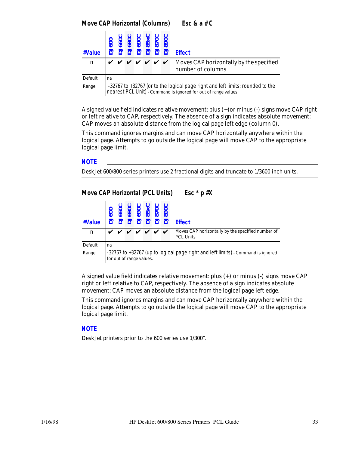| Esc & a # C |  |  |  |  |
|-------------|--|--|--|--|
|-------------|--|--|--|--|

| #Value      |    |                                                                                |  |  |  |  |                      | <b>Effect</b>                                                |  |  |  |  |  |
|-------------|----|--------------------------------------------------------------------------------|--|--|--|--|----------------------|--------------------------------------------------------------|--|--|--|--|--|
| $\mathbf n$ |    |                                                                                |  |  |  |  | <i>v v v v v v v</i> | Moves CAP horizontally by the specified<br>number of columns |  |  |  |  |  |
| Default     | na |                                                                                |  |  |  |  |                      |                                                              |  |  |  |  |  |
| Range       |    | -32767 to +32767 (or to the logical page right and left limits; rounded to the |  |  |  |  |                      |                                                              |  |  |  |  |  |

nearest PCL Unit) - Command is ignored for out of range values.

A signed value field indicates relative movement: plus (+)or minus (-) signs move CAP right or left relative to CAP, respectively. The absence of a sign indicates absolute movement: CAP moves an absolute distance from the logical page left edge (column 0).

This command ignores margins and can move CAP horizontally anywhere within the logical page. Attempts to go outside the logical page will move CAP to the appropriate logical page limit.

#### *NOTE*

DeskJet 600/800 series printers use 2 fractional digits and truncate to 1/3600-inch units.

## *Move CAP Horizontal (PCL Units) Esc \* p #X*

| #Value      |    | $\overline{6}$                                                                                               |  |  |              | 8900<br>85 X X 85<br>85 X 060 |                    | <b>Effect</b>                                                         |  |  |  |  |
|-------------|----|--------------------------------------------------------------------------------------------------------------|--|--|--------------|-------------------------------|--------------------|-----------------------------------------------------------------------|--|--|--|--|
| $\mathbf n$ |    |                                                                                                              |  |  | $\checkmark$ |                               | $\boldsymbol{\nu}$ | Moves CAP horizontally by the specified number of<br><b>PCL Units</b> |  |  |  |  |
| Default     | na |                                                                                                              |  |  |              |                               |                    |                                                                       |  |  |  |  |
| Range       |    | -32767 to +32767 (up to logical page right and left limits) - Command is ignored<br>for out of range values. |  |  |              |                               |                    |                                                                       |  |  |  |  |

A signed value field indicates relative movement: plus (+) or minus (-) signs move CAP right or left relative to CAP, respectively. The absence of a sign indicates absolute movement: CAP moves an absolute distance from the logical page left edge.

This command ignores margins and can move CAP horizontally anywhere within the logical page. Attempts to go outside the logical page will move CAP to the appropriate logical page limit.

#### *NOTE*

DeskJet printers prior to the 600 series use 1/300".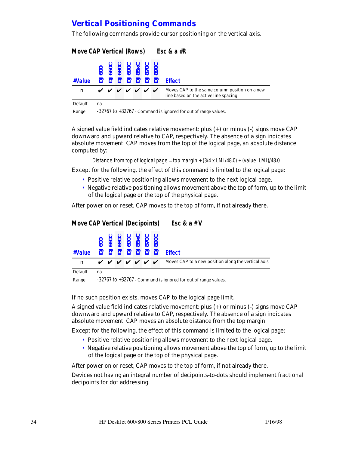# *Vertical Positioning Commands*

The following commands provide cursor positioning on the vertical axis.

| <b>Move CAP Vertical (Rows)</b> |                                                                |  |  |  |  |  |  | Esc & $a$ #R                                                                            |  |  |  |  |  |
|---------------------------------|----------------------------------------------------------------|--|--|--|--|--|--|-----------------------------------------------------------------------------------------|--|--|--|--|--|
| #Value                          |                                                                |  |  |  |  |  |  | <b>Effect</b>                                                                           |  |  |  |  |  |
| $\mathbf n$                     |                                                                |  |  |  |  |  |  | Moves CAP to the same column position on a new<br>line based on the active line spacing |  |  |  |  |  |
| Default                         | na                                                             |  |  |  |  |  |  |                                                                                         |  |  |  |  |  |
| Range                           | -32767 to +32767 - Command is ignored for out of range values. |  |  |  |  |  |  |                                                                                         |  |  |  |  |  |

A signed value field indicates relative movement: plus (+) or minus (-) signs move CAP downward and upward relative to CAP, respectively. The absence of a sign indicates absolute movement: CAP moves from the top of the logical page, an absolute distance computed by:

Distance from top of logical page = top margin +  $(3/4 \times LMI/48.0)$  +  $(value LMI)/48.0$ 

Except for the following, the effect of this command is limited to the logical page:

- Positive relative positioning allows movement to the next logical page.
- Negative relative positioning allows movement above the top of form, up to the limit of the logical page or the top of the physical page.

After power on or reset, CAP moves to the top of form, if not already there.

#### *Move CAP Vertical (Decipoints) Esc & a # V*

| #Value  |    |  |  | 222222 | <b>Effect</b>                                                                                 |
|---------|----|--|--|--------|-----------------------------------------------------------------------------------------------|
| n       |    |  |  |        | $\vee \vee \vee \vee \vee \vee \vee \vee$ Moves CAP to a new position along the vertical axis |
| Default | na |  |  |        |                                                                                               |

Range  $\vert$  -32767 to +32767 - Command is ignored for out of range values.

If no such position exists, moves CAP to the logical page limit.

A signed value field indicates relative movement: plus (+) or minus (-) signs move CAP downward and upward relative to CAP, respectively. The absence of a sign indicates absolute movement: CAP moves an absolute distance from the top margin.

Except for the following, the effect of this command is limited to the logical page:

- Positive relative positioning allows movement to the next logical page.
- Negative relative positioning allows movement above the top of form, up to the limit of the logical page or the top of the physical page.

After power on or reset, CAP moves to the top of form, if not already there.

Devices not having an integral number of decipoints-to-dots should implement fractional decipoints for dot addressing.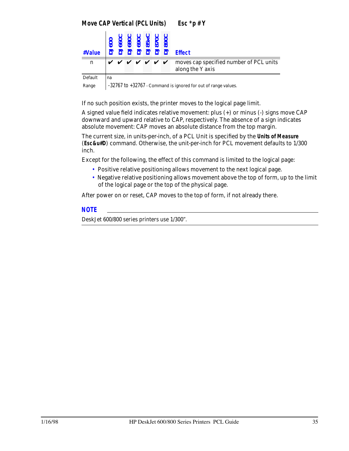*Move CAP Vertical (PCL Units) Esc \*p # Y*

| #Value  |    |  |  | 0600<br>06000<br>0500<br>06000<br>222222 | <b>Effect</b>                                                                                         |
|---------|----|--|--|------------------------------------------|-------------------------------------------------------------------------------------------------------|
| n       |    |  |  |                                          | $\vee$ $\vee$ $\vee$ $\vee$ $\vee$ $\vee$ moves cap specified number of PCL units<br>along the Y axis |
| Default | na |  |  |                                          |                                                                                                       |

Range | -32767 to +32767 - Command is ignored for out of range values.

If no such position exists, the printer moves to the logical page limit.

A signed value field indicates relative movement: plus (+) or minus (-) signs move CAP downward and upward relative to CAP, respectively. The absence of a sign indicates absolute movement: CAP moves an absolute distance from the top margin.

The current size, in units-per-inch, of a PCL Unit is specified by the **Units of Measure** (*Esc&u#D*) command. Otherwise, the unit-per-inch for PCL movement defaults to 1/300 inch.

Except for the following, the effect of this command is limited to the logical page:

- Positive relative positioning allows movement to the next logical page.
- Negative relative positioning allows movement above the top of form, up to the limit of the logical page or the top of the physical page.

After power on or reset, CAP moves to the top of form, if not already there.

#### *NOTE*

DeskJet 600/800 series printers use 1/300".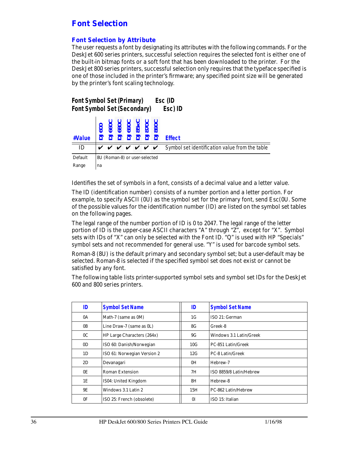## *Font Selection*

### *Font Selection by Attribute*

The user requests a font by designating its attributes with the following commands. For the DeskJet 600 series printers, successful selection requires the selected font is either one of the built-in bitmap fonts or a soft font that has been downloaded to the printer. For the DeskJet 800 series printers, successful selection only requires that the typeface specified is one of those included in the printer's firmware; any specified point size will be generated by the printer's font scaling technology.

| <b>Font Symbol Set (Primary)</b><br>Esc (ID<br><b>Font Symbol Set (Secondary)</b><br>Esc) ID |                               |  |  |                          |                                                |  |                      |                                                |  |  |  |  |  |
|----------------------------------------------------------------------------------------------|-------------------------------|--|--|--------------------------|------------------------------------------------|--|----------------------|------------------------------------------------|--|--|--|--|--|
| #Value                                                                                       |                               |  |  | $\overline{\phantom{a}}$ | 990C<br>990C<br>990C<br>990C<br>990C<br>$\Box$ |  |                      | <b>Effect</b>                                  |  |  |  |  |  |
| ID                                                                                           |                               |  |  |                          |                                                |  | <i>v v v v v v v</i> | Symbol set identification value from the table |  |  |  |  |  |
| Default                                                                                      | 8U (Roman-8) or user-selected |  |  |                          |                                                |  |                      |                                                |  |  |  |  |  |
| Range                                                                                        | na                            |  |  |                          |                                                |  |                      |                                                |  |  |  |  |  |

Identifies the set of symbols in a font, consists of a decimal value and a letter value.

The ID (identification number) consists of a number portion and a letter portion. For example, to specify ASCII (0U) as the symbol set for the primary font, send Esc(0U. Some of the possible values for the identification number (ID) are listed on the symbol set tables on the following pages.

The legal range of the number portion of ID is 0 to 2047. The legal range of the letter portion of ID is the upper-case ASCII characters "A" through "Z", except for "X". Symbol sets with IDs of "X" can only be selected with the Font ID. "Q" is used with HP "Specials" symbol sets and not recommended for general use. "Y" is used for barcode symbol sets.

Roman-8 (8U) is the default primary and secondary symbol set; but a user-default may be selected. Roman-8 is selected if the specified symbol set does not exist or cannot be satisfied by any font.

The following table lists printer-supported symbol sets and symbol set IDs for the DeskJet 600 and 800 series printers.

| ID             | <b>Symbol Set Name</b>      | ID  | <b>Symbol Set Name</b>  |
|----------------|-----------------------------|-----|-------------------------|
| 0A             | Math-7 (same as 0M)         | 1G  | ISO 21: German          |
| 0B             | Line Draw-7 (same as 0L)    | 8G  | Greek-8                 |
| 0 <sup>C</sup> | HP Large Characters (264x)  | 9G  | Windows 3.1 Latin/Greek |
| 0 <sub>D</sub> | ISO 60: Danish/Norwegian    | 10G | PC-851 Latin/Greek      |
| 1D             | ISO 61: Norwegian Version 2 | 12G | <b>PC-8 Latin/Greek</b> |
| 2D             | Devanagari                  | 0H  | Hebrew-7                |
| 0E             | <b>Roman Extension</b>      | 7H  | ISO 8859/8 Latin/Hebrew |
| 1E             | IS04: United Kingdom        | 8H  | Hebrew-8                |
| 9E             | Windows 3.1 Latin 2         | 15H | PC-862 Latin/Hebrew     |
| 0 <sup>F</sup> | ISO 25: French (obsolete)   | 0I  | ISO 15: Italian         |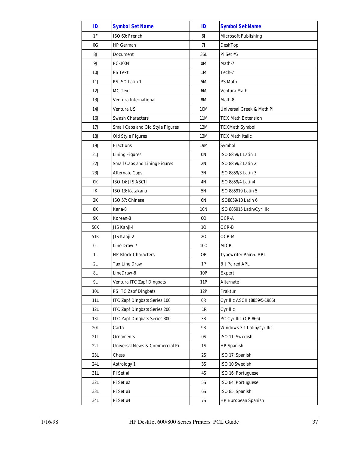| ID             | <b>Symbol Set Name</b>               | ID             | <b>Symbol Set Name</b>       |
|----------------|--------------------------------------|----------------|------------------------------|
| 1F             | ISO 69: French                       | 6J             | <b>Microsoft Publishing</b>  |
| 0G             | <b>HP</b> German                     | 7J             | DeskTop                      |
| <b>8J</b>      | Document                             | 36L            | Pi Set #6                    |
| 9J             | PC-1004                              | 0M             | Math-7                       |
| 10J            | <b>PS Text</b>                       | 1M             | Tech-7                       |
| 11J            | PS ISO Latin 1                       | 5M             | PS Math                      |
| 12J            | <b>MC Text</b>                       | 6M             | Ventura Math                 |
| 13J            | Ventura International                | <b>8M</b>      | Math-8                       |
| 14J            | Ventura US                           | 10M            | Universal Greek & Math Pi    |
| 16J            | <b>Swash Characters</b>              | 11M            | TEX Math Extension           |
| 17J            | Small Caps and Old Style Figures     | 12M            | <b>TEXMath Symbol</b>        |
| 18J            | <b>Old Style Figures</b>             | 13M            | <b>TEX Math Italic</b>       |
| 19J            | <b>Fractions</b>                     | 19M            | Symbol                       |
| 21J            | <b>Lining Figures</b>                | 0 <sup>N</sup> | ISO 8859/1 Latin 1           |
| 22J            | <b>Small Caps and Lining Figures</b> | 2N             | ISO 8859/2 Latin 2           |
| 23J            | <b>Alternate Caps</b>                | 3N             | ISO 8859/3 Latin 3           |
| 0K             | ISO 14: JIS ASCII                    | 4N             | <b>ISO 8859/4 Latin4</b>     |
| lK             | ISO 13: Katakana                     | 5N             | ISO 885919 Latin 5           |
| 2K             | ISO 57: Chinese                      | 6N             | ISO8859/10 Latin 6           |
| 8K             | Kana-8                               | 10N            | ISO 885915 Latin/Cyrillic    |
| 9K             | Korean-8                             | 0 <sub>O</sub> | OCR-A                        |
| 50K            | JIS Kanji-l                          | 10             | OCR-B                        |
| 51K            | JIS Kanji-2                          | 20             | OCR-M                        |
| 0 <sub>L</sub> | Line Draw-7                          | <b>10O</b>     | <b>MICR</b>                  |
| 1L             | <b>HP Block Characters</b>           | <b>OP</b>      | <b>Typewriter Paired APL</b> |
| 2L             | <b>Tax Line Draw</b>                 | 1P             | <b>Bit Paired APL</b>        |
| 8L             | LineDraw-8                           | 10P            | <b>Expert</b>                |
| 9L             | <b>Ventura ITC Zapf Dingbats</b>     | 11P            | Alternate                    |
| 10L            | <b>PS ITC Zapf Dingbats</b>          | 12P            | Fraktur                      |
| 11L            | <b>ITC Zapf Dingbats Series 100</b>  | 0 <sub>R</sub> | Cyrillic ASCII (8859/5-1986) |
| 12L            | <b>ITC Zapf Dingbats Series 200</b>  | 1R             | Cyrillic                     |
| 13L            | <b>ITC Zapf Dingbats Series 300</b>  | 3R             | PC Cyrillic (CP 866)         |
| 20L            | Carta                                | 9R             | Windows 3.1 Latin/Cyrillic   |
| 21L            | Ornaments                            | 0S             | ISO 11: Swedish              |
| $22\mathrm{L}$ | Universal News & Commercial Pi       | 1S             | <b>HP</b> Spanish            |
| 23L            | Chess                                | 2S             | ISO 17: Spanish              |
| 24L            | Astrology 1                          | 3S             | ISO 10 Swedish               |
| 31L            | Pi Set #1                            | 4S             | ISO 16: Portuguese           |
| 32L            | Pi Set #2                            | 5S             | ISO 84: Portuguese           |
| 33L            | Pi Set #3                            | 6S             | ISO 85: Spanish              |
| 34L            | Pi Set #4                            | 7S             | <b>HP European Spanish</b>   |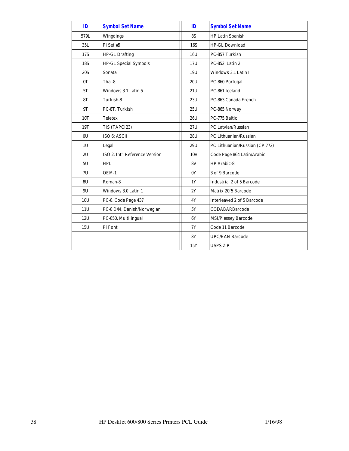| ID         | <b>Symbol Set Name</b>         | ID         | <b>Symbol Set Name</b>            |
|------------|--------------------------------|------------|-----------------------------------|
| 579L       | Wingdings                      | <b>8S</b>  | HP Latin Spanish                  |
| 35L        | Pi Set #5                      | <b>16S</b> | HP-GL Download                    |
| <b>17S</b> | <b>HP-GL Drafting</b>          | 16U        | PC-857 Turkish                    |
| <b>18S</b> | <b>HP-GL Special Symbols</b>   | 17U        | PC-852, Latin 2                   |
| <b>20S</b> | Sonata                         | 19U        | Windows 3.1 Latin I               |
| 0T         | Thai-8                         | <b>20U</b> | PC-860 Portugal                   |
| 5T         | Windows 3.1 Latin 5            | 21U        | PC-861 Iceland                    |
| <b>8T</b>  | Turkish-8                      | 23U        | PC-863 Canada French              |
| 9T         | PC-8T, Turkish                 | 25U        | PC-865 Norway                     |
| 10T        | Teletex                        | 26U        | PC-775 Baltic                     |
| 19T        | TIS (TAPCI23)                  | 27U        | PC Latvian/Russian                |
| 0U         | ISO 6: ASCII                   | 28U        | PC Lithuanian/Russian             |
| 1U         | Legal                          | 29U        | PC Lithuanian/Russian (CP 772)    |
| 2U         | ISO 2: Int'l Reference Version | <b>10V</b> | Code Page 864 Latin/Arabic        |
| 5U         | HPL                            | <b>8V</b>  | HP Arabic-8                       |
| 7U         | OEM-1                          | 0Y         | 3 of 9 Barcode                    |
| 8U         | Roman-8                        | 1Y         | <b>Industrial 2 of 5 Barcode</b>  |
| 9U         | Windows 3.0 Latin 1            | 2Y         | Matrix 20f5 Barcode               |
| 10U        | PC-8, Code Page 437            | 4Y         | <b>Interleaved 2 of 5 Barcode</b> |
| 11U        | PC-8 D/N, Danish/Norwegian     | 5Y         | <b>CODABARBarcode</b>             |
| 12U        | PC-850, Multilingual           | 6Y         | <b>MSI/Plessey Barcode</b>        |
| 15U        | Pi Font                        | 7Y         | Code 11 Barcode                   |
|            |                                | <b>8Y</b>  | <b>UPC/EAN Barcode</b>            |
|            |                                | 15Y        | <b>USPS ZIP</b>                   |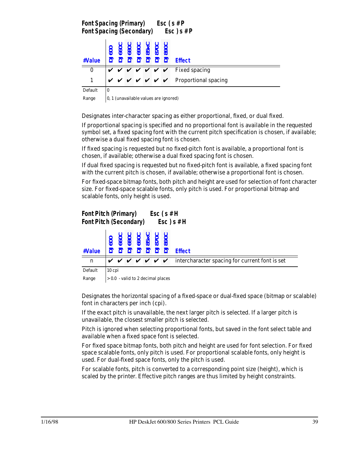|                  | Font Spacing (Primary) Esc $(s \# P)$<br>$\mathsf{Esc}\,$ ) s # P<br><b>Font Spacing (Secondary)</b> |  |  |  |                                                                                                                                          |  |  |                                                                                                          |  |  |  |  |  |  |
|------------------|------------------------------------------------------------------------------------------------------|--|--|--|------------------------------------------------------------------------------------------------------------------------------------------|--|--|----------------------------------------------------------------------------------------------------------|--|--|--|--|--|--|
| #Value           |                                                                                                      |  |  |  | 600<br>660C<br>680C<br>690C<br>85XC<br>890C<br>$\overline{2}$ $\overline{2}$ $\overline{2}$ $\overline{3}$ $\overline{3}$ $\overline{3}$ |  |  | <b>Fffect</b>                                                                                            |  |  |  |  |  |  |
| $\boldsymbol{0}$ |                                                                                                      |  |  |  |                                                                                                                                          |  |  | $\mathsf{v} \ \mathsf{v} \ \mathsf{v} \ \mathsf{v} \ \mathsf{v} \ \mathsf{v} \ \mathsf{v}$ Fixed spacing |  |  |  |  |  |  |
|                  |                                                                                                      |  |  |  |                                                                                                                                          |  |  | $\vee$ $\vee$ $\vee$ $\vee$ $\vee$ $\vee$ Proportional spacing                                           |  |  |  |  |  |  |
| Default          | $\boldsymbol{0}$                                                                                     |  |  |  |                                                                                                                                          |  |  |                                                                                                          |  |  |  |  |  |  |

Range  $\vert$  0, 1 (unavailable values are ignored)

Designates inter-character spacing as either proportional, fixed, or dual fixed.

If proportional spacing is specified and no proportional font is available in the requested symbol set, a fixed spacing font with the current pitch specification is chosen, if available; otherwise a dual fixed spacing font is chosen.

If fixed spacing is requested but no fixed-pitch font is available, a proportional font is chosen, if available; otherwise a dual fixed spacing font is chosen.

If dual fixed spacing is requested but no fixed-pitch font is available, a fixed spacing font with the current pitch is chosen, if available; otherwise a proportional font is chosen.

For fixed-space bitmap fonts, both pitch and height are used for selection of font character size. For fixed-space scalable fonts, only pitch is used. For proportional bitmap and scalable fonts, only height is used.

|         | <b>Font Pitch (Primary)</b><br>$Esc$ (s #H<br>$Esc$ ) $s$ #H<br><b>Font Pitch (Secondary)</b> |                                     |  |  |  |  |                    |                                                |  |  |  |  |  |  |
|---------|-----------------------------------------------------------------------------------------------|-------------------------------------|--|--|--|--|--------------------|------------------------------------------------|--|--|--|--|--|--|
| #Value  |                                                                                               |                                     |  |  |  |  |                    | <b>Effect</b>                                  |  |  |  |  |  |  |
| n       |                                                                                               |                                     |  |  |  |  | <i>v v v v v v</i> | intercharacter spacing for current font is set |  |  |  |  |  |  |
| Default |                                                                                               | $10$ cpi                            |  |  |  |  |                    |                                                |  |  |  |  |  |  |
| Range   |                                                                                               | $> 0.0$ - valid to 2 decimal places |  |  |  |  |                    |                                                |  |  |  |  |  |  |

Designates the horizontal spacing of a fixed-space or dual-fixed space (bitmap or scalable) font in characters per inch (cpi).

If the exact pitch is unavailable, the next larger pitch is selected. If a larger pitch is unavailable, the closest smaller pitch is selected.

Pitch is ignored when selecting proportional fonts, but saved in the font select table and available when a fixed space font is selected.

For fixed space bitmap fonts, both pitch and height are used for font selection. For fixed space scalable fonts, only pitch is used. For proportional scalable fonts, only height is used. For dual-fixed space fonts, only the pitch is used.

For scalable fonts, pitch is converted to a corresponding point size (height), which is scaled by the printer. Effective pitch ranges are thus limited by height constraints.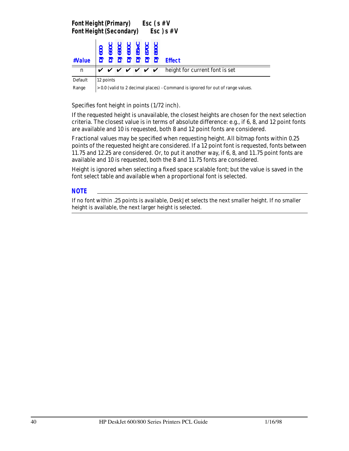| <b>Font Height (Primary)</b><br><b>Font Height (Secondary)</b> |           |  |                                                                     |  | Esc (s # V<br>$Esc$ ) s #V                                                                         |
|----------------------------------------------------------------|-----------|--|---------------------------------------------------------------------|--|----------------------------------------------------------------------------------------------------|
| #Value                                                         |           |  | <b>DJ600<br/>DJ660C<br/>DJ880C<br/>DJ85xC<br/>DJ870C<br/>DJ870C</b> |  | <b>Effect</b>                                                                                      |
| n                                                              |           |  |                                                                     |  | $\mathbf{v} \mathbf{v} \mathbf{v} \mathbf{v} \mathbf{v} \mathbf{v}$ beight for current font is set |
| Default                                                        | 12 points |  |                                                                     |  |                                                                                                    |

Range > 0.0 (valid to 2 decimal places) - Command is ignored for out of range values.

Specifies font height in points (1/72 inch).

If the requested height is unavailable, the closest heights are chosen for the next selection criteria. The closest value is in terms of absolute difference: e.g., if 6, 8, and 12 point fonts are available and 10 is requested, both 8 and 12 point fonts are considered.

Fractional values may be specified when requesting height. All bitmap fonts within 0.25 points of the requested height are considered. If a 12 point font is requested, fonts between 11.75 and 12.25 are considered. Or, to put it another way, if 6, 8, and 11.75 point fonts are available and 10 is requested, both the 8 and 11.75 fonts are considered.

Height is ignored when selecting a fixed space scalable font; but the value is saved in the font select table and available when a proportional font is selected.

#### *NOTE*

If no font within .25 points is available, DeskJet selects the next smaller height. If no smaller height is available, the next larger height is selected.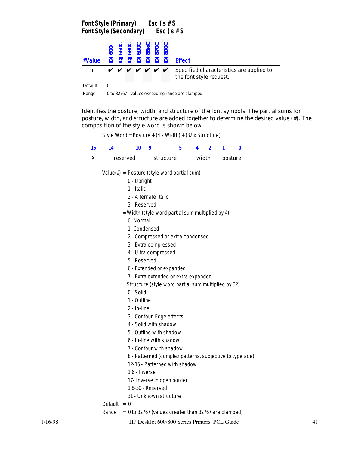|         | Font Style (Primary) $\text{Esc}(s \# S)$<br>$Esc$ ) s # S<br><b>Font Style (Secondary)</b> |                                                         |  |  |  |  |  |                                                                     |  |  |  |  |  |  |
|---------|---------------------------------------------------------------------------------------------|---------------------------------------------------------|--|--|--|--|--|---------------------------------------------------------------------|--|--|--|--|--|--|
| #Value  |                                                                                             | DJ600<br>DJ660C<br>DJ690C<br>DJ85xC<br>DJ870C<br>DJ870C |  |  |  |  |  | <b>Effect</b>                                                       |  |  |  |  |  |  |
| n       |                                                                                             | <i>v v v v v v v</i>                                    |  |  |  |  |  | Specified characteristics are applied to<br>the font style request. |  |  |  |  |  |  |
| Default | $\bf{0}$                                                                                    |                                                         |  |  |  |  |  |                                                                     |  |  |  |  |  |  |

Range  $\vert$  0 to 32767 - values exceeding range are clamped.

Identifies the posture, width, and structure of the font symbols. The partial sums for posture, width, and structure are added together to determine the desired value (#). The composition of the style word is shown below.

Style Word = Posture + (4 x Width) + (32 x Structure)

| 15           | 14                                                            | 10                                          | 9 | 5                                                     | 4     | $\overline{2}$ | 1 | 0       |  |  |  |
|--------------|---------------------------------------------------------------|---------------------------------------------|---|-------------------------------------------------------|-------|----------------|---|---------|--|--|--|
| X            |                                                               | reserved                                    |   | structure                                             | width |                |   | posture |  |  |  |
|              |                                                               |                                             |   |                                                       |       |                |   |         |  |  |  |
|              |                                                               | Value(#) = Posture (style word partial sum) |   |                                                       |       |                |   |         |  |  |  |
|              |                                                               | 0 - Upright<br>1 - Italic                   |   |                                                       |       |                |   |         |  |  |  |
|              |                                                               | 2 - Alternate Italic                        |   |                                                       |       |                |   |         |  |  |  |
|              |                                                               | 3 - Reserved                                |   |                                                       |       |                |   |         |  |  |  |
|              |                                                               |                                             |   |                                                       |       |                |   |         |  |  |  |
|              | = Width (style word partial sum multiplied by 4)<br>0- Normal |                                             |   |                                                       |       |                |   |         |  |  |  |
|              |                                                               | 1- Condensed                                |   |                                                       |       |                |   |         |  |  |  |
|              |                                                               |                                             |   |                                                       |       |                |   |         |  |  |  |
|              | 2 - Compressed or extra condensed<br>3 - Extra compressed     |                                             |   |                                                       |       |                |   |         |  |  |  |
|              | 4 - Ultra compressed                                          |                                             |   |                                                       |       |                |   |         |  |  |  |
|              | 5 - Reserved                                                  |                                             |   |                                                       |       |                |   |         |  |  |  |
|              |                                                               |                                             |   | 6 - Extended or expanded                              |       |                |   |         |  |  |  |
|              |                                                               |                                             |   | 7 - Extra extended or extra expanded                  |       |                |   |         |  |  |  |
|              |                                                               |                                             |   | = Structure (style word partial sum multiplied by 32) |       |                |   |         |  |  |  |
|              |                                                               | 0 - Solid                                   |   |                                                       |       |                |   |         |  |  |  |
|              |                                                               | 1 - Outline                                 |   |                                                       |       |                |   |         |  |  |  |
|              |                                                               | 2 - In-line                                 |   |                                                       |       |                |   |         |  |  |  |
|              |                                                               |                                             |   | 3 - Contour, Edge effects                             |       |                |   |         |  |  |  |
|              |                                                               |                                             |   | 4 - Solid with shadow                                 |       |                |   |         |  |  |  |
|              |                                                               |                                             |   | 5 - Outline with shadow                               |       |                |   |         |  |  |  |
|              | 6 - In-line with shadow                                       |                                             |   |                                                       |       |                |   |         |  |  |  |
|              | 7 - Contour with shadow                                       |                                             |   |                                                       |       |                |   |         |  |  |  |
|              | 8 - Patterned (complex patterns, subjective to typeface)      |                                             |   |                                                       |       |                |   |         |  |  |  |
|              | 12-15 - Patterned with shadow                                 |                                             |   |                                                       |       |                |   |         |  |  |  |
| 16 - Inverse |                                                               |                                             |   |                                                       |       |                |   |         |  |  |  |
|              |                                                               |                                             |   | 17- Inverse in open border                            |       |                |   |         |  |  |  |
|              |                                                               | 18-30 - Reserved                            |   |                                                       |       |                |   |         |  |  |  |
|              |                                                               |                                             |   | 31 - Unknown structure                                |       |                |   |         |  |  |  |
|              |                                                               |                                             |   |                                                       |       |                |   |         |  |  |  |

Default  $= 0$ 

Range = 0 to 32767 (values greater than 32767 are clamped)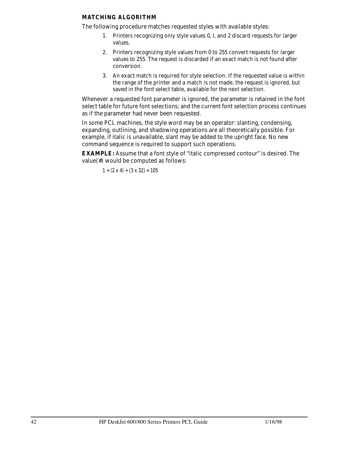#### **MATCHING ALGORITHM**

The following procedure matches requested styles with available styles:

- 1. Printers recognizing only style values 0, l, and 2 discard requests for larger values.
- 2. Printers recognizing style values from 0 to 255 convert requests for larger values to 255. The request is discarded if an exact match is not found after conversion.
- 3. An exact match is required for style selection. If the requested value is within the range of the printer and a match is not made, the request is ignored, but saved in the font select table, available for the next selection.

Whenever a requested font parameter is ignored, the parameter is retained in the font select table for future font selections; and the current font selection process continues as if the parameter had never been requested.

In some PCL machines, the style word may be an operator: slanting, condensing, expanding, outlining, and shadowing operations are all theoretically possible. For example, if italic is unavailable, slant may be added to the upright face. No new command sequence is required to support such operations.

**EXAMPLE:** Assume that a font style of "italic compressed contour" is desired. The value(#) would be computed as follows:

 $1 + (2 \times 4) + (3 \times 32) = 105$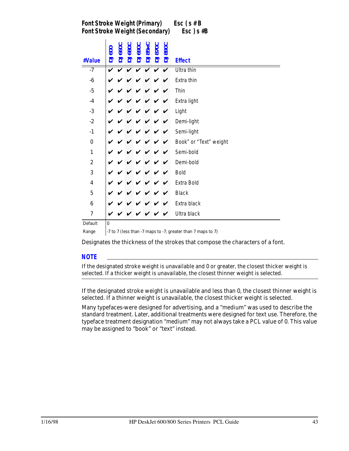*Font Stroke Weight (Primary) Esc ( s # B Font Stroke Weight (Secondary) Esc ) s #B*

| #Value                  | DJ600    | <b>DJ6600</b> | <b>DJ680C</b> | <b>DJ690C</b> | <b>DJ85xC</b>      | <b>DJ8700</b> | <b>DJ890C</b> | <b>Effect</b>          |
|-------------------------|----------|---------------|---------------|---------------|--------------------|---------------|---------------|------------------------|
| $-7$                    | V        |               |               |               | $\boldsymbol{\nu}$ | ✓             | V             | Ultra thin             |
| $-6$                    |          |               |               |               |                    |               |               | Extra thin             |
| $-5$                    |          |               |               |               |                    |               |               | Thin                   |
| $-4$                    |          |               |               |               |                    |               |               | Extra light            |
| $-3$                    |          |               |               |               |                    |               |               | Light                  |
| $-2$                    |          |               |               |               |                    |               |               | Demi-light             |
| $-1$                    |          |               |               |               |                    |               |               | Semi-light             |
| $\bf{0}$                |          |               |               |               |                    |               | ✓             | Book" or "Text" weight |
| $\mathbf{1}$            |          |               |               |               |                    |               | ✓             | Semi-bold              |
| $\boldsymbol{2}$        |          |               |               |               |                    |               | ✔             | Demi-bold              |
| 3                       |          |               |               |               |                    |               |               | <b>Bold</b>            |
| $\overline{\mathbf{4}}$ |          |               |               |               |                    |               |               | Extra Bold             |
| $\overline{5}$          |          |               |               |               |                    |               |               | <b>Black</b>           |
| $\boldsymbol{6}$        |          |               |               |               |                    |               |               | Extra black            |
| $\overline{7}$          |          |               |               |               |                    |               |               | Ultra black            |
| Default                 | $\bf{0}$ |               |               |               |                    |               |               |                        |

Range  $\vert$  -7 to 7 (less than -7 maps to -7; greater than 7 maps to 7)

Designates the thickness of the strokes that compose the characters of a font.

#### *NOTE*

If the designated stroke weight is unavailable and 0 or greater, the closest thicker weight is selected. If a thicker weight is unavailable, the closest thinner weight is selected.

If the designated stroke weight is unavailable and less than 0, the closest thinner weight is selected. If a thinner weight is unavailable, the closest thicker weight is selected.

Many typefaces-were designed for advertising, and a "medium" was used to describe the standard treatment. Later, additional treatments were designed for text use. Therefore, the typeface treatment designation "medium" may not always take a PCL value of 0. This value may be assigned to "book" or "text" instead.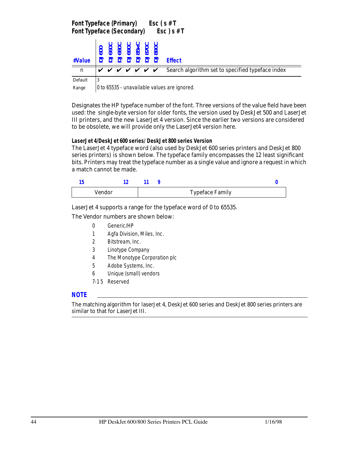|         | <b>Font Typeface (Primary)</b><br>Esc ( $s$ # T<br>$\mathsf{Esc}\,$ ) s # T<br><b>Font Typeface (Secondary)</b> |  |  |  |  |  |                                      |                                                  |  |  |  |  |  |
|---------|-----------------------------------------------------------------------------------------------------------------|--|--|--|--|--|--------------------------------------|--------------------------------------------------|--|--|--|--|--|
| #Value  | <b>SOO</b>                                                                                                      |  |  |  |  |  | 890C<br>890C<br>890C<br>890C<br>890C | <b>Effect</b>                                    |  |  |  |  |  |
| n       |                                                                                                                 |  |  |  |  |  | <i>v v v v v v v</i>                 | Search algorithm set to specified typeface index |  |  |  |  |  |
| Default | 3                                                                                                               |  |  |  |  |  |                                      |                                                  |  |  |  |  |  |

Range  $\vert$  0 to 65535 - unavailable values are ignored.

Designates the HP typeface number of the font. Three versions of the value field have been used: the single-byte version for older fonts, the version used by DeskJet 500 and LaserJet III printers, and the new LaserJet 4 version. Since the earlier two versions are considered to be obsolete, we will provide only the LaserJet4 version here.

**LaserJet 4/DeskJet 600 series/ DeskJet 800 series Version**

The LaserJet 4 typeface word (also used by DeskJet 600 series printers and DeskJet 800 series printers) is shown below. The typeface family encompasses the 12 least significant bits. Printers may treat the typeface number as a single value and ignore a request in which a match cannot be made.

| Vendor |  | <b>Typeface Family</b> |  |
|--------|--|------------------------|--|

LaserJet 4 supports a range for the typeface word of 0 to 65535.

The Vendor numbers are shown below:

- 0 Generic/HP
- 1 Agfa Division, Miles, Inc.
- 2 Bitstream, Inc.
- 3 Linotype Company
- 4 The Monotype Corporation plc
- 5 Adobe Systems, Inc.
- 6 Unique (small) vendors
- 7-1 5 Reserved

#### *NOTE*

The matching algorithm for laserJet 4, DeskJet 600 series and DeskJet 800 series printers are similar to that for LaserJet III.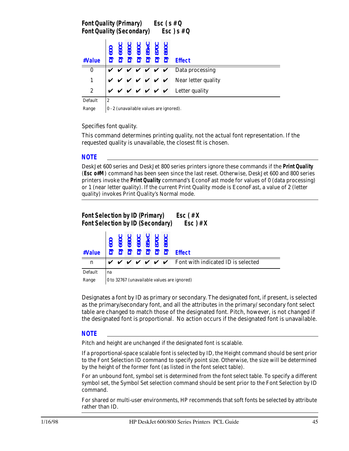|                                        |        |  |  | Font Quality (Primary) Esc (s # Q<br>Font Quality (Secondary) Esc) s # Q |                                                                                                            |  |  |  |
|----------------------------------------|--------|--|--|--------------------------------------------------------------------------|------------------------------------------------------------------------------------------------------------|--|--|--|
| #Value                                 |        |  |  | <b>DJ660C</b><br>DJ680C<br>DJ85xC<br>DJ85xC<br>DJ870C<br>DJ890C          | <b>Effect</b>                                                                                              |  |  |  |
| $\bf{0}$                               |        |  |  |                                                                          | $\mathsf{V} \ \mathsf{V} \ \mathsf{V} \ \mathsf{V} \ \mathsf{V} \ \mathsf{V} \ \mathsf{V}$ Data processing |  |  |  |
|                                        |        |  |  |                                                                          | $\mathbf{v} \times \mathbf{v} \times \mathbf{v} \times \mathbf{v}$ Near letter quality                     |  |  |  |
| $\boldsymbol{2}$                       |        |  |  |                                                                          | $V V V V V V$ Letter quality                                                                               |  |  |  |
| $\mathbf{r}$ $\mathbf{r}$ $\mathbf{r}$ | $\sim$ |  |  |                                                                          |                                                                                                            |  |  |  |

Default

Range  $\vert 0 \cdot 2 \rangle$  (unavailable values are ignored).

Specifies font quality.

This command determines printing quality, not the actual font representation. If the requested quality is unavailable, the closest fit is chosen.

#### *NOTE*

DeskJet 600 series and DeskJet 800 series printers ignore these commands if the **Print Quality** (*Esc o#M*) command has been seen since the last reset. Otherwise, DeskJet 600 and 800 series printers invoke the **Print Quality** command's EconoFast mode for values of 0 (data processing) or 1 (near letter quality). If the current Print Quality mode is EconoFast, a value of 2 (letter quality) invokes Print Quality's Normal mode.

## *Font Selection by ID (Primary) Esc ( # X Font Selection by ID (Secondary) Esc ) # X*

| $\mathbf n$  |    |                                                                                                                                                                                                                                |  |  |  |  |  | $\boldsymbol{v} \boldsymbol{v} \boldsymbol{v} \boldsymbol{v} \boldsymbol{v} \boldsymbol{v}$ $\boldsymbol{v} \boldsymbol{v}$ Font with indicated ID is selected |  |  |  |  |  |
|--------------|----|--------------------------------------------------------------------------------------------------------------------------------------------------------------------------------------------------------------------------------|--|--|--|--|--|----------------------------------------------------------------------------------------------------------------------------------------------------------------|--|--|--|--|--|
| Default      | na |                                                                                                                                                                                                                                |  |  |  |  |  |                                                                                                                                                                |  |  |  |  |  |
| $\mathbf{r}$ |    | $0.000000$ $0.11$ $1.00000$ $1.00000$ $1.00000$ $1.00000$ $1.00000$ $1.00000$ $1.00000$ $1.00000$ $1.00000$ $1.00000$ $1.00000$ $1.00000$ $1.00000$ $1.00000$ $1.00000$ $1.00000$ $1.00000$ $1.00000$ $1.00000$ $1.00000$ $1.$ |  |  |  |  |  |                                                                                                                                                                |  |  |  |  |  |

Range  $\vert$  0 to 32767 (unavailable values are ignored)

Designates a font by ID as primary or secondary. The designated font, if present, is selected as the primary/secondary font, and all the attributes in the primary/ secondary font select table are changed to match those of the designated font. Pitch, however, is not changed if the designated font is proportional. No action occurs if the designated font is unavailable.

#### *NOTE*

Pitch and height are unchanged if the designated font is scalable.

If a proportional-space scalable font is selected by ID, the Height command should be sent prior to the Font Selection ID command to specify point size. Otherwise, the size will be determined by the height of the former font (as listed in the font select table).

For an unbound font, symbol set is determined from the font select table. To specify a different symbol set, the Symbol Set selection command should be sent prior to the Font Selection by ID command.

For shared or multi-user environments, HP recommends that soft fonts be selected by attribute rather than ID.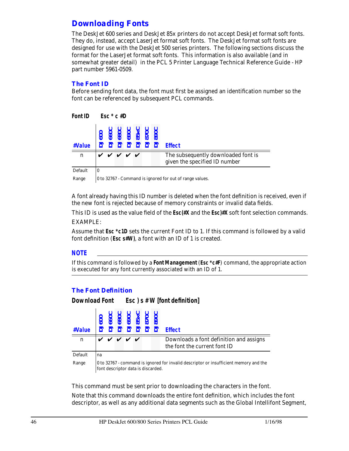## *Downloading Fonts*

The DeskJet 600 series and DeskJet 85x printers do not accept DeskJet format soft fonts. They do, instead, accept LaserJet format soft fonts. The DeskJet format soft fonts are designed for use with the DeskJet 500 series printers. The following sections discuss the format for the LaserJet format soft fonts. This information is also available (and in somewhat greater detail) in the PCL 5 Printer Language Technical Reference Guide - HP part number 5961-0509.

#### *The Font ID*

Before sending font data, the font must first be assigned an identification number so the font can be referenced by subsequent PCL commands.

| <b>Font ID</b> |                  | $Fsc * c #D$     |  |                                                                                                                                                                    |                                                                      |
|----------------|------------------|------------------|--|--------------------------------------------------------------------------------------------------------------------------------------------------------------------|----------------------------------------------------------------------|
| #Value         |                  |                  |  | $\begin{array}{r} \text{DJ600} \\ \text{DJ660C} \\ \text{DJ680C} \\ \text{DJ690C} \\ \text{DJ85XC} \\ \text{DJ870C} \\ \text{DJ870C} \\ \text{DJ870C} \end{array}$ | <b>Effect</b>                                                        |
| $\mathbf n$    |                  | <i>v v v v v</i> |  |                                                                                                                                                                    | The subsequently downloaded font is<br>given the specified ID number |
| Default        | $\boldsymbol{0}$ |                  |  |                                                                                                                                                                    |                                                                      |

Range  $\vert$  0 to 32767 - Command is ignored for out of range values.

A font already having this ID number is deleted when the font definition is received, even if the new font is rejected because of memory constraints or invalid data fields.

This ID is used as the value field of the **Esc(#X** and the *Esc)#X* soft font selection commands.

EXAMPLE:

Assume that *Esc \*c1D* sets the current Font ID to 1. If this command is followed by a valid font definition (*Esc s#W***)**, a font with an ID of 1 is created.

#### *NOTE*

If this command is followed by a **Font Management** (*Esc \*c#F*) command, the appropriate action is executed for any font currently associated with an ID of 1.

#### *The Font Definition*

#### *Download Font Esc ) s # W [font definition]*



This command must be sent prior to downloading the characters in the font. Note that this command downloads the entire font definition, which includes the font

descriptor, as well as any additional data segments such as the Global Intellifont Segment,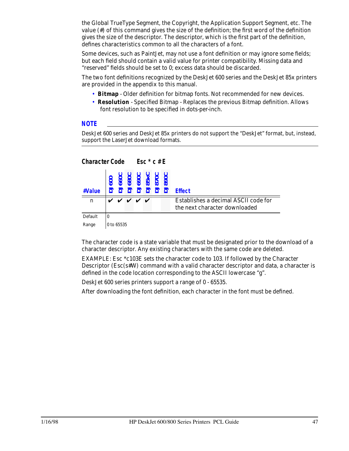the Global TrueType Segment, the Copyright, the Application Support Segment, etc. The value (#) of this command gives the size of the definition; the first word of the definition gives the size of the descriptor. The descriptor, which is the first part of the definition, defines characteristics common to all the characters of a font.

Some devices, such as PaintJet, may not use a font definition or may ignore some fields; but each field should contain a valid value for printer compatibility. Missing data and "reserved" fields should be set to 0; excess data should be discarded.

The two font definitions recognized by the DeskJet 600 series and the DeskJet 85x printers are provided in the appendix to this manual.

- **Bitmap** Older definition for bitmap fonts. Not recommended for new devices.
- **Resolution**  Specified Bitmap Replaces the previous Bitmap definition. Allows font resolution to be specified in dots-per-inch.

#### *NOTE*

DeskJet 600 series and DeskJet 85x printers do not support the "DeskJet" format, but, instead, support the LaserJet download formats.

| <b>Character Code</b> |          |            |   | Esc $*$ c # E                                                       |  |                                                                       |
|-----------------------|----------|------------|---|---------------------------------------------------------------------|--|-----------------------------------------------------------------------|
| #Value                |          |            |   | <b>DJ600<br/>DJ660C<br/>DJ890C<br/>DJ85xC<br/>DJ870C<br/>DJ870C</b> |  | <b>Effect</b>                                                         |
| $\mathbf n$           |          |            | ✓ | $\boldsymbol{\mathcal{U}}$                                          |  | Establishes a decimal ASCII code for<br>the next character downloaded |
| Default               | $\bf{0}$ |            |   |                                                                     |  |                                                                       |
| Range                 |          | 0 to 65535 |   |                                                                     |  |                                                                       |

The character code is a state variable that must be designated prior to the download of a character descriptor. Any existing characters with the same code are deleted.

EXAMPLE: Esc \*c103E sets the character code to 103. If followed by the Character Descriptor (Esc(s#W) command with a valid character descriptor and data, a character is defined in the code location corresponding to the ASCII lowercase "g".

DeskJet 600 series printers support a range of 0 - 65535.

After downloading the font definition, each character in the font must be defined.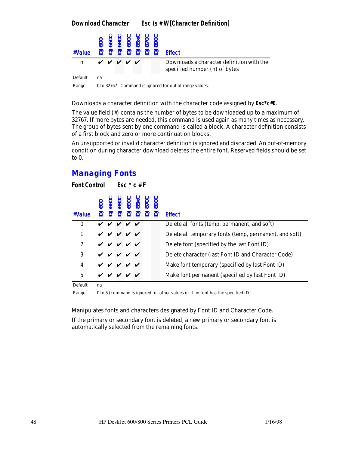## *Download Character Esc (s # W[Character Definition]*

| #Value      |       |  |  | 3772222 | <b>Effect</b>                                                              |
|-------------|-------|--|--|---------|----------------------------------------------------------------------------|
| $\mathbf n$ | レンンンン |  |  |         | Downloads a character definition with the<br>specified number (n) of bytes |
| Default     | na    |  |  |         |                                                                            |

Range  $\vert$  0 to 32767 - Command is ignored for out of range values.

Downloads a character definition with the character code assigned by *Esc\*c#E*.

The value field (#) contains the number of bytes to be downloaded up to a maximum of 32767. If more bytes are needed, this command is used again as many times as necessary. The group of bytes sent by one command is called a block. A character definition consists of a first block and zero or more continuation blocks.

An unsupported or invalid character definition is ignored and discarded. An out-of-memory condition during character download deletes the entire font. Reserved fields should be set to 0.

# *Managing Fonts*

 $F \circ \mathcal{F} \circ \mathcal{F} \circ \mathcal{F} \circ \mathcal{F} \circ \mathcal{F} \circ \mathcal{F} \circ \mathcal{F} \circ \mathcal{F} \circ \mathcal{F} \circ \mathcal{F} \circ \mathcal{F} \circ \mathcal{F} \circ \mathcal{F} \circ \mathcal{F} \circ \mathcal{F} \circ \mathcal{F} \circ \mathcal{F} \circ \mathcal{F} \circ \mathcal{F} \circ \mathcal{F} \circ \mathcal{F} \circ \mathcal{F} \circ \mathcal{F} \circ \mathcal{F} \circ \mathcal{F} \circ \mathcal{F} \circ \mathcal{F} \circ \$ 

| <i>FONL CONTOL</i>      |  |                 | ESC C#F                                                           |  |                                                        |
|-------------------------|--|-----------------|-------------------------------------------------------------------|--|--------------------------------------------------------|
| #Value                  |  |                 | DJ600<br>DJ660C<br>DJ690C<br>DJ85xC<br>DJ870C<br>DJ870C<br>DJ890C |  | <b>Effect</b>                                          |
| $\bf{0}$                |  | V V V V         |                                                                   |  | Delete all fonts (temp, permanent, and soft)           |
| 1                       |  | $V$ $V$ $V$ $V$ |                                                                   |  | Delete all temporary fonts (temp, permanent, and soft) |
| $\boldsymbol{2}$        |  | V V V V V       |                                                                   |  | Delete font (specified by the last Font ID)            |
| 3                       |  | V V V V V       |                                                                   |  | Delete character (last Font ID and Character Code)     |
| $\overline{\mathbf{4}}$ |  | V V V V V       |                                                                   |  | Make font temporary (specified by last Font ID)        |
| 5                       |  | V V V V V       |                                                                   |  | Make font permanent (specified by last Font ID)        |
|                         |  |                 |                                                                   |  |                                                        |

Default na

Range  $\vert$  0 to 5 (command is ignored for other values or if no font has the specified ID)

Manipulates fonts and characters designated by Font ID and Character Code. If the primary or secondary font is deleted, a new primary or secondary font is automatically selected from the remaining fonts.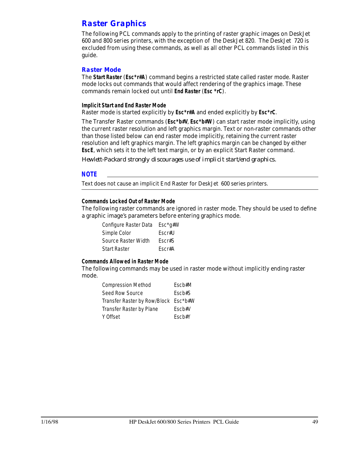## *Raster Graphics*

The following PCL commands apply to the printing of raster graphic images on DeskJet 600 and 800 series printers, with the exception of the DeskJet 820. The DeskJet 720 is excluded from using these commands, as well as all other PCL commands listed in this guide.

#### *Raster Mode*

The **Start Raster** (*Esc\*r#A*) command begins a restricted state called raster mode. Raster mode locks out commands that would affect rendering of the graphics image. These commands remain locked out until **End Raster** (*Esc \*rC*).

**Implicit Start and End Raster Mode**

Raster mode is started explicitly by *Esc\*r#A* and ended explicitly by *Esc\*rC*.

The Transfer Raster commands (*Esc\*b#V*, *Esc\*b#W*) can start raster mode implicitly, using the current raster resolution and left graphics margin. Text or non-raster commands other than those listed below can end raster mode implicitly, retaining the current raster resolution and left graphics margin. The left graphics margin can be changed by either **EscE**, which sets it to the left text margin, or by an explicit Start Raster command.

*Hewlett-Packard strongly discourages use of implicit start/end graphics.*

#### *NOTE*

Text does not cause an implicit End Raster for DeskJet 600 series printers.

#### **Commands Locked Out of Raster Mode**

The following raster commands are ignored in raster mode. They should be used to define a graphic image's parameters before entering graphics mode.

| Configure Raster Data | $Esc*q\#W$ |
|-----------------------|------------|
| Simple Color          | Escr#U     |
| Source Raster Width   | Fscr#S     |
| <b>Start Raster</b>   | Fscr#A     |

#### **Commands Allowed in Raster Mode**

The following commands may be used in raster mode without implicitly ending raster mode.

| <b>Compression Method</b>            | Escb#M        |
|--------------------------------------|---------------|
| Seed Row Source                      | Fsch#S        |
| Transfer Raster by Row/Block Esc*b#W |               |
| <b>Transfer Raster by Plane</b>      | $Escb\#V$     |
| Y Offset                             | $F$ sc $h$ #Y |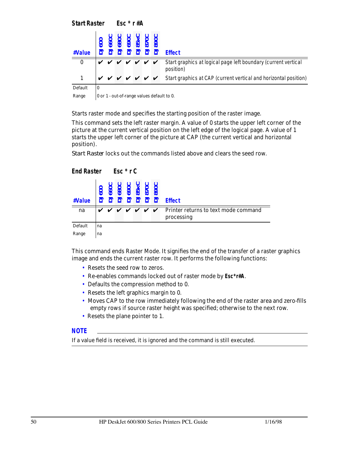*Start Raster Esc \* r #A* **#Value DJ600 DJ660C DJ68 DJ690C DJ85xC DJ870C DJ890C Effect**  $\begin{array}{ccc} 0 & \checkmark & \checkmark & \checkmark & \checkmark \end{array}$   $\begin{array}{ccc} \checkmark & \checkmark & \checkmark & \checkmark \end{array}$  Start graphics at logical page left boundary (current vertical position) 1  $\forall$   $\forall$   $\forall$   $\forall$   $\forall$   $\forall$   $\forall$  Start graphics at CAP (current vertical and horizontal position) Default  $\vert 0 \vert$ Range  $\vert 0$  or 1 - out-of-range values default to 0.

Starts raster mode and specifies the starting position of the raster image.

This command sets the left raster margin. A value of 0 starts the upper left corner of the picture at the current vertical position on the left edge of the logical page. A value of 1 starts the upper left corner of the picture at CAP (the current vertical and horizontal position).

*Start Raster* locks out the commands listed above and clears the seed row.

*End Raster Esc \* r C*

| #Value  | 600 | 660 | 880C<br>690C<br>85 x C<br>890C<br>222222 |  |  | <b>Effect</b>                                                                                |
|---------|-----|-----|------------------------------------------|--|--|----------------------------------------------------------------------------------------------|
| na      |     |     |                                          |  |  | $\vee$ $\vee$ $\vee$ $\vee$ $\vee$ $\vee$ Printer returns to text mode command<br>processing |
| Default | na  |     |                                          |  |  |                                                                                              |
| Range   | na  |     |                                          |  |  |                                                                                              |

This command ends Raster Mode. It signifies the end of the transfer of a raster graphics image and ends the current raster row. It performs the following functions:

- Resets the seed row to zeros.
- Re-enables commands locked out of raster mode by *Esc\*r#A*.
- Defaults the compression method to 0.
- Resets the left graphics margin to 0.
- Moves CAP to the row immediately following the end of the raster area and zero-fills empty rows if source raster height was specified; otherwise to the next row.
- Resets the plane pointer to 1.

#### *NOTE*

If a value field is received, it is ignored and the command is still executed.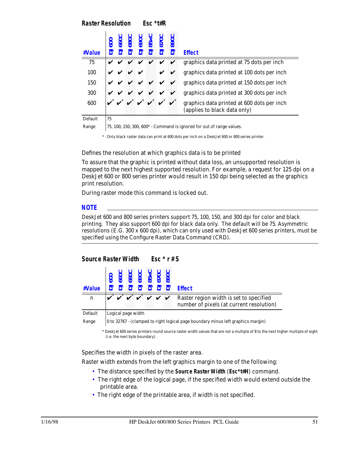*Raster Resolution Esc \*t#R*

| #Value  |    |                                                                         | 680 | <b>1690</b><br>J85x |                    | 5 | <b>J890C</b>                  | <b>Effect</b>                                                              |  |  |  |  |
|---------|----|-------------------------------------------------------------------------|-----|---------------------|--------------------|---|-------------------------------|----------------------------------------------------------------------------|--|--|--|--|
| 75      |    |                                                                         |     |                     |                    |   |                               | graphics data printed at 75 dots per inch                                  |  |  |  |  |
| 100     |    |                                                                         |     |                     |                    | V | V                             | graphics data printed at 100 dots per inch                                 |  |  |  |  |
| 150     |    |                                                                         |     |                     | $V$ $V$ $V$ $V$    |   | $\mathbf v$                   | graphics data printed at 150 dots per inch                                 |  |  |  |  |
| 300     |    |                                                                         |     |                     | <i>v v v v v v</i> |   |                               | graphics data printed at 300 dots per inch                                 |  |  |  |  |
| 600     |    |                                                                         |     |                     |                    |   | $v^* v^* v^* v^* v^* v^* v^*$ | graphics data printed at 600 dots per inch<br>(applies to black data only) |  |  |  |  |
| Default | 75 |                                                                         |     |                     |                    |   |                               |                                                                            |  |  |  |  |
| Range   |    | 75, 100, 150, 300, $600*$ - Command is ignored for out of range values. |     |                     |                    |   |                               |                                                                            |  |  |  |  |

\* - Only black raster data can print at 600 dots per inch on a DeskJet 600 or 800 series printer.

Defines the resolution at which graphics data is to be printed

To assure that the graphic is printed without data loss, an unsupported resolution is mapped to the next highest supported resolution. For example, a request for 125 dpi on a DeskJet 600 or 800 series printer would result in 150 dpi being selected as the graphics print resolution.

During raster mode this command is locked out.

#### *NOTE*

DeskJet 600 and 800 series printers support 75, 100, 150, and 300 dpi for color and black printing. They also support 600 dpi for black data only. The default will be 75. Asymmetric resolutions (E.G. 300 x 600 dpi), which can only used with DeskJet 600 series printers, must be specified using the Configure Raster Data Command (CRD).

## *Source Raster Width Esc \* r # S*

| $\begin{array}{r l} \hline & \multicolumn{1}{r}{\text{0}} & \multicolumn{1}{r}{\text{0}} & \multicolumn{1}{r}{\text{0}} & \multicolumn{1}{r}{\text{0}} & \multicolumn{1}{r}{\text{0}} & \multicolumn{1}{r}{\text{0}} & \multicolumn{1}{r}{\text{0}} & \multicolumn{1}{r}{\text{0}} & \multicolumn{1}{r}{\text{0}} & \multicolumn{1}{r}{\text{0}} & \multicolumn{1}{r}{\text{0}} & \multicolumn{1}{r}{\text{0}} & \multicolumn{1}{r}{\text{0}} & \multicolumn{1}{r}{\text{$ |                    |  |  |  |  |  |  | <b>Effect</b>                                                                                                                                                                                |  |  |  |  |
|----------------------------------------------------------------------------------------------------------------------------------------------------------------------------------------------------------------------------------------------------------------------------------------------------------------------------------------------------------------------------------------------------------------------------------------------------------------------------|--------------------|--|--|--|--|--|--|----------------------------------------------------------------------------------------------------------------------------------------------------------------------------------------------|--|--|--|--|
| n                                                                                                                                                                                                                                                                                                                                                                                                                                                                          |                    |  |  |  |  |  |  | $\overrightarrow{v}$ $\overrightarrow{v}$ $\overrightarrow{v}$ $\overrightarrow{v}$ $\overrightarrow{v}$ Raster region width is set to specified<br>number of pixels (at current resolution) |  |  |  |  |
| Default                                                                                                                                                                                                                                                                                                                                                                                                                                                                    | Logical page width |  |  |  |  |  |  |                                                                                                                                                                                              |  |  |  |  |

Range  $\vert$  0 to 32767 - (clamped to right logical page boundary minus left graphics margin)

\* DeskJet 600 series printers round source raster width values that are not a multiple of 8 to the next higher multiple of eight (i.e. the next byte boundary).

Specifies the width in pixels of the raster area.

Raster width extends from the left graphics margin to one of the following:

- The distance specified by the **Source Raster Width** (*Esc\*t#H*) command.
- The right edge of the logical page, if the specified width would extend outside the printable area.
- The right edge of the printable area, if width is not specified.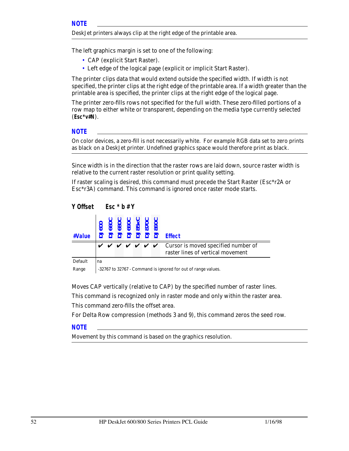DeskJet printers always clip at the right edge of the printable area.

The left graphics margin is set to one of the following:

- CAP (explicit Start Raster).
- Left edge of the logical page (explicit or implicit Start Raster).

The printer clips data that would extend outside the specified width. If width is not specified, the printer clips at the right edge of the printable area. If a width greater than the printable area is specified, the printer clips at the right edge of the logical page.

The printer zero-fills rows not specified for the full width. These zero-filled portions of a row map to either white or transparent, depending on the media type currently selected (*Esc\*v#N*).

#### *NOTE*

On color devices, a zero-fill is not necessarily white. For example RGB data set to zero prints as black on a DeskJet printer. Undefined graphics space would therefore print as black.

Since width is in the direction that the raster rows are laid down, source raster width is relative to the current raster resolution or print quality setting.

If raster scaling is desired, this command must precede the Start Raster (Esc\*r2A or Esc\*r3A) command. This command is ignored once raster mode starts.

```
Y Offset Esc * b # Y
```

| #Value  |    |                                                                                                                           |  | 060<br>080<br>080<br>080<br>080<br>080<br>080<br>22222 |  |  |  | <b>Effect</b> |  |
|---------|----|---------------------------------------------------------------------------------------------------------------------------|--|--------------------------------------------------------|--|--|--|---------------|--|
|         |    | $\vee$ $\vee$ $\vee$ $\vee$ $\vee$ $\vee$ $\vee$ Cursor is moved specified number of<br>raster lines of vertical movement |  |                                                        |  |  |  |               |  |
| Default | na |                                                                                                                           |  |                                                        |  |  |  |               |  |
| Range   |    | -32767 to 32767 - Command is ignored for out of range values.                                                             |  |                                                        |  |  |  |               |  |

Moves CAP vertically (relative to CAP) by the specified number of raster lines. This command is recognized only in raster mode and only within the raster area. This command zero-fills the offset area.

For Delta Row compression (methods 3 and 9), this command zeros the seed row.

#### *NOTE*

Movement by this command is based on the graphics resolution.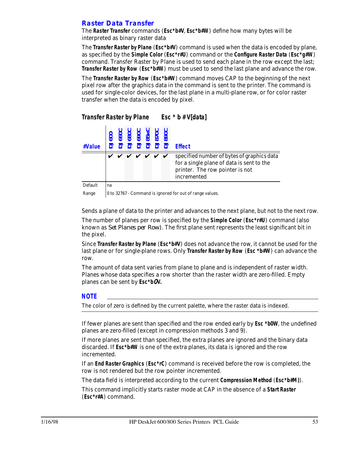## *Raster Data Transfer*

The **Raster Transfer** commands (*Esc\*b#V*, *Esc\*b#W*) define how many bytes will be interpreted as binary raster data

The **Transfer Raster by Plane** (*Esc\*b#V*) command is used when the data is encoded by plane, as specified by the **Simple Color** (*Esc\*r#U*) command or the **Configure Raster Data** (*Esc\*g#W*) command. Transfer Raster by Plane is used to send each plane in the row except the last; **Transfer Raster by Row** (*Esc\*b#W*) must be used to send the last plane and advance the row.

The **Transfer Raster by Row** (*Esc\*b#W*) command moves CAP to the beginning of the next pixel row after the graphics data in the command is sent to the printer. The command is used for single-color devices, for the last plane in a multi-plane row, or for color raster transfer when the data is encoded by pixel.

| #Value |  |  | $\begin{array}{l} \text{0.3}\ \text{0.4}\ \text{0.5}\ \text{0.6}\ \text{0.7}\ \text{0.8}\ \text{0.7}\ \text{0.8}\ \text{0.7}\ \text{0.8}\ \text{0.7}\ \text{0.8}\ \text{0.7}\ \text{0.8}\ \text{0.7}\ \text{0.8}\ \text{0.7}\ \text{0.8}\ \text{0.9}\ \text{0.9}\ \text{0.9}\ \text{0.9}\ \text{0.9}\ \text{0.9}\ \text{0.9}\ \text{0.9}\ \text{0.9}\ \text{0.9}\ \text{0.9}\ \text{0.9}\ \text{$ |  | <b>Effect</b>                                                                                                                             |
|--------|--|--|---------------------------------------------------------------------------------------------------------------------------------------------------------------------------------------------------------------------------------------------------------------------------------------------------------------------------------------------------------------------------------------------------|--|-------------------------------------------------------------------------------------------------------------------------------------------|
|        |  |  | <i>v v v v v v v</i>                                                                                                                                                                                                                                                                                                                                                                              |  | specified number of bytes of graphics data<br>for a single plane of data is sent to the<br>printer. The row pointer is not<br>incremented |

Default | na

Range  $\vert$  0 to 32767 - Command is ignored for out of range values.

*Transfer Raster by Plane Esc \* b # V[data]*

Sends a plane of data to the printer and advances to the next plane, but not to the next row.

The number of planes per row is specified by the **Simple Color** (*Esc\*r#U*) command (also known as *Set Planes per Row)*. The first plane sent represents the least significant bit in the pixel.

Since **Transfer Raster by Plane** (*Esc\*b#V*) does not advance the row, it cannot be used for the last plane or for single-plane rows. Only **Transfer Raster by Row** (*Esc \*b#W*) can advance the row.

The amount of data sent varies from plane to plane and is independent of raster width. Planes whose data specifies a row shorter than the raster width are zero-filled. Empty planes can be sent by *Esc\*b*0*V.*

#### *NOTE*

The color of zero is defined by the current palette, where the raster data is indexed.

If fewer planes are sent than specified and the row ended early by *Esc \*b0W*, the undefined planes are zero-filled (except in compression methods 3 and 9).

If more planes are sent than specified, the extra planes are ignored and the binary data discarded. If *Esc\*b#W* is one of the extra planes, its data is ignored and the row incremented.

If an **End Raster Graphics** (*Esc\*rC*) command is received before the row is completed, the row is not rendered but the row pointer incremented.

The data field is interpreted according to the current **Compression Method** (*Esc\*b#M)*).

This command implicitly starts raster mode at CAP in the absence of a **Start Raster** (*Esc\*r#A*) command.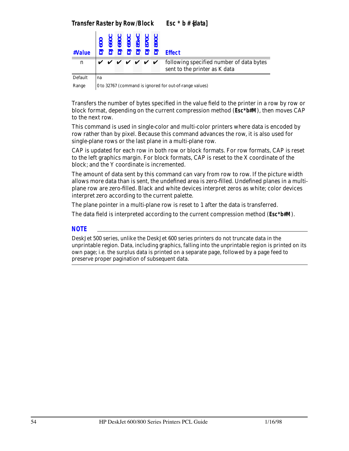| #Value  |    |  |  | $\begin{array}{l} 600 \\ 6600 \\ \hline 6800 \\ \hline 6900 \\ \hline 6900 \\ \hline 85 \times C \\ \hline 8700 \\ \hline 0 \\ \hline 0 \\ \hline 0 \\ \hline 0 \\ \hline 0 \\ \hline 0 \\ \hline 0 \\ \hline 0 \\ \hline 0 \\ \hline 0 \\ \hline 0 \\ \hline 0 \\ \hline 0 \\ \hline 0 \\ \hline 0 \\ \hline 0 \\ \hline 0 \\ \hline 0 \\ \hline 0 \\ \hline 0 \\ \hline 0 \\ \hline 0 \\ \hline 0 \\ \hline 0 \\ \hline 0 \\ \hline 0 \\$<br>$\overline{555233}$ | <b>Effect</b>                                                                                                                         |
|---------|----|--|--|--------------------------------------------------------------------------------------------------------------------------------------------------------------------------------------------------------------------------------------------------------------------------------------------------------------------------------------------------------------------------------------------------------------------------------------------------------------------|---------------------------------------------------------------------------------------------------------------------------------------|
| n       |    |  |  |                                                                                                                                                                                                                                                                                                                                                                                                                                                                    | $\forall$ $\forall$ $\forall$ $\forall$ $\forall$ $\forall$ following specified number of data bytes<br>sent to the printer as K data |
| Default | na |  |  |                                                                                                                                                                                                                                                                                                                                                                                                                                                                    |                                                                                                                                       |

Range  $\vert$  0 to 32767 (command is ignored for out-of-range values)

Transfers the number of bytes specified in the value field to the printer in a row by row or block format, depending on the current compression method (*Esc\*b#M*), then moves CAP to the next row.

This command is used in single-color and multi-color printers where data is encoded by row rather than by pixel. Because this command advances the row, it is also used for single-plane rows or the last plane in a multi-plane row.

CAP is updated for each row in both row or block formats. For row formats, CAP is reset to the left graphics margin. For block formats, CAP is reset to the X coordinate of the block; and the Y coordinate is incremented.

The amount of data sent by this command can vary from row to row. If the picture width allows more data than is sent, the undefined area is zero-filled. Undefined planes in a multiplane row are zero-filled. Black and white devices interpret zeros as white; color devices interpret zero according to the current palette.

The plane pointer in a multi-plane row is reset to 1 after the data is transferred.

The data field is interpreted according to the current compression method (*Esc\*b#M*).

#### *NOTE*

DeskJet 500 series, unlike the DeskJet 600 series printers do not truncate data in the unprintable region. Data, including graphics, falling into the unprintable region is printed on its own page; i.e. the surplus data is printed on a separate page, followed by a page feed to preserve proper pagination of subsequent data.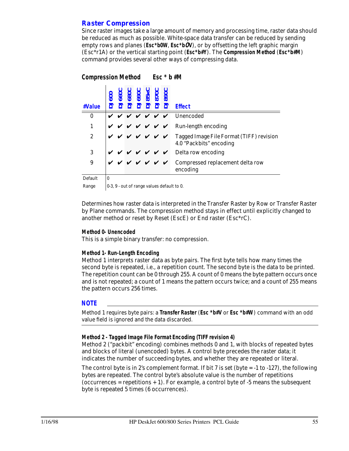## *Raster Compression*

Since raster images take a large amount of memory and processing time, raster data should be reduced as much as possible. White-space data transfer can be reduced by sending empty rows and planes (*Esc\*b0W*, *Esc\*b*0*V*), or by offsetting the left graphic margin (Esc\*r1A) or the vertical starting point (*Esc\*b#Y*). The **Compression Method** (*Esc\*b#M*) command provides several other ways of compressing data.

### *Compression Method Esc \* b #M*

| #Value           |          |  |  | <b>DJ660C</b><br>DJ680C<br>DJ85xC<br>DJ870C<br>DJ890C | <b>Effect</b>                                                                                                                          |
|------------------|----------|--|--|-------------------------------------------------------|----------------------------------------------------------------------------------------------------------------------------------------|
| $\boldsymbol{0}$ |          |  |  |                                                       | $\vee \vee \vee \vee \vee \vee$ Unencoded                                                                                              |
| 1                |          |  |  |                                                       | $\vee$ $\vee$ $\vee$ $\vee$ $\vee$ $\vee$ $\vee$ Run-length encoding                                                                   |
| $\overline{2}$   |          |  |  |                                                       | $\mathbf{v} \times \mathbf{v} \times \mathbf{v} \times \mathbf{v}$ Tagged Image File Format (TIFF) revision<br>4.0 "Packbits" encoding |
| 3                |          |  |  |                                                       | $V V V V V$ Delta row encoding                                                                                                         |
| 9                |          |  |  |                                                       | $\mathbf{v} \times \mathbf{v} \times \mathbf{v} \times \mathbf{v}$ Compressed replacement delta row<br>encoding                        |
| Default          | $\bf{0}$ |  |  |                                                       |                                                                                                                                        |

Range  $\vert 0.3, 9$  - out of range values default to 0.

Determines how raster data is interpreted in the Transfer Raster by Row or Transfer Raster by Plane commands. The compression method stays in effect until explicitly changed to another method or reset by Reset (EscE) or End raster (Esc\*rC).

#### **Method 0- Unencoded**

This is a simple binary transfer: no compression.

#### **Method 1- Run-Length Encoding**

Method 1 interprets raster data as byte pairs. The first byte tells how many times the second byte is repeated, i.e., a repetition count. The second byte is the data to be printed. The repetition count can be 0 through 255. A count of 0 means the byte pattern occurs once and is not repeated; a count of 1 means the pattern occurs twice; and a count of 255 means the pattern occurs 256 times.

#### *NOTE*

Method 1 requires byte pairs: a **Transfer Raster** (*Esc \*b#V* or *Esc \*b#W*) command with an odd value field is ignored and the data discarded.

#### **Method 2 - Tagged Image File Format Encoding (TIFF revision 4)**

Method 2 ("packbit" encoding) combines methods 0 and 1, with blocks of repeated bytes and blocks of literal (unencoded) bytes. A control byte precedes the raster data; it indicates the number of succeeding bytes, and whether they are repeated or literal.

The control byte is in 2's complement format. If bit 7 is set (byte  $= -1$  to  $-127$ ), the following bytes are repeated. The control byte's absolute value is the number of repetitions  $(occurrences = repetitions + 1)$ . For example, a control byte of -5 means the subsequent byte is repeated 5 times (6 occurrences).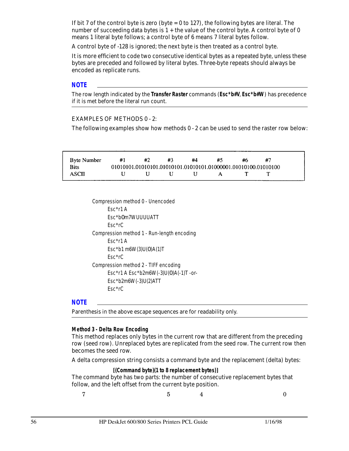If bit 7 of the control byte is zero (byte  $= 0$  to 127), the following bytes are literal. The number of succeeding data bytes is  $1 +$  the value of the control byte. A control byte of 0 means 1 literal byte follows; a control byte of 6 means 7 literal bytes follow.

A control byte of -128 is ignored; the next byte is then treated as a control byte.

It is more efficient to code two consecutive identical bytes as a repeated byte, unless these bytes are preceded and followed by literal bytes. Three-byte repeats should always be encoded as replicate runs.

#### *NOTE*

The row length indicated by the **Transfer Raster** commands (*Esc\*b#V*, *Esc\*b#W*) has precedence if it is met before the literal run count.

#### EXAMPLES OF METHODS 0 - 2:

The following examples show how methods 0 - 2 can be used to send the raster row below:

| <b>Byte Number</b> | #1 | #2 |      | #4 | #5                                                             | #6 | #7 |
|--------------------|----|----|------|----|----------------------------------------------------------------|----|----|
| <b>Bits</b>        |    |    |      |    | 01010101.01010101.01010101.01010101.01000001.01010100.01010100 |    |    |
| ASCII              |    |    | - 11 |    | A                                                              |    |    |

Compression method 0 - Unencoded Esc\*r1 A Esc\*b0m7WUUUUATT Esc\*rC Compression method 1 - Run-length encoding Esc\*r1 A Esc\*b1 m6W(3)U(0)A(1)T Esc\*rC Compression method 2 - TIFF encoding Esc\*r1 A Esc\*b2m6W(-3)U(0)A(-1)T -or-Esc\*b2m6W(-3)U(2)ATT Esc\*rC

#### *NOTE*

Parenthesis in the above escape sequences are for readability only.

#### **Method 3 - Delta Row Encoding**

This method replaces only bytes in the current row that are different from the preceding row (seed row). Unreplaced bytes are replicated from the seed row. The current row then becomes the seed row.

A delta compression string consists a command byte and the replacement (delta) bytes:

**[(Command byte)(1 to 8 replacement bytes)]** The command byte has two parts: the number of consecutive replacement bytes that follow, and the left offset from the current byte position.

 $7$  5 4 0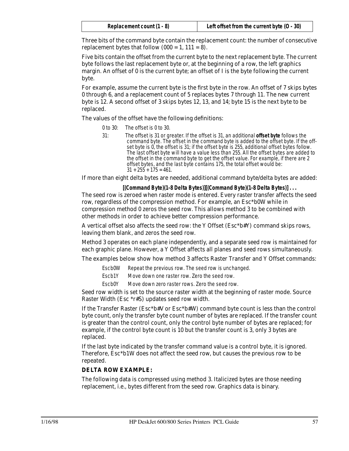| Replacement count (1 - 8) | Left offset from the current byte $(0 - 30)$ |
|---------------------------|----------------------------------------------|
|---------------------------|----------------------------------------------|

Three bits of the command byte contain the replacement count: the number of consecutive replacement bytes that follow  $(000 = 1, 111 = 8)$ .

Five bits contain the offset from the current byte to the next replacement byte. The current byte follows the last replacement byte or, at the beginning of a row, the left graphics margin. An offset of 0 is the current byte; an offset of I is the byte following the current byte.

For example, assume the current byte is the first byte in the row. An offset of 7 skips bytes 0 through 6, and a replacement count of 5 replaces bytes 7 through 11. The new current byte is 12. A second offset of 3 skips bytes 12, 13, and 14; byte 15 is the next byte to be replaced.

The values of the offset have the following definitions:

- 0 to 30: The offset is 0 to 30.
- 31: The offset is 31 or greater. If the offset is 31, an additional **offset byte** follows the command byte. The offset in the command byte is added to the offset byte. If the offset byte is 0, the offset is 31; if the offset byte is 255, additional offset bytes follow. The last offset byte will have a value less than 255. All the offset bytes are added to the offset in the command byte to get the offset value. For example, if there are 2 offset bytes, and the last byte contains 175, the total offset would be:  $31 + 255 + 175 = 461$ .

If more than eight delta bytes are needed, additional command byte/delta bytes are added:

**[(Command Byte)(1-8 Delta Bytes)][(Command Byte)(1-8 Delta Bytes)] . . .** The seed row is zeroed when raster mode is entered. Every raster transfer affects the seed row, regardless of the compression method. For example, an Esc\*b0W while in compression method 0 zeros the seed row. This allows method 3 to be combined with other methods in order to achieve better compression performance.

A vertical offset also affects the seed row: the Y Offset (Esc\*b#Y) command skips rows, leaving them blank, and zeros the seed row.

Method 3 operates on each plane independently, and a separate seed row is maintained for each graphic plane. However, a Y Offset affects all planes and seed rows simultaneously.

The examples below show how method 3 affects Raster Transfer and Y Offset commands:

Escb0W Repeat the previous row. The seed row is unchanged.

- Escb1Y Move down one raster row. Zero the seed row.
- Escb0Y Move down zero raster rows. Zero the seed row.

Seed row width is set to the source raster width at the beginning of raster mode. Source Raster Width (Esc \*r#S) updates seed row width.

If the Transfer Raster (Esc\*b#V or Esc\*b#W) command byte count is less than the control byte count, only the transfer byte count number of bytes are replaced. If the transfer count is greater than the control count, only the control byte number of bytes are replaced; for example, if the control byte count is 10 but the transfer count is 3, only 3 bytes are replaced.

If the last byte indicated by the transfer command value is a control byte, it is ignored. Therefore, Esc\*b1W does not affect the seed row, but causes the previous row to be repeated.

#### **DELTA ROW EXAMPLE:**

The following data is compressed using method 3. Italicized bytes are those needing replacement, i.e., bytes different from the seed row. Graphics data is binary.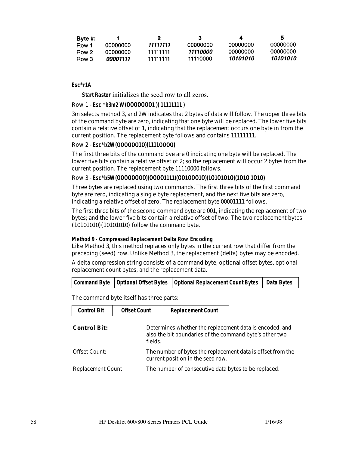| Byte $#$ : |                   |          | з         | д        | 5        |
|------------|-------------------|----------|-----------|----------|----------|
| Row 1      | 00000000          | 11111111 | .00000000 | 00000000 | 00000000 |
| Row 2      | . <u>NOOOOOOO</u> | 11111111 | 11110000  | 00000000 |          |
| Row 3      | 00001111          | 11111111 | 11110000  | 10101010 | 10101010 |

#### **Esc\*r1A**

**Start Raster** initializes the seed row to all zeros.

#### Row 1 - **Esc \*b3m2 W(**0000000**1 )( 11111111 )**

3m selects method 3, and 2W indicates that 2 bytes of data will follow. The upper three bits of the command byte are zero, indicating that one byte will be replaced. The lower five bits contain a relative offset of 1, indicating that the replacement occurs one byte in from the current position. The replacement byte follows and contains 11111111.

#### Row 2 - **Esc\*b2W(**000000**1**0**)(1111**0000**)**

The first three bits of the command bye are 0 indicating one byte will be replaced. The lower five bits contain a relative offset of 2; so the replacement will occur 2 bytes from the current position. The replacement byte 11110000 follows.

## Row 3 - **Esc\*b5W(**00000000**)(**0000**1111)(**00**1**000**1**0**)(1**0**1**0**1**0**1**0**)(1**0**1**0 **1**0**1**0**)**

Three bytes are replaced using two commands. The first three bits of the first command byte are zero, indicating a single byte replacement, and the next five bits are zero, indicating a relative offset of zero. The replacement byte 00001111 follows.

The first three bits of the second command byte are 001, indicating the replacement of two bytes; and the lower five bits contain a relative offset of two. The two replacement bytes (10101010)(10101010) follow the command byte.

#### **Method 9 - Compressed Replacement Delta Row Encoding**

Like Method 3, this method replaces only bytes in the current row that differ from the preceding (seed) row. Unlike Method 3, the replacement (delta) bytes may be encoded.

A delta compression string consists of a command byte, optional offset bytes, optional replacement count bytes, and the replacement data.

|  |  | Command Byte   Optional Offset Bytes   Optional Replacement Count Bytes   Data Bytes |  |
|--|--|--------------------------------------------------------------------------------------|--|
|--|--|--------------------------------------------------------------------------------------|--|

The command byte itself has three parts:

| <b>Control Bit</b>        | <b>Offset Count</b> | <b>Replacement Count</b>                                                                                           |  |
|---------------------------|---------------------|--------------------------------------------------------------------------------------------------------------------|--|
| <b>Control Bit:</b>       | fields.             | Determines whether the replacement data is encoded, and<br>also the bit boundaries of the command byte's other two |  |
| <b>Offset Count:</b>      |                     | The number of bytes the replacement data is offset from the<br>current position in the seed row.                   |  |
| <b>Replacement Count:</b> |                     | The number of consecutive data bytes to be replaced.                                                               |  |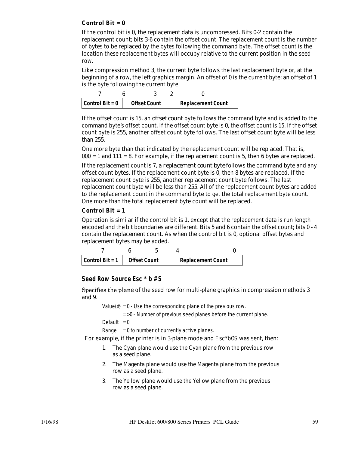#### **Control Bit = 0**

If the control bit is 0, the replacement data is uncompressed. Bits 0-2 contain the replacement count; bits 3-6 contain the offset count. The replacement count is the number of bytes to be replaced by the bytes following the command byte. The offset count is the location these replacement bytes will occupy relative to the current position in the seed row.

Like compression method 3, the current byte follows the last replacement byte or, at the beginning of a row, the left graphics margin. An offset of 0 is the current byte; an offset of 1 is the byte following the current byte.

| Control Bit = $0$ | <b>Offset Count</b> |  | <b>Replacement Count</b> |
|-------------------|---------------------|--|--------------------------|

If the offset count is 15, an *offset count* byte follows the command byte and is added to the command byte's offset count. If the offset count byte is 0, the offset count is 15. If the offset count byte is 255, another offset count byte follows. The last offset count byte will be less than 255.

One more byte than that indicated by the replacement count will be replaced. That is,  $000 = 1$  and  $111 = 8$ . For example, if the replacement count is 5, then 6 bytes are replaced.

If the replacement count is 7, a *replacement count byte* follows the command byte and any offset count bytes. If the replacement count byte is 0, then 8 bytes are replaced. If the replacement count byte is 255, another replacement count byte follows. The last replacement count byte will be less than 255. All of the replacement count bytes are added to the replacement count in the command byte to get the total replacement byte count. One more than the total replacement byte count will be replaced.

#### **Control Bit = 1**

Operation is similar if the control bit is 1, except that the replacement data is run length encoded and the bit boundaries are different. Bits 5 and 6 contain the offset count; bits 0 - 4 contain the replacement count. As when the control bit is 0, optional offset bytes and replacement bytes may be added.

| Control Bit = 1 | <b>Offset Count</b> | <b>Replacement Count</b> |
|-----------------|---------------------|--------------------------|

## *Seed Row Source Esc \* b # S*

Specifies the plane of the seed row for multi-plane graphics in compression methods 3 and 9.

Value( $#$ ) = 0 - Use the corresponding plane of the previous row.

 $=$  >0 - Number of previous seed planes before the current plane.

Default  $= 0$ 

Range  $= 0$  to number of currently active planes.

For example, if the printer is in 3-plane mode and Esc\*b0S was sent, then:

- 1. The Cyan plane would use the Cyan plane from the previous row as a seed plane.
- 2. The Magenta plane would use the Magenta plane from the previous row as a seed plane.
- 3. The Yellow plane would use the Yellow plane from the previous row as a seed plane.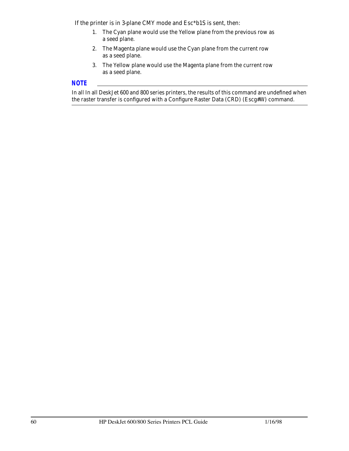If the printer is in 3-plane CMY mode and Esc\*b1S is sent, then:

- 1. The Cyan plane would use the Yellow plane from the previous row as a seed plane.
- 2. The Magenta plane would use the Cyan plane from the current row as a seed plane.
- 3. The Yellow plane would use the Magenta plane from the current row as a seed plane.

## *NOTE*

In all In all DeskJet 600 and 800 series printers, the results of this command are undefined when the raster transfer is configured with a Configure Raster Data (CRD) (Escg#W) command.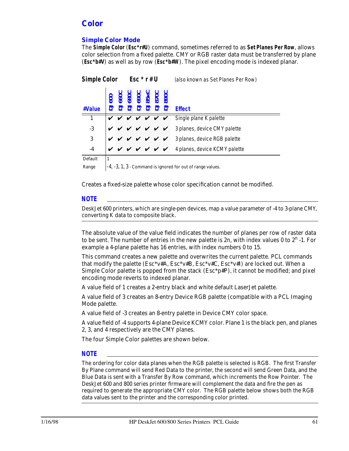## *Color*

## *Simple Color Mode*

The **Simple Color** (*Esc\*r#U*) command, sometimes referred to as **Set Planes Per Row**, allows color selection from a fixed palette. CMY or RGB raster data must be transferred by plane (*Esc\*b#V*) as well as by row (*Esc\*b#W*). The pixel encoding mode is indexed planar.

| <b>Simple Color</b> |  | Esc $*$ r#U |                                                                 |  |  |              | (also known as Set Planes Per Row) |                                        |
|---------------------|--|-------------|-----------------------------------------------------------------|--|--|--------------|------------------------------------|----------------------------------------|
| #Value              |  |             | <b>DJ660C</b><br>DJ680C<br>DJ85xC<br>DJ870C<br>DJ870C<br>DJ890C |  |  |              |                                    | <b>Effect</b>                          |
| $\mathbf{1}$        |  |             |                                                                 |  |  | <u>v v v</u> |                                    | Single plane K palette                 |
| $-3$                |  |             | <i>v v v v v v</i>                                              |  |  |              |                                    | 3 planes, device CMY palette           |
| 3                   |  |             |                                                                 |  |  |              |                                    | v v v v v 3 planes, device RGB palette |
| $-4$                |  |             |                                                                 |  |  |              | V V V V V V                        | 4 planes, device KCMY palette          |
| Default             |  |             |                                                                 |  |  |              |                                    |                                        |

Range  $\left[-4, -3, 1, 3 \right]$  - Command is ignored for out of range values.

Creates a fixed-size palette whose color specification cannot be modified.

#### *NOTE*

DeskJet 600 printers, which are single-pen devices, map a value parameter of -4 to 3-plane CMY, converting K data to composite black.

The absolute value of the value field indicates the number of planes per row of raster data to be sent. The number of entries in the new palette is 2n, with index values 0 to  $2^n$  -1. For example a 4-plane palette has 16 entries, with index numbers 0 to 15.

This command creates a new palette and overwrites the current palette. PCL commands that modify the palette (Esc\*v#A, Esc\*v#B, Esc\*v#C, Esc\*v#I) are locked out. When a Simple Color palette is popped from the stack  $(Esc^*p\#P)$ , it cannot be modified; and pixel encoding mode reverts to indexed planar.

A value field of 1 creates a 2-entry black and white default LaserJet palette.

A value field of 3 creates an 8-entry Device RGB palette (compatible with a PCL Imaging Mode palette.

A value field of -3 creates an 8-entry palette in Device CMY color space.

A value field of -4 supports 4-plane Device KCMY color. Plane 1 is the black pen, and planes 2, 3, and 4 respectively are the CMY planes.

The four Simple Color palettes are shown below.

#### *NOTE*

The ordering for color data planes when the RGB palette is selected is RGB. The first Transfer By Plane command will send Red Data to the printer, the second will send Green Data, and the Blue Data is sent with a Transfer By Row command, which increments the Row Pointer. The DeskJet 600 and 800 series printer firmware will complement the data and fire the pen as required to generate the appropriate CMY color. The RGB palette below shows both the RGB data values sent to the printer and the corresponding color printed.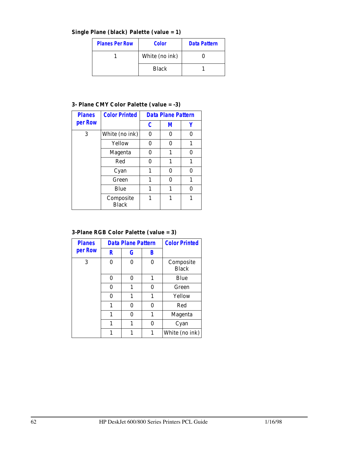**Single Plane (black) Palette (value = 1)**

| <b>Planes Per Row</b> | <b>Color</b>   | <b>Data Pattern</b> |  |
|-----------------------|----------------|---------------------|--|
|                       | White (no ink) |                     |  |
|                       | <b>Black</b>   |                     |  |

## **3- Plane CMY Color Palette (value = -3)**

| <b>Planes</b> | <b>Color Printed</b>      | <b>Data Plane Pattern</b> |   |   |
|---------------|---------------------------|---------------------------|---|---|
| per Row       |                           | C                         | М |   |
| 3             | White (no ink)            | 0                         | 0 | 0 |
|               | Yellow                    | 0                         | O | 1 |
|               | <b>Magenta</b>            | 0                         | 1 | U |
|               | Red                       | 0                         | 1 | 1 |
|               | Cyan                      | 1                         | 0 | 0 |
|               | Green                     | 1                         | O | 1 |
|               | Blue                      | 1                         | 1 | U |
|               | Composite<br><b>Black</b> | 1                         | 1 | 1 |

## **3-Plane RGB Color Palette (value = 3)**

| <b>Planes</b><br>per Row | <b>Data Plane Pattern</b> |   |   | <b>Color Printed</b>      |
|--------------------------|---------------------------|---|---|---------------------------|
|                          | R                         | G | В |                           |
| 3                        | 0                         | 0 | 0 | Composite<br><b>Black</b> |
|                          | 0                         | 0 | 1 | Blue                      |
|                          | 0                         | 1 | 0 | Green                     |
|                          | 0                         | 1 | 1 | Yellow                    |
|                          | 1                         | 0 | 0 | Red                       |
|                          | 1                         | 0 | 1 | <b>Magenta</b>            |
|                          | 1                         | 1 | 0 | Cyan                      |
|                          |                           |   | 1 | White (no ink)            |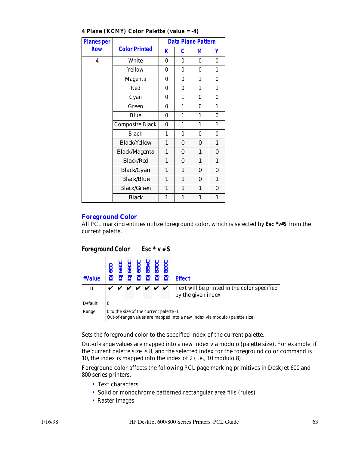| <b>Planes per</b> |                        |                           |                           | <b>Data Plane Pattern</b> |                           |
|-------------------|------------------------|---------------------------|---------------------------|---------------------------|---------------------------|
| <b>Row</b>        | <b>Color Printed</b>   | K                         | C                         | М                         | Υ                         |
| 4                 | White                  | $\bf{0}$                  | 0                         | 0                         | 0                         |
|                   | Yellow                 | $\bf{0}$                  | $\bf{0}$                  | $\bf{0}$                  | $\mathbf{1}$              |
|                   | Magenta                | 0                         | $\bf{0}$                  | 1                         | $\bf{0}$                  |
|                   | Red                    | 0                         | $\bf{0}$                  | 1                         | 1                         |
|                   | Cyan                   | 0                         | 1                         | 0                         | $\bf{0}$                  |
|                   | Green                  | 0                         | 1                         | 0                         | 1                         |
|                   | Blue                   | 0                         | 1                         | 1                         | $\bf{0}$                  |
|                   | <b>Composite Black</b> | 0                         | 1                         | 1                         | 1                         |
|                   | <b>Black</b>           | 1                         | $\bf{0}$                  | 0                         | 0                         |
|                   | <b>Black/Yellow</b>    | $\boldsymbol{\mathit{1}}$ | 0                         | 0                         | $\boldsymbol{\mathit{1}}$ |
|                   | <b>Black/Magenta</b>   | $\boldsymbol{l}$          | 0                         | $\boldsymbol{l}$          | 0                         |
|                   | <b>Black/Red</b>       | $\boldsymbol{\mathit{1}}$ | 0                         | $\boldsymbol{l}$          | $\boldsymbol{\mathit{1}}$ |
|                   | <b>Black/Cyan</b>      | $\boldsymbol{l}$          | $\boldsymbol{\mathit{1}}$ | 0                         | 0                         |
|                   | <b>Black/Blue</b>      | $\boldsymbol{l}$          | $\mathbf{1}$              | 0                         | $\boldsymbol{\mathit{1}}$ |
|                   | <b>Black/Green</b>     | $\boldsymbol{\mathit{1}}$ | $\boldsymbol{\mathit{1}}$ | $\mathbf{1}$              | $\theta$                  |
|                   | <b>Black</b>           | 1                         | $\boldsymbol{\mathit{1}}$ | 1                         | $\boldsymbol{\mathit{1}}$ |

#### **4 Plane (KCMY) Color Palette (value = -4)**

#### *Foreground Color*

All PCL marking entities utilize foreground color, which is selected by *Esc \*v#S* from the current palette.

| Foreground Color Esc * v # S |                                                                |                                         |  |  |  |  |                      |                                                                   |  |
|------------------------------|----------------------------------------------------------------|-----------------------------------------|--|--|--|--|----------------------|-------------------------------------------------------------------|--|
| #Value                       | <b>DJ600</b><br>DJ660C<br>DJ690C<br>DJ85xC<br>DJ870C<br>DJ870C |                                         |  |  |  |  |                      | <b>Effect</b>                                                     |  |
| $\mathbf n$                  |                                                                |                                         |  |  |  |  | <i>v v v v v v v</i> | Text will be printed in the color specified<br>by the given index |  |
| Default                      | $\bf{0}$                                                       |                                         |  |  |  |  |                      |                                                                   |  |
| Range                        |                                                                | 0 to the size of the current palette -1 |  |  |  |  |                      |                                                                   |  |

Out-of-range values are mapped into a new index via modulo (palette size)

Sets the foreground color to the specified index of the current palette.

Out-of-range values are mapped into a new index via modulo (palette size). For example, if the current palette size is 8, and the selected index for the foreground color command is 10, the index is mapped into the index of 2 (i.e., 10 modulo 8).

Foreground color affects the following PCL page marking primitives in DeskJet 600 and 800 series printers.

- Text characters
- Solid or monochrome patterned rectangular area fills (rules)
- Raster images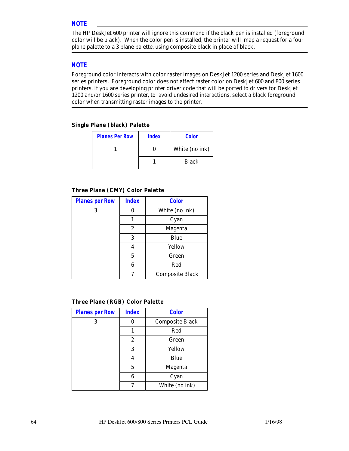#### *NOTE*

The HP DeskJet 600 printer will ignore this command if the black pen is installed (foreground color will be black). When the color pen is installed, the printer will map a request for a four plane palette to a 3 plane palette, using composite black in place of black.

#### *NOTE*

Foreground color interacts with color raster images on DeskJet 1200 series and DeskJet 1600 series printers. Foreground color does not affect raster color on DeskJet 600 and 800 series printers. If you are developing printer driver code that will be ported to drivers for DeskJet 1200 and/or 1600 series printer, to avoid undesired interactions, select a black foreground color when transmitting raster images to the printer.

#### **Single Plane (black) Palette**

| <b>Planes Per Row</b> | <b>Index</b> | <b>Color</b>   |
|-----------------------|--------------|----------------|
|                       |              | White (no ink) |
|                       |              | <b>Black</b>   |

#### **Three Plane (CMY) Color Palette**

| <b>Planes per Row</b> | <b>Index</b> | <b>Color</b>           |
|-----------------------|--------------|------------------------|
| 3                     |              | White (no ink)         |
|                       |              | Cyan                   |
|                       | 2            | <b>Magenta</b>         |
|                       | 3            | Blue                   |
|                       | 4            | Yellow                 |
|                       | 5            | Green                  |
|                       | 6            | Red                    |
|                       |              | <b>Composite Black</b> |

#### **Three Plane (RGB) Color Palette**

| <b>Planes per Row</b> | <b>Index</b> | <b>Color</b>           |
|-----------------------|--------------|------------------------|
| 3                     | 0            | <b>Composite Black</b> |
|                       | 1            | Red                    |
|                       | 2            | Green                  |
|                       | 3            | Yellow                 |
|                       | 4            | Blue                   |
|                       | 5            | <b>Magenta</b>         |
|                       | 6            | Cyan                   |
|                       | 7            | White (no ink)         |
|                       |              |                        |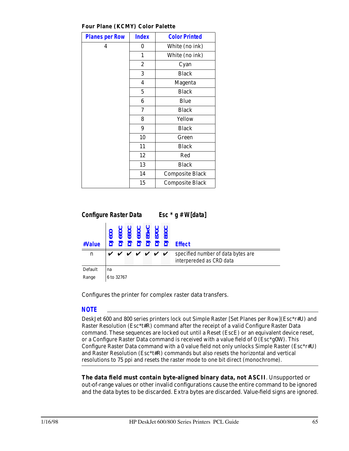**Four Plane (KCMY) Color Palette**

| <b>Planes per Row</b> | <b>Index</b>     | <b>Color Printed</b>   |
|-----------------------|------------------|------------------------|
| 4                     | 0                | White (no ink)         |
|                       | 1                | White (no ink)         |
|                       | $\boldsymbol{2}$ | Cyan                   |
|                       | 3                | <b>Black</b>           |
|                       | 4                | Magenta                |
|                       | $\overline{5}$   | <b>Black</b>           |
|                       | 6                | Blue                   |
|                       | 7                | <b>Black</b>           |
|                       | 8                | Yellow                 |
|                       | 9                | <b>Black</b>           |
|                       | 10               | Green                  |
|                       | 11               | <b>Black</b>           |
|                       | 12               | Red                    |
|                       | 13               | <b>Black</b>           |
|                       | 14               | <b>Composite Black</b> |
|                       | 15               | <b>Composite Black</b> |



Configures the printer for complex raster data transfers.

### *NOTE*

DeskJet 600 and 800 series printers lock out Simple Raster [Set Planes per Row](Esc\*r#U) and Raster Resolution (Esc\*t#R) command after the receipt of a valid Configure Raster Data command. These sequences are locked out until a Reset (EscE) or an equivalent device reset, or a Configure Raster Data command is received with a value field of 0 (Esc\*g0W). This Configure Raster Data command with a 0 value field not only unlocks Simple Raster (Esc\*r#U) and Raster Resolution (Esc\*t#R) commands but also resets the horizontal and vertical resolutions to 75 ppi and resets the raster mode to one bit direct (monochrome).

**The data field must contain byte-aligned binary data, not ASCII**. Unsupported or out-of-range values or other invalid configurations cause the entire command to be ignored and the data bytes to be discarded. Extra bytes are discarded. Value-field signs are ignored.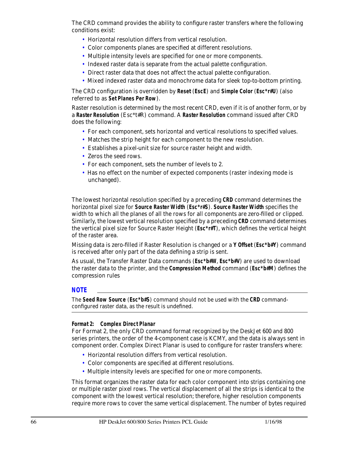The CRD command provides the ability to configure raster transfers where the following conditions exist:

- Horizontal resolution differs from vertical resolution.
- Color components planes are specified at different resolutions.
- Multiple intensity levels are specified for one or more components.
- Indexed raster data is separate from the actual palette configuration.
- Direct raster data that does not affect the actual palette configuration.
- Mixed indexed raster data and monochrome data for sleek top-to-bottom printing.

The CRD configuration is overridden by **Reset** (*EscE*) and **Simple Color** (*Esc\*r#U*) (also referred to as **Set Planes Per Row**).

Raster resolution is determined by the most recent CRD, even if it is of another form, or by a **Raster Resolution** (Esc\*t#R) command. A **Raster Resolution** command issued after CRD does the following:

- For each component, sets horizontal and vertical resolutions to specified values.
- Matches the strip height for each component to the new resolution.
- Establishes a pixel-unit size for source raster height and width.
- Zeros the seed rows.
- For each component, sets the number of levels to 2.
- Has no effect on the number of expected components (raster indexing mode is unchanged).

The lowest horizontal resolution specified by a preceding **CRD** command determines the horizontal pixel size for **Source Raster Width** (*Esc\*r#S*). **Source Raster Width** specifies the width to which all the planes of all the rows for all components are zero-filled or clipped. Similarly, the lowest vertical resolution specified by a preceding **CRD** command determines the vertical pixel size for Source Raster Height (*Esc\*r#T*), which defines the vertical height of the raster area.

Missing data is zero-filled if Raster Resolution is changed or a *Y Offset* (*Esc\*b#Y*) command is received after only part of the data defining a strip is sent.

As usual, the Transfer Raster Data commands (*Esc\*b#W*, *Esc\*b#V*) are used to download the raster data to the printer, and the *Compression Method* command (*Esc\*b#M*) defines the compression rules

#### *NOTE*

The **Seed Row Source** (*Esc\*b#S*) command should not be used with the *CRD* commandconfigured raster data, as the result is undefined.

#### **Format 2: Complex Direct Planar**

For Format 2, the only CRD command format recognized by the DeskJet 600 and 800 series printers, the order of the 4-component case is KCMY, and the data is always sent in component order. Complex Direct Planar is used to configure for raster transfers where:

- Horizontal resolution differs from vertical resolution.
- Color components are specified at different resolutions.
- Multiple intensity levels are specified for one or more components.

This format organizes the raster data for each color component into strips containing one or multiple raster pixel rows. The vertical displacement of all the strips is identical to the component with the lowest vertical resolution; therefore, higher resolution components require more rows to cover the same vertical displacement. The number of bytes required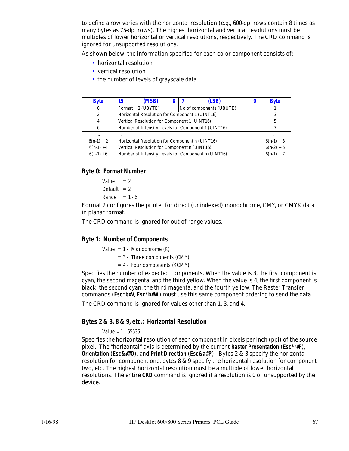to define a row varies with the horizontal resolution (e.g., 600-dpi rows contain 8 times as many bytes as 75-dpi rows). The highest horizontal and vertical resolutions must be multiples of lower horizontal or vertical resolutions, respectively. The CRD command is ignored for unsupported resolutions.

As shown below, the information specified for each color component consists of:

- horizontal resolution
- vertical resolution
- the number of levels of grayscale data

| <b>Byte</b>  | (MSB)<br>15                                         | (LSB)                                               |              | <b>Byte</b>  |
|--------------|-----------------------------------------------------|-----------------------------------------------------|--------------|--------------|
| $\mathbf{0}$ | Format = $2$ (UBYTE)                                | No of components (UBUTE)                            |              |              |
| 2            | Horizontal Resolution for Component 1 (UINT16)      |                                                     | 3            |              |
| 4            | Vertical Resolution for Component 1 (UINT16)        |                                                     |              |              |
| 6            | Number of Intensity Levels for Component 1 (UINT16) |                                                     |              |              |
| $\cdots$     | $\cdots$                                            |                                                     | $\cdots$     |              |
| $6(n-1) + 2$ | Horizontal Resolution for Component n (UINT16)      |                                                     | $6(n-1) + 3$ |              |
| $6(n-1) + 4$ | Vertical Resolution for Component n (UINT16)        | $6(n-2) + 5$                                        |              |              |
| $6(n-1) + 6$ |                                                     | Number of Intensity Levels for Component n (UINT16) |              | $6(n-1) + 7$ |

#### *Byte 0: Format Number*

```
Value = 2Default = 2Range = 1 - 5
```
Format 2 configures the printer for direct (unindexed) monochrome, CMY, or CMYK data in planar format.

The CRD command is ignored for out-of-range values.

#### *Byte 1: Number of Components*

Value =  $1 - \text{Monochrome}$  (K)

- = 3 Three components (CMY)
- $= 4 Four components (KCMY)$

Specifies the number of expected components. When the value is 3, the first component is cyan, the second magenta, and the third yellow. When the value is 4, the first component is black, the second cyan, the third magenta, and the fourth yellow. The Raster Transfer commands (*Esc\*b#V*, *Esc\*b#W*) must use this same component ordering to send the data.

The CRD command is ignored for values other than 1, 3, and 4.

#### *Bytes 2 & 3, 8 & 9, etc.: Horizontal Resolution*

#### Value = 1 - 65535

Specifies the horizontal resolution of each component in pixels per inch (ppi) of the source pixel. The "horizontal" axis is determined by the current **Raster Presentation** (*Esc\*r#F*), **Orientation** (*Esc&*l*#O*), and **Print Direction** (*Esc&a#P*). Bytes 2 & 3 specify the horizontal resolution for component one, bytes 8 & 9 specify the horizontal resolution for component two, etc. The highest horizontal resolution must be a multiple of lower horizontal resolutions. The entire *CRD* command is ignored if a resolution is 0 or unsupported by the device.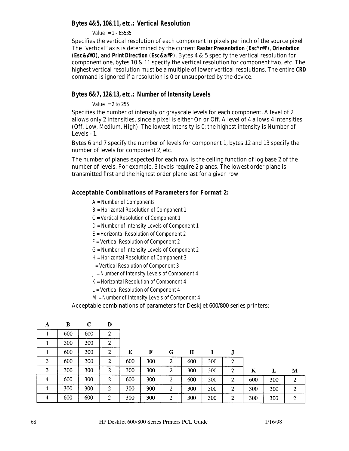#### *Bytes 4&5, 10&11, etc.: Vertical Resolution*

Value = 1 - 65535

Specifies the vertical resolution of each component in pixels per inch of the source pixel The "vertical" axis is determined by the current **Raster Presentation** (*Esc\*r#F*), **Orientation** (*Esc&*l*#O*), and **Print Direction** (*Esc&a#P*). Bytes 4 & 5 specify the vertical resolution for component one, bytes 10 & 11 specify the vertical resolution for component two, etc. The highest vertical resolution must be a multiple of lower vertical resolutions. The entire **CRD** command is ignored if a resolution is 0 or unsupported by the device.

#### *Bytes 6&7, 12&13, etc.: Number of Intensity Levels*

Value  $= 2$  to 255

Specifies the number of intensity or grayscale levels for each component. A level of 2 allows only 2 intensities, since a pixel is either On or Off. A level of 4 allows 4 intensities (Off, Low, Medium, High). The lowest intensity is 0; the highest intensity is Number of Levels - 1.

Bytes 6 and 7 specify the number of levels for component 1, bytes 12 and 13 specify the number of levels for component 2, etc.

The number of planes expected for each row is the ceiling function of log base 2 of the number of levels. For example, 3 levels require 2 planes. The lowest order plane is transmitted first and the highest order plane last for a given row

#### **Acceptable Combinations of Parameters for Format 2:**

- A = Number of Components
- B = Horizontal Resolution of Component 1
- C = Vertical Resolution of Component 1
- D = Number of Intensity Levels of Component 1
- E = Horizontal Resolution of Component 2
- F = Vertical Resolution of Component 2
- G = Number of Intensity Levels of Component 2
- H = Horizontal Resolution of Component 3
- I = Vertical Resolution of Component 3
- J = Number of Intensity Levels of Component 4
- K = Horizontal Resolution of Component 4
- L = Vertical Resolution of Component 4
- M = Number of Intensity Levels of Component 4

Acceptable combinations of parameters for DeskJet 600/800 series printers:

| A | B   | $\mathbf C$ | D |     |     |                  |     |     |   |     |     |                |
|---|-----|-------------|---|-----|-----|------------------|-----|-----|---|-----|-----|----------------|
|   | 600 | 600         | 2 |     |     |                  |     |     |   |     |     |                |
|   | 300 | 300         | 2 |     |     |                  |     |     |   |     |     |                |
|   | 600 | 300         | 2 | E   | F   | G                | Н   |     | J |     |     |                |
| 3 | 600 | 300         | 2 | 600 | 300 | 2                | 600 | 300 | 2 |     |     |                |
| 3 | 300 | 300         | 2 | 300 | 300 | $\boldsymbol{2}$ | 300 | 300 | 2 | K   | L   | M              |
| 4 | 600 | 300         | 2 | 600 | 300 | 2                | 600 | 300 | 2 | 600 | 300 | 2              |
| 4 | 300 | 300         | 2 | 300 | 300 | $\overline{2}$   | 300 | 300 | 2 | 300 | 300 | $\overline{2}$ |
| 4 | 600 | 600         | 2 | 300 | 300 | $\overline{2}$   | 300 | 300 | 2 | 300 | 300 | $\overline{2}$ |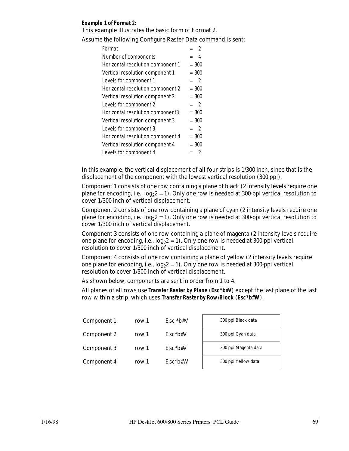#### **Example 1 of Format 2:**

This example illustrates the basic form of Format 2.

Assume the following Configure Raster Data command is sent:

| Format                            | $\mathcal{P}$                   |
|-----------------------------------|---------------------------------|
| Number of components              | 4                               |
| Horizontal resolution component 1 | $= 300$                         |
| Vertical resolution component 1   | $= 300$                         |
| Levels for component 1            | $\overline{\phantom{a}}$<br>$=$ |
| Horizontal resolution component 2 | $= 300$                         |
| Vertical resolution component 2   | $= 300$                         |
| Levels for component 2            | $\overline{2}$<br>$=$           |
| Horizontal resolution component3  | $= 300$                         |
|                                   |                                 |
| Vertical resolution component 3   | $= 300$                         |
| Levels for component 3            | $\mathcal{P}$<br>$=$            |
| Horizontal resolution component 4 | $= 300$                         |
| Vertical resolution component 4   | $= 300$                         |

In this example, the vertical displacement of all four strips is 1/300 inch, since that is the displacement of the component with the lowest vertical resolution (300 ppi).

Component 1 consists of one row containing a plane of black (2 intensity levels require one plane for encoding, i.e.,  $log_2 2 = 1$ ). Only one row is needed at 300-ppi vertical resolution to cover 1/300 inch of vertical displacement.

Component 2 consists of one row containing a plane of cyan (2 intensity levels require one plane for encoding, i.e.,  $log_2 2 = 1$ ). Only one row is needed at 300-ppi vertical resolution to cover 1/300 inch of vertical displacement.

Component 3 consists of one row containing a plane of magenta (2 intensity levels require one plane for encoding, i.e.,  $log_2 2 = 1$ ). Only one row is needed at 300-ppi vertical resolution to cover 1/300 inch of vertical displacement.

Component 4 consists of one row containing a plane of yellow (2 intensity levels require one plane for encoding, i.e.,  $log_2 2 = 1$ ). Only one row is needed at 300-ppi vertical resolution to cover 1/300 inch of vertical displacement.

As shown below, components are sent in order from 1 to 4.

All planes of all rows use **Transfer Raster by Plane** (*Esc\*b#V*) except the last plane of the last row within a strip, which uses **Transfer Raster by Row/Block** (*Esc\*b#W*).

| Component 1 | row 1 | $Esc * b# V$ | 300 ppi Black data   |
|-------------|-------|--------------|----------------------|
| Component 2 | row 1 | $Esc*bt*V$   | 300 ppi Cyan data    |
| Component 3 | row 1 | $Esc*bt*V$   | 300 ppi Magenta data |
| Component 4 | row 1 | $Esc*bt*W$   | 300 ppi Yellow data  |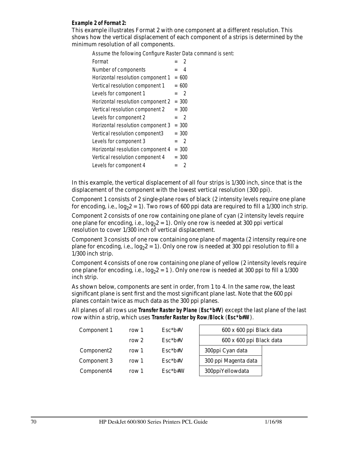#### **Example 2 of Format 2:**

This example illustrates Format 2 with one component at a different resolution. This shows how the vertical displacement of each component of a strips is determined by the minimum resolution of all components.

Assume the following Configure Raster Data command is sent:

| $\mathfrak{p}$       |
|----------------------|
| 4<br>$=$             |
| $= 600$              |
| $= 600$              |
| $\mathcal{P}$<br>$=$ |
| $= 300$              |
| $= 300$              |
| $\mathcal{P}$<br>$=$ |
| $= 300$              |
| $= 300$              |
| $\mathcal{P}$<br>$=$ |
| $= 300$              |
| $= 300$              |
| 2                    |
|                      |

In this example, the vertical displacement of all four strips is 1/300 inch, since that is the displacement of the component with the lowest vertical resolution (300 ppi).

Component 1 consists of 2 single-plane rows of black (2 intensity levels require one plane for encoding, i.e.,  $log_2 2 = 1$ ). Two rows of 600 ppi data are required to fill a 1/300 inch strip.

Component 2 consists of one row containing one plane of cyan (2 intensity levels require one plane for encoding, i.e.,  $log_2 2 = 1$ ). Only one row is needed at 300 ppi vertical resolution to cover 1/300 inch of vertical displacement.

Component 3 consists of one row containing one plane of magenta (2 intensity require one plane for encoding, i.e.,  $log_2 2 = 1$ . Only one row is needed at 300 ppi resolution to fill a 1/300 inch strip.

Component 4 consists of one row containing one plane of yellow (2 intensity levels require one plane for encoding, i.e.,  $log_2 2 = 1$ . Only one row is needed at 300 ppi to fill a 1/300 inch strip.

As shown below, components are sent in order, from 1 to 4. In the same row, the least significant plane is sent first and the most significant plane last. Note that the 600 ppi planes contain twice as much data as the 300 ppi planes.

All planes of all rows use **Transfer Raster by Plane** (*Esc\*b#V*) except the last plane of the last row within a strip, which uses **Transfer Raster by Row/Block** (*Esc\*b#W*).

| Component 1            | row 1   | $Esc^*b\#V$ | 600 x 600 ppi Black data |  |
|------------------------|---------|-------------|--------------------------|--|
|                        | row $2$ | $Esc*h#V$   | 600 x 600 ppi Black data |  |
| Component <sub>2</sub> | row 1   | $Esc^*b\#V$ | 300ppi Cyan data         |  |
| Component 3            | row 1   | $Esc^*b\#V$ | 300 ppi Magenta data     |  |
| Component4             | row 1   | $Esc*bl*W$  | 300ppiYellowdata         |  |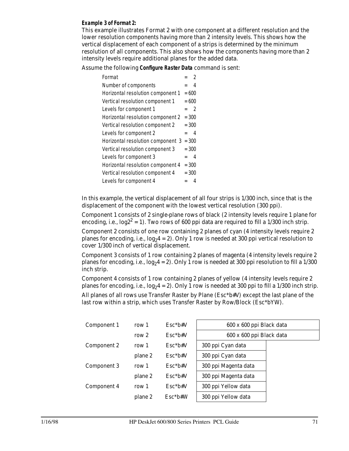#### **Example 3 of Format 2:**

This example illustrates Format 2 with one component at a different resolution and the lower resolution components having more than 2 intensity levels. This shows how the vertical displacement of each component of a strips is determined by the minimum resolution of all components. This also shows how the components having more than 2 intensity levels require additional planes for the added data.

Assume the following **Configure Raster Data** command is sent:

| Format                            |         | $\mathfrak{D}$ |
|-----------------------------------|---------|----------------|
| Number of components              |         | 4              |
| Horizontal resolution component 1 | $= 600$ |                |
| Vertical resolution component 1   | $= 600$ |                |
| Levels for component 1            | $=$     | -2             |
| Horizontal resolution component 2 | $= 300$ |                |
| Vertical resolution component 2   | $= 300$ |                |
| Levels for component 2            | $=$     | 4              |
| Horizontal resolution component 3 | $= 300$ |                |
| Vertical resolution component 3   | $= 300$ |                |
| Levels for component 3            | $=$     | 4              |
| Horizontal resolution component 4 | $= 300$ |                |
| Vertical resolution component 4   | $= 300$ |                |
| Levels for component 4            |         | 4              |

In this example, the vertical displacement of all four strips is 1/300 inch, since that is the displacement of the component with the lowest vertical resolution (300 ppi).

Component 1 consists of 2 single-plane rows of black (2 intensity levels require 1 plane for encoding, i.e.,  $log2^2 = 1$ ). Two rows of 600 ppi data are required to fill a 1/300 inch strip.

Component 2 consists of one row containing 2 planes of cyan (4 intensity levels require 2 planes for encoding, i.e.,  $log_2 4 = 2$ ). Only 1 row is needed at 300 ppi vertical resolution to cover 1/300 inch of vertical displacement.

Component 3 consists of 1 row containing 2 planes of magenta (4 intensity levels require 2 planes for encoding, i.e.,  $log_2 4 = 2$ . Only 1 row is needed at 300 ppi resolution to fill a 1/300 inch strip.

Component 4 consists of 1 row containing 2 planes of yellow (4 intensity levels require 2 planes for encoding, i.e.,  $log_2 4 = 2$ ). Only 1 row is needed at 300 ppi to fill a 1/300 inch strip.

All planes of all rows use Transfer Raster by Plane (Esc\*b#V) except the last plane of the last row within a strip, which uses Transfer Raster by Row/Block (Esc\*bYW).

| row 1   | $Esc*bt*V$ | 600 x 600 ppi Black data |  |  |  |  |
|---------|------------|--------------------------|--|--|--|--|
| row $2$ | $Esc*bt*V$ | 600 x 600 ppi Black data |  |  |  |  |
| row 1   | $Esc*bt#V$ | 300 ppi Cyan data        |  |  |  |  |
| plane 2 | $Esc*bt*V$ | 300 ppi Cyan data        |  |  |  |  |
| row 1   | $Esc*bt*V$ | 300 ppi Magenta data     |  |  |  |  |
| plane 2 | $Esc*bt#V$ | 300 ppi Magenta data     |  |  |  |  |
| row 1   | $Esc*bt*V$ | 300 ppi Yellow data      |  |  |  |  |
| plane 2 | $Esc*b#W$  | 300 ppi Yellow data      |  |  |  |  |
|         |            |                          |  |  |  |  |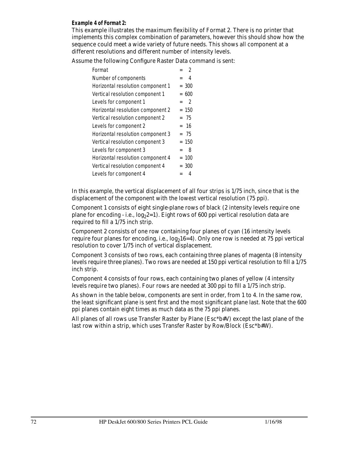#### **Example 4 of Format 2:**

This example illustrates the maximum flexibility of Format 2. There is no printer that implements this complex combination of parameters, however this should show how the sequence could meet a wide variety of future needs. This shows all component at a different resolutions and different number of intensity levels.

Assume the following Configure Raster Data command is sent:

| Format                            | $\mathcal{P}$         |
|-----------------------------------|-----------------------|
| Number of components              | 4                     |
| Horizontal resolution component 1 | $= 300$               |
| Vertical resolution component 1   | $= 600$               |
| Levels for component 1            | $\overline{2}$<br>$=$ |
| Horizontal resolution component 2 | $= 150$               |
| Vertical resolution component 2   | $= 75$                |
| Levels for component 2            | $= 16$                |
| Horizontal resolution component 3 | $= 75$                |
| Vertical resolution component 3   | $= 150$               |
| Levels for component 3            | 8<br>$=$              |
| Horizontal resolution component 4 | $= 100$               |
| Vertical resolution component 4   | $= 300$               |
| Levels for component 4            |                       |

In this example, the vertical displacement of all four strips is 1/75 inch, since that is the displacement of the component with the lowest vertical resolution (75 ppi).

Component 1 consists of eight single-plane rows of black (2 intensity levels require one plane for encoding - i.e.,  $log_2 2=1$ ). Eight rows of 600 ppi vertical resolution data are required to fill a 1/75 inch strip.

Component 2 consists of one row containing four planes of cyan (16 intensity levels require four planes for encoding, i.e.,  $log_216=4$ ). Only one row is needed at 75 ppi vertical resolution to cover 1/75 inch of vertical displacement.

Component 3 consists of two rows, each containing three planes of magenta (8 intensity levels require three planes). Two rows are needed at 150 ppi vertical resolution to fill a 1/75 inch strip.

Component 4 consists of four rows, each containing two planes of yellow (4 intensity levels require two planes). Four rows are needed at 300 ppi to fill a 1/75 inch strip.

As shown in the table below, components are sent in order, from 1 to 4. In the same row, the least significant plane is sent first and the most significant plane last. Note that the 600 ppi planes contain eight times as much data as the 75 ppi planes.

All planes of all rows use Transfer Raster by Plane (Esc\*b#V) except the last plane of the last row within a strip, which uses Transfer Raster by Row/Block (Esc\*b#W).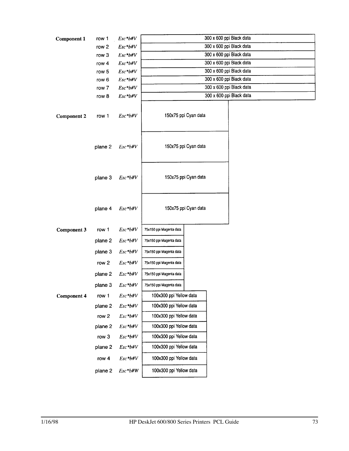| <b>Component 1</b> | row 1   | $Esc*bt*V$   | 300 x 600 ppi Black data |                          |                          |  |  |
|--------------------|---------|--------------|--------------------------|--------------------------|--------------------------|--|--|
|                    | row 2   | $Esc*b#V$    |                          | 300 x 600 ppi Black data |                          |  |  |
|                    | row 3   | $Esc*bt*V$   |                          | 300 x 600 ppi Black data |                          |  |  |
|                    | row 4   | $Esc*bt*V$   |                          | 300 x 600 ppi Black data |                          |  |  |
|                    | row 5   | $Esc*bt*V$   |                          | 300 x 600 ppi Black data |                          |  |  |
|                    | row 6   | $Esc*bt*V$   |                          | 300 x 600 ppi Black data |                          |  |  |
|                    | row 7   | $Esc*bt*V$   |                          |                          | 300 x 600 ppi Black data |  |  |
|                    | row 8   | $Esc*bt*V$   |                          |                          | 300 x 600 ppi Black data |  |  |
| <b>Component 2</b> | row 1   | $Esc*bt*V$   |                          | 150x75 ppi Cyan data     |                          |  |  |
|                    | plane 2 | $Esc* b\# V$ |                          | 150x75 ppi Cyan data     |                          |  |  |
|                    | plane 3 | $Esc*bt*V$   |                          | 150x75 ppi Cyan data     |                          |  |  |
|                    | plane 4 | $Esc*bt*V$   |                          | 150x75 ppi Cyan data     |                          |  |  |
| <b>Component 3</b> | row 1   | $Esc*bt*V$   | 75x150 ppi Magenta data  |                          |                          |  |  |
|                    | plane 2 | $Esc*bt*V$   | 75x150 ppi Magenta data  |                          |                          |  |  |
|                    | plane 3 | $Esc*bt*V$   | 75x150 ppi Magenta data  |                          |                          |  |  |
|                    | row 2   | $Esc*bt*V$   | 75x150 ppi Magenta data  |                          |                          |  |  |
|                    | plane 2 | $Esc*bt*V$   | 75x150 ppi Magenta data  |                          |                          |  |  |
|                    | plane 3 | Esc*b#V      | 75x150 ppi Magenta data  |                          |                          |  |  |
| <b>Component 4</b> | row 1   | $Esc*bt*V$   | 100x300 ppi Yellow data  |                          |                          |  |  |
|                    | plane 2 | $Esc*bt*V$   | 100x300 ppi Yellow data  |                          |                          |  |  |
|                    | row 2   | $Esc*bt*V$   | 100x300 ppi Yellow data  |                          |                          |  |  |
|                    | plane 2 | $Esc*btW$    | 100x300 ppi Yellow data  |                          |                          |  |  |
|                    | row 3   | $Esc*bt*V$   | 100x300 ppi Yellow data  |                          |                          |  |  |
|                    | plane 2 | $Esc*bt*V$   | 100x300 ppi Yellow data  |                          |                          |  |  |
|                    | row 4   | $Esc*bt*V$   | 100x300 ppi Yellow data  |                          |                          |  |  |
|                    | plane 2 | $Esc*btW$    | 100x300 ppi Yellow data  |                          |                          |  |  |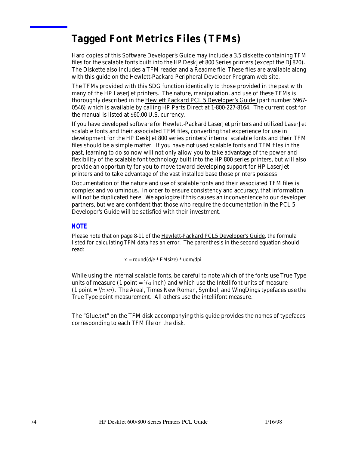# **Tagged Font Metrics Files (TFMs)**

Hard copies of this Software Developer's Guide may include a 3.5 diskette containing TFM files for the scalable fonts built into the HP DeskJet 800 Series printers (except the DJ820). The Diskette also includes a TFM reader and a Readme file. These files are available along with this guide on the Hewlett-Packard Peripheral Developer Program web site.

The TFMs provided with this SDG function identically to those provided in the past with many of the HP LaserJet printers. The nature, manipulation, and use of these TFMs is thoroughly described in the Hewlett Packard PCL 5 Developer's Guide (part number 5967- 0546) which is available by calling HP Parts Direct at 1-800-227-8164. The current cost for the manual is listed at \$60.00 U.S. currency.

If you have developed software for Hewlett-Packard LaserJet printers and utilized LaserJet scalable fonts and their associated TFM files, converting that experience for use in development for the HP DeskJet 800 series printers' internal scalable fonts and *their* TFM files should be a simple matter. If you have *not* used scalable fonts and TFM files in the past, learning to do so now will not only allow you to take advantage of the power and flexibility of the scalable font technology built into the HP 800 series printers, but will also provide an opportunity for you to move toward developing support for HP LaserJet printers and to take advantage of the vast installed base those printers possess

Documentation of the nature and use of scalable fonts and their associated TFM files is complex and voluminous. In order to ensure consistency and accuracy, that information will not be duplicated here. We apologize if this causes an inconvenience to our developer partners, but we are confident that those who require the documentation in the PCL 5 Developer's Guide will be satisfied with their investment.

#### *NOTE*

Please note that on page 8-11 of the Hewlett-Packard PCL5 Developer's Guide, the formula listed for calculating TFM data has an error. The parenthesis in the second equation should read:

 $x = round(d/e * EMsize) * uom/dpi$ 

While using the internal scalable fonts, be careful to note which of the fonts use True Type units of measure (1 point  $=$   $1/\gamma$  inch) and which use the Intellifont units of measure  $(1$  point  $=$   $1/72.307)$ . The Areal, Times New Roman, Symbol, and WingDings typefaces use the True Type point measurement. All others use the intellifont measure.

The "Glue.txt" on the TFM disk accompanying this guide provides the names of typefaces corresponding to each TFM file on the disk.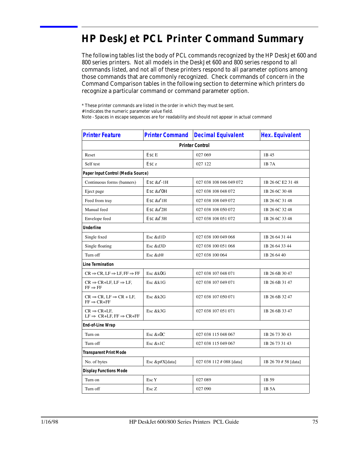# **HP DeskJet PCL Printer Command Summary**

The following tables list the body of PCL commands recognized by the HP DeskJet 600 and 800 series printers. Not all models in the DeskJet 600 and 800 series respond to all commands listed, and not all of these printers respond to all parameter options among those commands that are commonly recognized. Check commands of concern in the Command Comparison tables in the following section to determine which printers do recognize a particular command or command parameter option.

\* These printer commands are listed in the order in which they must be sent.

# Indicates the numeric parameter value field.

Note - Spaces in escape sequences are for readability and should not appear in actual command

| <b>Printer Feature</b>                                                       | <b>Printer Command</b> | <b>Decimal Equivalent</b> | <b>Hex. Equivalent</b> |
|------------------------------------------------------------------------------|------------------------|---------------------------|------------------------|
|                                                                              |                        | <b>Printer Control</b>    |                        |
| Reset                                                                        | Esc E                  | 027 069                   | 1B 45                  |
| Self test                                                                    | Esc z                  | 027 122                   | 1B7A                   |
| Paper Input Control (Media Source)                                           |                        |                           |                        |
| Continuous forms (banners)                                                   | Esc & $\ell$ -1H       | 027 038 108 046 049 072   | 1B 26 6C E2 31 48      |
| Eject page                                                                   | Esc $&0$ H             | 027 038 108 048 072       | 1B 26 6C 30 48         |
| Feed from tray                                                               | Esc & $\ell$ 1H        | 027 038 108 049 072       | 1B 26 6C 31 48         |
| Manual feed                                                                  | Esc & $\ell$ 2H        | 027 038 108 050 072       | 1B 26 6C 32 48         |
| Envelope feed                                                                | Esc $&8\ell$ 3H        | 027 038 108 051 072       | 1B 26 6C 33 48         |
| <b>Underline</b>                                                             |                        |                           |                        |
| Single fixed                                                                 | Esc &d1D               | 027 038 100 049 068       | 1B 26 64 31 44         |
| Single floating                                                              | Esc &d3D               | 027 038 100 051 068       | 1B 26 64 33 44         |
| Turn off                                                                     | Esc &d@                | 027 038 100 064           | 1B 26 64 40            |
| <b>Line Termination</b>                                                      |                        |                           |                        |
| $CR \Rightarrow CR$ , LF $\Rightarrow$ LF, FF $\Rightarrow$ FF               | Esc &k0G               | 027 038 107 048 071       | 1B 26 6B 30 47         |
| $CR \Rightarrow CR+LF, LF \Rightarrow LF,$<br>$FF \Rightarrow FF$            | Esc &k1G               | 027 038 107 049 071       | 1B 26 6B 31 47         |
| $CR \Rightarrow CR$ , LF $\Rightarrow CR + LF$ ,<br>$FF \Rightarrow CR + FF$ | Esc &k2G               | 027 038 107 050 071       | 1B 26 6B 32 47         |
| $CR \Rightarrow CR+LF$ .<br>$LF \Rightarrow CR+LF, FF \Rightarrow CR+FF$     | Esc &k3G               | 027 038 107 051 071       | 1B 26 6B 33 47         |
| End-of-Line Wrap                                                             |                        |                           |                        |
| Turn on                                                                      | Esc &s0C               | 027 038 115 048 067       | 1B 26 73 30 43         |
| Turn off                                                                     | Esc &s1C               | 027 038 115 049 067       | 1B 26 73 31 43         |
| <b>Transparent Print Mode</b>                                                |                        |                           |                        |
| No. of bytes                                                                 | Esc &p#X[data]         | 027 038 112 # 088 [data]  | 1B 26 70 # 58 [data]   |
| <b>Display Functions Mode</b>                                                |                        |                           |                        |
| Turn on                                                                      | Esc Y                  | 027 089                   | 1B 59                  |
| Turn off                                                                     | Esc <sub>Z</sub>       | 027 090                   | 1B 5A                  |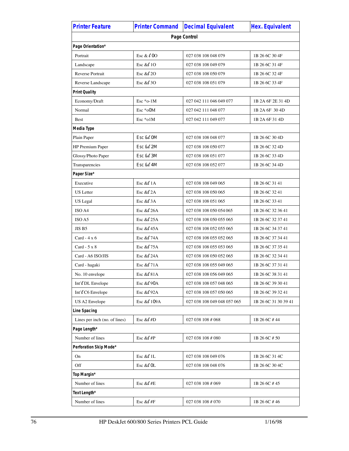| <b>Printer Feature</b>        | <b>Printer Command</b> | <b>Decimal Equivalent</b>   | <b>Hex. Equivalent</b> |
|-------------------------------|------------------------|-----------------------------|------------------------|
|                               |                        | Page Control                |                        |
| Page Orientation*             |                        |                             |                        |
| Portrait                      | Esc & $\ell$ 00        | 027 038 108 048 079         | 1B 26 6C 30 4F         |
| Landscape                     | Esc & $10$             | 027 038 108 049 079         | 1B 26 6C 31 4F         |
| Reverse Portrait              | Esc & $20$             | 027 038 108 050 079         | 1B 26 6C 32 4F         |
| Reverse Landscape             | Esc & $\ell$ 30        | 027 038 108 051 079         | 1B 26 6C 33 4F         |
| <b>Print Quality</b>          |                        |                             |                        |
| Economy/Draft                 | Esc $*o-1M$            | 027 042 111 046 049 077     | 1B 2A 6F 2E 31 4D      |
| Normal                        | $Esc * o0M$            | 027 042 111 048 077         | 1B 2A 6F 30 4D         |
| <b>Best</b>                   | $Esc * o 1M$           | 027 042 111 049 077         | 1B 2A 6F 31 4D         |
| Media Type                    |                        |                             |                        |
| Plain Paper                   | Esc $&0$ M             | 027 038 108 048 077         | 1B 26 6C 30 4D         |
| HP Premium Paper              | Esc $&2M$              | 027 038 108 050 077         | 1B 26 6C 32 4D         |
| Glossy/Photo Paper            | Esc $&8\ell$ 3M        | 027 038 108 051 077         | 1B 26 6C 33 4D         |
| Transparencies                | Esc & 4M               | 027 038 108 052 077         | 1B 26 6C 34 4D         |
| Paper Size*                   |                        |                             |                        |
| Executive                     | Esc & $\ell$ 1A        | 027 038 108 049 065         | 1B 26 6C 31 41         |
| <b>US</b> Letter              | Esc & $2A$             | 027 038 108 050 065         | 1B 26 6C 32 41         |
| <b>US</b> Legal               | Esc & $\ell$ 3A        | 027 038 108 051 065         | 1B 26 6C 33 41         |
| ISO A4                        | Esc & 26A              | 027 038 108 050 054 065     | 1B 26 6C 32 36 41      |
| ISO A5                        | Esc $&25A$             | 027 038 108 050 055 065     | 1B 26 6C 32 37 41      |
| JIS B5                        | Esc $&45A$             | 027 038 108 052 055 065     | 1B 26 6C 34 37 41      |
| $Card - 4x6$                  | Esc & 74A              | 027 038 108 055 052 065     | 1B 26 6C 37 34 41      |
| Card $-5 \times 8$            | Esc & 075A             | 027 038 108 055 053 065     | 1B 26 6C 37 35 41      |
| Card - A6 ISO/JIS             | Esc $&24A$             | 027 038 108 050 052 065     | 1B 26 6C 32 34 41      |
| Card - hagaki                 | Esc & #71A             | 027 038 108 055 049 065     | 1B 26 6C 37 31 41      |
| No. 10 envelope               | Esc & C 81 A           | 027 038 108 056 049 065     | 1B 26 6C 38 31 41      |
| Int' <i>DL</i> Envelope       | Esc $&0.90A$           | 027 038 108 057 048 065     | 1B 26 6C 39 30 41      |
| Int' <sub>C6</sub> Envelope   | Esc & 02A              | 027 038 108 057 050 065     | 1B 26 6C 39 32 41      |
| US A2 Envelope                | Esc & 0109A            | 027 038 108 049 048 057 065 | 1B 26 6C 31 30 39 41   |
| Line Spacing                  |                        |                             |                        |
| Lines per inch (no. of lines) | Esc & $\ell$ #D        | 027 038 108 # 068           | 1B 26 6C #44           |
| Page Length*                  |                        |                             |                        |
| Number of lines               | Esc & $\ell$ #P        | 027 038 108 # 080           | 1B 26 6C # 50          |
| Perforation Skip Mode*        |                        |                             |                        |
| On                            | Esc & $\ell$ 1L        | 027 038 108 049 076         | 1B 26 6C 31 4C         |
| Off                           | Esc & 0L               | 027 038 108 048 076         | 1B 26 6C 30 4C         |
| Top Margin*                   |                        |                             |                        |
| Number of lines               | Esc & $#E$             | 027 038 108 # 069           | 1B 26 6C #45           |
| Text Length*                  |                        |                             |                        |
| Number of lines               | Esc & $#F$             | 027 038 108 # 070           | 1B 26 6C #46           |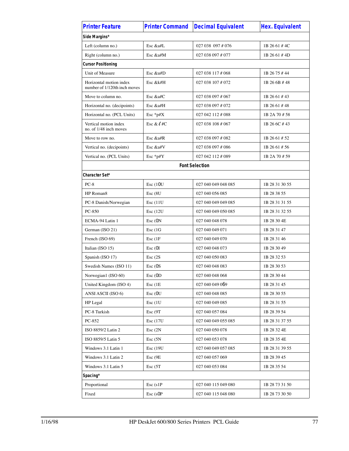| <b>Printer Feature</b>                                  | <b>Printer Command</b> | <b>Decimal Equivalent</b> | <b>Hex. Equivalent</b> |
|---------------------------------------------------------|------------------------|---------------------------|------------------------|
| Side Margins*                                           |                        |                           |                        |
| Left (column no.)                                       | Esc &a#L               | 027 038 097 # 076         | 1B 26 61 #4C           |
| Right (column no.)                                      | Esc &a#M               | 027 038 097 # 077         | 1B 26 61 #4D           |
| <b>Cursor Positioning</b>                               |                        |                           |                        |
| Unit of Measure                                         | Esc &u#D               | 027 038 117 # 068         | 1B 26 75 #44           |
| Horizontal motion index<br>number of 1/120th inch moves | Esc &k#H               | 027 038 107 # 072         | 1B 26 6B #48           |
| Move to column no.                                      | Esc $&atfC$            | 027 038 097 # 067         | 1B 26 61 #43           |
| Horizontal no. (decipoints)                             | Esc &a#H               | 027 038 097 # 072         | 1B 26 61 #48           |
| Horizontal no. (PCL Units)                              | Esc *p#X               | 027 042 112 # 088         | 1B 2A 70 # 58          |
| Vertical motion index<br>no. of 1/48 inch moves         | Esc & $\ell$ #C        | 027 038 108 # 067         | 1B 26 6C #43           |
| Move to row no.                                         | Esc &a#R               | 027 038 097 # 082         | 1B 26 61 # 52          |
| Vertical no. (decipoints)                               | Esc &a#V               | 027 038 097 # 086         | 1B 26 61 # 56          |
| Vertical no. (PCL Units)                                | Esc *p#Y               | 027 042 112 # 089         | 1B 2A 70 # 59          |
|                                                         |                        | <b>Font Selection</b>     |                        |
| Character Set*                                          |                        |                           |                        |
| $PC-8$                                                  | Esc(10U)               | 027 040 049 048 085       | 1B 28 31 30 55         |
| HP Roman8                                               | $Esc$ ( $8U$           | 027 040 056 085           | 1B 28 38 55            |
| PC-8 Danish/Norwegian                                   | Esc(11U)               | 027 040 049 049 085       | 1B 28 31 31 55         |
| PC-850                                                  | Esc(12U)               | 027 040 049 050 085       | 1B 28 31 32 55         |
| ECMA-94 Latin 1                                         | Esc (0N)               | 027 040 048 078           | 1B 28 30 4E            |
| German (ISO 21)                                         | Esc(1G)                | 027 040 049 071           | 1B 28 31 47            |
| French (ISO 69)                                         | Esc(1F)                | 027 040 049 070           | 1B 28 31 46            |
| Italian (ISO 15)                                        | Esc(0I)                | 027 040 048 073           | 1B 28 30 49            |
| Spanish (ISO 17)                                        | Esc(2S)                | 027 040 050 083           | 1B 28 32 53            |
| Swedish Names (ISO 11)                                  | Esc(0S)                | 027 040 048 083           | 1B 28 30 53            |
| Norwegian1 (ISO 60)                                     | Esc (0D                | 027 040 048 068           | 1B 28 30 44            |
| United Kingdom (ISO 4)                                  | Esc(1E)                | 027 040 049 069           | 1B 28 31 45            |
| ANSI ASCII (ISO 6)                                      | Esc(0U)                | 027 040 048 085           | 1B 28 30 55            |
| HP Legal                                                | Esc (1U                | 027 040 049 085           | 1B 28 31 55            |
| PC-8 Turkish                                            | Esc (9T)               | 027 040 057 084           | 1B 28 39 54            |
| PC-852                                                  | Esc(17U)               | 027 040 049 055 085       | 1B 28 31 37 55         |
| ISO 8859/2 Latin 2                                      | Esc(2N)                | 027 040 050 078           | 1B 28 32 4E            |
| ISO 8859/5 Latin 5                                      | Esc(5N)                | 027 040 053 078           | 1B 28 35 4E            |
| Windows 3.1 Latin 1                                     | Esc(19U)               | 027 040 049 057 085       | 1B 28 31 39 55         |
| Windows 3.1 Latin 2                                     | Esc (9E                | 027 040 057 069           | 1B 28 39 45            |
| Windows 3.1 Latin 5                                     | Esc(5T)                | 027 040 053 084           | 1B 28 35 54            |
| Spacing*                                                |                        |                           |                        |
| Proportional                                            | $Esc$ (s1P             | 027 040 115 049 080       | 1B 28 73 31 50         |
| Fixed                                                   | Esc (s0P)              | 027 040 115 048 080       | 1B 28 73 30 50         |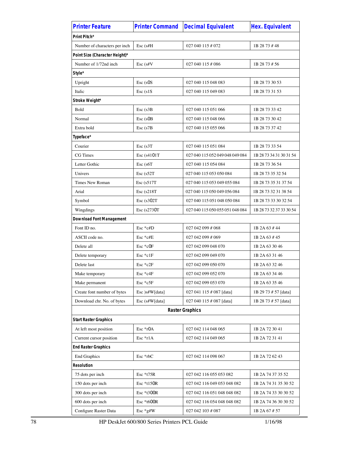| <b>Printer Feature</b>          | <b>Printer Command</b> | <b>Decimal Equivalent</b>       | <b>Hex. Equivalent</b>  |
|---------------------------------|------------------------|---------------------------------|-------------------------|
| Print Pitch*                    |                        |                                 |                         |
| Number of characters per inch   | Esc (s#H               | 027 040 115 # 072               | 1B 28 73 #48            |
| Point Size (Character Height)*  |                        |                                 |                         |
| Number of 1/72nd inch           | Esc (s#V               | 027 040 115 # 086               | 1B 28 73 # 56           |
| Style*                          |                        |                                 |                         |
| Upright                         | Esc (s0S               | 027 040 115 048 083             | 1B 28 73 30 53          |
| Italic                          | $Esc$ (s1S)            | 027 040 115 049 083             | 1B 28 73 31 53          |
| Stroke Weight*                  |                        |                                 |                         |
| Bold                            | $Esc$ (s $3B$          | 027 040 115 051 066             | 1B 28 73 33 42          |
| Normal                          | $Esc$ (s $OB$ )        | 027 040 115 048 066             | 1B 28 73 30 42          |
| Extra bold                      | Esc (s7B               | 027 040 115 055 066             | 1B 28 73 37 42          |
| Typeface*                       |                        |                                 |                         |
| Courier                         | $Esc$ (s $3T$ )        | 027 040 115 051 084             | 1B 28 73 33 54          |
| CG Times                        | Esc (s4101T            | 027 040 115 052 049 048 049 084 | 1B 28 73 34 31 30 31 54 |
| Letter Gothic                   | Esc (s6T               | 027 040 115 054 084             | 1B 28 73 36 54          |
| Univers                         | $Esc$ (s52 $T$ )       | 027 040 115 053 050 084         | 1B 28 73 35 32 54       |
| Times New Roman                 | $Esc$ (s517T           | 027 040 115 053 049 055 084     | 1B 28 73 35 31 37 54    |
| Arial                           | $Esc$ (s $218T$ )      | 027 040 115 050 049 056 084     | 1B 28 73 32 31 38 54    |
| Symbol                          | $Esc$ (s302T)          | 027 040 115 051 048 050 084     | 1B 28 73 33 30 32 54    |
| Wingdings                       | Esc (s2730T            | 027 040 115 050 055 051 048 084 | 1B 28 73 32 37 33 30 54 |
| <b>Download Font Management</b> |                        |                                 |                         |
| Font ID no.                     | $Esc * c#D$            | 027 042 099 # 068               | 1B 2A 63 #44            |
| ASCII code no.                  | Esc $*$ c#E            | 027 042 099 # 069               | 1B 2A 63 #45            |
| Delete all                      | $Esc * c0F$            | 027 042 099 048 070             | 1B 2A 63 30 46          |
| Delete temporary                | $Esc * c1F$            | 027 042 099 049 070             | 1B 2A 63 31 46          |
| Delete last                     | $Esc * c2F$            | 027 042 099 050 070             | 1B 2A 63 32 46          |
| Make temporary                  | Esc *c4F               | 027 042 099 052 070             | 1B 2A 63 34 46          |
| Make permanent                  | Esc *c5F               | 027 042 099 053 070             | 1B 2A 63 35 46          |
| Create font number of bytes     | Esc )s#W[data]         | 027 041 115 # 087 [data]        | 1B 29 73 # 57 [data]    |
| Download chr. No. of bytes      | Esc (s#W[data]         | 027 040 115 # 087 [data]        | 1B 28 73 # 57 [data]    |
|                                 |                        | <b>Raster Graphics</b>          |                         |
| <b>Start Raster Graphics</b>    |                        |                                 |                         |
| At left most position           | Esc *r0A               | 027 042 114 048 065             | 1B 2A 72 30 41          |
| Current cursor position         | Esc *r1A               | 027 042 114 049 065             | 1B 2A 72 31 41          |
| <b>End Raster Graphics</b>      |                        |                                 |                         |
| <b>End Graphics</b>             | Esc *rbC               | 027 042 114 098 067             | 1B 2A 72 62 43          |
| <b>Resolution</b>               |                        |                                 |                         |
| 75 dots per inch                | Esc *t75R              | 027 042 116 055 053 082         | 1B 2A 74 37 35 52       |
| 150 dots per inch               | Esc $*$ t150R          | 027 042 116 049 053 048 082     | 1B 2A 74 31 35 30 52    |
| 300 dots per inch               | Esc *t300R             | 027 042 116 051 048 048 082     | 1B 2A 74 33 30 30 52    |
| 600 dots per inch               | Esc *t600R             | 027 042 116 054 048 048 082     | 1B 2A 74 36 30 30 52    |
| Configure Raster Data           | Esc *g#W               | 027 042 103 # 087               | 1B 2A 67 # 57           |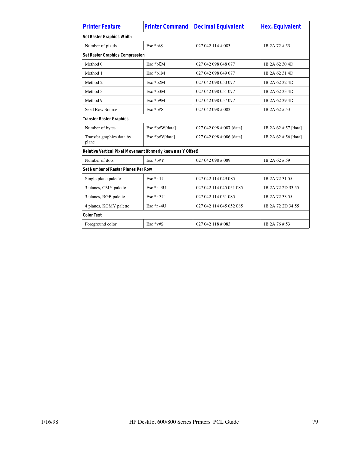| <b>Printer Feature</b>                                        | <b>Printer Command</b> | <b>Decimal Equivalent</b> | <b>Hex. Equivalent</b> |
|---------------------------------------------------------------|------------------------|---------------------------|------------------------|
| Set Raster Graphics Width                                     |                        |                           |                        |
| Number of pixels                                              | Esc $*$ r#S            | 027 042 114 # 083         | 1B 2A 72 # 53          |
| <b>Set Raster Graphics Compression</b>                        |                        |                           |                        |
| Method 0                                                      | Esc *b0M               | 027 042 098 048 077       | 1B 2A 62 30 4D         |
| Method 1                                                      | Esc *b1M               | 027 042 098 049 077       | 1B 2A 62 31 4D         |
| Method 2                                                      | Esc *b2M               | 027 042 098 050 077       | 1B 2A 62 32 4D         |
| Method 3                                                      | Esc *b3M               | 027 042 098 051 077       | 1B 2A 62 33 4D         |
| Method 9                                                      | Esc *b9M               | 027 042 098 057 077       | 1B 2A 62 39 4D         |
| Seed Row Source                                               | Esc *b#S               | 027 042 098 # 083         | 1B 2A 62 # 53          |
| <b>Transfer Raster Graphics</b>                               |                        |                           |                        |
| Number of bytes                                               | Esc *b#W[data]         | 027 042 098 # 087 [data]  | 1B 2A 62 # 57 [data]   |
| Transfer graphics data by<br>plane                            | Esc *b#V[data]         | 027 042 098 # 086 [data]  | 1B 2A 62 # 56 [data]   |
| Relative Vertical Pixel Movement (formerly known as Y Offset) |                        |                           |                        |
| Number of dots                                                | Esc *b#Y               | 027 042 098 # 089         | 1B 2A 62 # 59          |
| Set Number of Raster Planes Per Row                           |                        |                           |                        |
| Single plane palette                                          | $Esc *r 1U$            | 027 042 114 049 085       | 1B 2A 72 31 55         |
| 3 planes, CMY palette                                         | Esc $*_r - 3U$         | 027 042 114 045 051 085   | 1B 2A 72 2D 33 55      |
| 3 planes, RGB palette                                         | Esc *r 3U              | 027 042 114 051 085       | 1B 2A 72 33 55         |
| 4 planes, KCMY palette                                        | Esc $*$ r -4U          | 027 042 114 045 052 085   | 1B 2A 72 2D 34 55      |
| <b>Color Text</b>                                             |                        |                           |                        |
| Foreground color                                              | $Esc * v#S$            | 027 042 118 # 083         | 1B 2A 76 # 53          |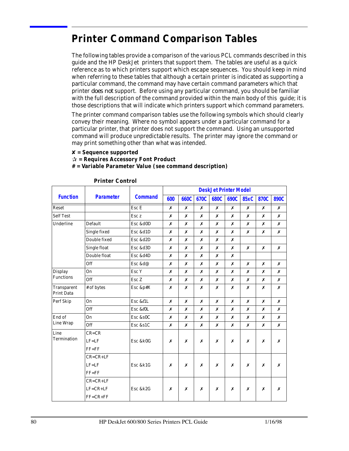# **Printer Command Comparison Tables**

The following tables provide a comparison of the various PCL commands described in this guide and the HP DeskJet printers that support them. The tables are useful as a quick reference as to which printers support which escape sequences. You should keep in mind when referring to these tables that although a certain printer is indicated as supporting a particular command, the command may have certain command parameters which that printer *does not* support. Before using any particular command, you should be familiar with the full description of the command provided within the main body of this guide; it is those descriptions that will indicate which printers support which command parameters.

The printer command comparison tables use the following symbols which should clearly convey their meaning. Where no symbol appears under a particular command for a particular printer, that printer does not support the command. Using an unsupported command will produce unpredictable results. The printer may ignore the command or may print something other than what was intended.

8 **= Sequence supported**

P **= Requires Accessory Font Product**

#### **# = Variable Parameter Value (see command description)**

|                                    |                  |                  | <b>DeskJet Printer Model</b> |                  |                  |             |                  |             |      |      |
|------------------------------------|------------------|------------------|------------------------------|------------------|------------------|-------------|------------------|-------------|------|------|
| <b>Function</b>                    | <b>Parameter</b> | <b>Command</b>   | 600                          | <b>660C</b>      | 670C             | <b>680C</b> | 690C             | <b>85xC</b> | 870C | 890C |
| Reset                              |                  | Esc E            | $\boldsymbol{x}$             | $\boldsymbol{x}$ | $\boldsymbol{x}$ | x           | $\boldsymbol{x}$ | x           | x    | x    |
| <b>Self Test</b>                   |                  | Esc <sub>z</sub> | x                            | $\boldsymbol{x}$ | x                | x           | x                | x           | x    | x    |
| Underline                          | Default          | Esc &d0D         | x                            | x                | x                | x           | x                | x           | x    | x    |
|                                    | Single fixed     | Esc &d1D         | Х                            | Х                | Х                | Х           | X                | Х           | x    | x    |
|                                    | Double fixed     | Esc &d2D         | x                            | X                | X                | x           | X                |             |      |      |
|                                    | Single float     | Esc &d3D         | x                            | X                | x                | x           | x                | x           | x    | x    |
|                                    | Double float     | Esc &d4D         | x                            | X                | x                | x           | X                |             |      |      |
|                                    | Off              | Esc &d@          | x                            | Х                | X                | Х           | X                | Х           | x    | Х    |
| <b>Display</b><br><b>Functions</b> | On               | Esc Y            | x                            | X                | X                | x           | x                | x           | x    | x    |
|                                    | Off              | Esc <sub>Z</sub> | x                            | X                | X                | x           | X                | x           | x    | x    |
| Transparent<br><b>Print Data</b>   | # of bytes       | Esc &p#X         | x                            | x                | X                | x           | X                | x           | x    | x    |
| Perf Skip                          | O <sub>n</sub>   | Esc & lL         | x                            | X                | X                | x           | X                | x           | x    | x    |
|                                    | Off              | Esc &e0L         | x                            | X                | x                | x           | x                | x           | x    | x    |
| End of                             | On               | Esc &s0C         | x                            | X                | X                | x           | X                | x           | x    | x    |
| Line Wrap                          | Off              | Esc &s1C         | x                            | X                | X                | x           | X                | x           | x    | x    |
| Line                               | $CR = CR$        |                  |                              |                  |                  |             |                  |             |      |      |
| Termination                        | $LF=LF$          | Esc &k0G         | x                            | x                | X                | x           | X                | x           | x    | X    |
|                                    | $FF = FF$        |                  |                              |                  |                  |             |                  |             |      |      |
|                                    | $CR = CR + LF$   |                  |                              |                  |                  |             |                  |             |      |      |
|                                    | $LF=LF$          | Esc &k1G         | x                            | Х                | X                | Х           | X                | Х           | x    | Х    |
|                                    | $FF = FF$        |                  |                              |                  |                  |             |                  |             |      |      |
|                                    | $CR = CR + LF$   |                  |                              |                  |                  |             |                  |             |      |      |
|                                    | $LF=CR+LF$       | Esc &k2G         | X                            | Х                | Х                | Х           | X                | Х           | Х    | x    |
|                                    | $FF=CR+FF$       |                  |                              |                  |                  |             |                  |             |      |      |

#### **Printer Control**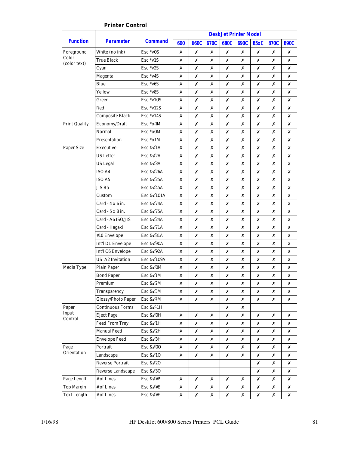|                       |                           |                   |     |             |      |             | <b>DeskJet Printer Model</b> |             |      |      |
|-----------------------|---------------------------|-------------------|-----|-------------|------|-------------|------------------------------|-------------|------|------|
| <b>Function</b>       | <b>Parameter</b>          | <b>Command</b>    | 600 | <b>660C</b> | 670C | <b>680C</b> | 690C                         | <b>85xC</b> | 870C | 890C |
| Foreground            | White (no ink)            | $Esc * v 0S$      | Х   | Х           | Х    | Х           | Х                            | Х           | Х    | Х    |
| Color<br>(color text) | <b>True Black</b>         | Esc*v1S           | Х   | Х           | Х    | Х           | Х                            | Х           | Х    | Х    |
|                       | Cyan                      | $Esc * v2S$       | Х   | Х           | Х    | Х           | Х                            | Х           | Х    | Х    |
|                       | Magenta                   | $Esc * v4S$       | Х   | Х           | Х    | Х           | Х                            | х           | Х    | Х    |
|                       | Blue                      | $Esc * v6S$       | Х   | Х           | Х    | Х           | Х                            | х           | Х    | Х    |
|                       | Yellow                    | $Esc * v8S$       | Х   | Х           | Х    | Х           | Х                            | Х           | Х    | Х    |
|                       | Green                     | $Esc * v10S$      | Х   | Х           | Х    | Х           | Х                            | х           | Х    | Х    |
|                       | Red                       | $Esc * v12S$      | Х   | Х           | Х    | Х           | Х                            | Х           | Х    | Х    |
|                       | <b>Composite Black</b>    | $Esc * v14S$      | Х   | Х           | Х    | Х           | Х                            | Х           | Х    | Х    |
| <b>Print Quality</b>  | Economy/Draft             | Esc *o-1M         | Х   | Х           | Х    | Х           | Х                            | х           | Х    | Х    |
|                       | Normal                    | Esc *o0M          | Х   | Х           | Х    | Х           | Х                            | х           | Х    | Х    |
|                       | Presentation              | Esc *o1M          | Х   | Х           | Х    | Х           | Х                            | Х           | Х    | Х    |
| <b>Paper Size</b>     | Executive                 | Esc & $\ell$ 1A   | Х   | Х           | Х    | Х           | Х                            | х           | Х    | Х    |
|                       | <b>US</b> Letter          | Esc & 2A          | Х   | Х           | Х    | Х           | Х                            | Х           | Х    | Х    |
|                       | US Legal                  | Esc & 23A         | Х   | Х           | Х    | Х           | Х                            | Х           | Х    | Х    |
|                       | ISO A4                    | Esc $&626A$       | Х   | Х           | Х    | Х           | Х                            | Х           | Х    | Х    |
|                       | ISO A5                    | Esc & 25A         | Х   | Х           | Х    | Х           | Х                            | Х           | Х    | Х    |
|                       | JIS B5                    | Esc $&45A$        | Х   | Х           | Х    | Х           | Х                            | Х           | Х    | Х    |
|                       | Custom                    | Esc & £101A       | Х   | Х           | Х    | Х           | Х                            | Х           | Х    | Х    |
|                       | Card $-4 \times 6$ in.    | Esc & $\ell$ 74A  | Х   | Х           | Х    | Х           | Х                            | Х           | Х    | Х    |
|                       | $Card - 5 \times 8$ in.   | Esc & $25A$       | Х   | Х           | Х    | Х           | Х                            | Х           | Х    | Х    |
|                       | Card - A6 ISO/JIS         | Esc $&24A$        | Х   | Х           | Х    | Х           | Х                            | Х           | Х    | Х    |
|                       | Card - Hagaki             | Esc & $\ell$ 71A  | Х   | Х           | Х    | Х           | Х                            | х           | Х    | Х    |
|                       | #10 Envelope              | Esc $&64$         | Х   | Х           | Х    | Х           | Х                            | Х           | Х    | Х    |
|                       | Int'l DL Envelope         | Esc & 00A         | Х   | Х           | Х    | Х           | Х                            | х           | Х    | Х    |
|                       | Int'l C6 Envelope         | Esc & 02A         | Х   | Х           | Х    | Х           | Х                            | х           | Х    | Х    |
|                       | <b>US A2 Invitation</b>   | Esc $&0.109A$     | Х   | Х           | Х    | Х           | Х                            | Х           | Х    | Х    |
| Media Type            | <b>Plain Paper</b>        | Esc & COM         | Х   | Х           | Х    | Х           | Х                            | х           | Х    | Х    |
|                       | <b>Bond Paper</b>         | Esc $\&\ell$ 1M   | Х   | Х           | Х    | Х           | Х                            | х           | Х    | Х    |
|                       | Premium                   | Esc $&2M$         | Х   | Х           | Х    | Х           | Х                            | Х           | X    | Х    |
|                       | Transparency              | Esc & C3M         | Х   | Х           | Х    | Х           | Х                            | Х           | Х    | Х    |
|                       | <b>Glossy/Photo Paper</b> | Esc & C4M         | Х   | Х           | Х    | Х           | Х                            | Х           | Х    | Х    |
| Paper                 | <b>Continuous Forms</b>   | Esc & $\ell$ -1H  |     |             |      | Х           | Х                            |             |      |      |
| Input<br>Control      | <b>Eject Page</b>         | Esc & COH         | Х   | Х           | Х    | Х           | Х                            | Х           | Х    | Х    |
|                       | <b>Feed From Tray</b>     | Esc & $\ell$ 1H   | Х   | Х           | Х    | Х           | Х                            | X           | Х    | Х    |
|                       | <b>Manual Feed</b>        | Esc & $\ell$ 2H   | Х   | Х           | Х    | Х           | Х                            | X           | Х    | Х    |
|                       | <b>Envelope Feed</b>      | Esc & 2H          | Х   | Х           | Х    | Х           | Х                            | Х           | Х    | Х    |
| Page                  | Portrait                  | Esc & <i>2</i> 00 | Х   | Х           | Х    | Х           | Х                            | X           | Х    | Х    |
| Orientation           | Landscape                 | Esc & $\ell$ 10   | Х   | Х           | Х    | Х           | Х                            | Х           | Х    | Х    |
|                       | <b>Reverse Portrait</b>   | Esc & 20          |     |             |      |             |                              | Х           | Х    | Х    |
|                       | Reverse Landscape         | Esc & 20          |     |             |      |             |                              | X           | Х    | Х    |
| Page Length           | # of Lines                | Esc & $\ell$ #P   | Х   | Х           | Х    | Х           | Х                            | Х           | Х    | Х    |
| <b>Top Margin</b>     | # of Lines                | Esc & $\ell$ #E   | Х   | Х           | Х    | Х           | Х                            | Х           | Х    | Х    |
| <b>Text Length</b>    | # of Lines                | Esc & $\ell$ #F   | Х   | Х           | Х    | Х           | Х                            | X           | Х    | Х    |

#### **Printer Control**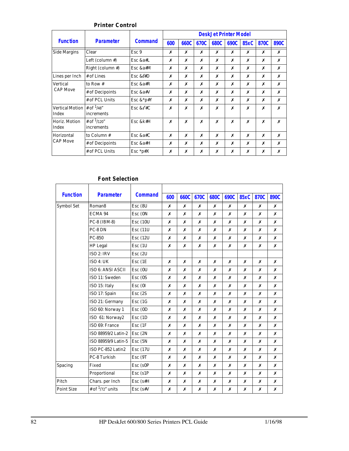|                                 |                                      | <b>DeskJet Printer Model</b> |     |      |      |      |      |      |      |      |
|---------------------------------|--------------------------------------|------------------------------|-----|------|------|------|------|------|------|------|
| <b>Function</b>                 | <b>Parameter</b>                     | <b>Command</b>               | 600 | 660C | 670C | 680C | 690C | 85xC | 870C | 890C |
| <b>Side Margins</b>             | Clear                                | Esc <sub>9</sub>             | х   | X    | X    | х    | х    | х    | х    | Х    |
|                                 | Left (column #)                      | Esc $&a#L$                   | X   | Х    | Х    | Х    | Х    | Х    | X    | х    |
|                                 | Right (column #)                     | Esc &a#M                     | х   | Х    | x    | х    | X    | x    | x    | Х    |
| Lines per Inch                  | $#$ of Lines                         | Esc & $\ell$ #D              | Х   | Х    | Х    | Х    | х    | Х    | X    | x    |
| Vertical<br><b>CAP Move</b>     | to Row $#$                           | Esc $&a#R$                   | X   | x    | X    | х    | X    | x    | x    | x    |
|                                 | # of Decipoints                      | Esc $&a\#V$                  | х   | Х    | Х    | X    | X    | х    | Х    | Х    |
|                                 | # of PCL Units                       | Esc $&$ <sup>*</sup> p#Y     | X   | Х    | X    | х    | X    | x    | X    | x    |
| <b>Vertical Motion</b><br>Index | # of $\frac{1}{48}$ "<br>increments  | Esc $&\ell$ #C               | x   | x    | Х    | Х    | Х    | x    | Х    | x    |
| Horiz. Motion<br>Index          | # of $\frac{1}{120}$ "<br>increments | $Esc$ & $k#H$                | x   | X    | X    | Х    | X    | x    | X    | x    |
| Horizontal                      | to Column#                           | Esc $&a#C$                   | x   | X    | X    | x    | X    | x    | x    | Х    |
| <b>CAP Move</b>                 | # of Decipoints                      | Esc &a#H                     | Х   | X    | Х    | Х    | X    | х    | X    | х    |
|                                 | # of PCL Units                       | Esc $\frac{1}{2}p \neq X$    | Х   | Х    | x    | Х    | Х    | x    | Х    | х    |

#### **Printer Control**

#### **Font Selection**

| <b>Function</b>   | <b>Parameter</b>            | <b>Command</b>   | 600 | 660C | 670C             | <b>680C</b> | 690C | <b>85xC</b> | <b>870C</b> | <b>890C</b> |
|-------------------|-----------------------------|------------------|-----|------|------------------|-------------|------|-------------|-------------|-------------|
| Symbol Set        | Roman <sub>8</sub>          | $Esc$ ( $8U$     | X   | X    | $\boldsymbol{x}$ | x           | x    | x           | x           | x           |
|                   | ECMA 94                     | $Esc$ ( $0N$     | Х   | Х    | Х                | Х           | Х    | x           | Х           | x           |
|                   | PC-8 (IBM-8)                | <b>Esc (10U)</b> | Х   | Х    | Х                | Х           | Х    | Х           | Х           | Х           |
|                   | PC-8 DN                     | <b>Esc (11U)</b> | x   | x    | X                | x           | Х    | x           | x           | X           |
|                   | PC-850                      | <b>Esc</b> (12U  | x   | Х    | x                | x           | Х    | x           | x           | x           |
|                   | <b>HP</b> Legal             | Esc(1U)          | Х   | Х    | x                | x           | x    | Х           | x           | Х           |
|                   | ISO 2: IRV                  | Esc(2U)          |     |      |                  |             |      |             |             |             |
|                   | ISO 4: UK                   | Esc (1E          | X   | x    | X                | x           | x    | x           | x           | x           |
|                   | ISO 6: ANSI ASCII           | Esc(0U)          | Х   | Х    | Х                | Х           | Х    | Х           | Х           | Х           |
|                   | ISO 11: Sweden              | $Esc$ $(0S)$     | Х   | Х    | X                | Х           | Х    | Х           | x           | Х           |
|                   | ISO 15: Italy               | Esc(0I)          | X   | x    | x                | x           | x    | x           | x           | x           |
|                   | ISO 17: Spain               | Esc(2S)          | X   | X    | X                | x           | x    | x           | x           | x           |
|                   | ISO 21: Germany             | Esc(1G)          | Х   | Х    | X                | Х           | x    | Х           | x           | Х           |
|                   | ISO 60: Norway 1            | $Esc$ (0D        | Х   | x    | X                | x           | X    | Х           | x           | X           |
|                   | ISO 61: Norway2             | Esc(1D)          | X   | Х    | X                | x           | x    | x           | x           | x           |
|                   | ISO 69: France              | Esc(1F)          | Х   | Х    | Х                | Х           | Х    | Х           | Х           | Х           |
|                   | ISO 88959/2 Latin-2         | Esc(2N)          | Х   | Х    | X                | Х           | Х    | Х           | x           | Х           |
|                   | ISO 88959/9 Latin-5         | Esc(5N)          | Х   | Х    | X                | Х           | x    | Х           | x           | x           |
|                   | ISO PC-852 Latin2           | <b>Esc (17U)</b> | x   | Х    | X                | x           | x    | x           | x           | x           |
|                   | PC-8 Turkish                | Esc (9T          | x   | Х    | X                | x           | x    | x           | x           | Х           |
| <b>Spacing</b>    | Fixed                       | Esc (s0P         | Х   | x    | X                | x           | Х    | x           | x           | x           |
|                   | Proportional                | Esc (s1P         | x   | Х    | X                | x           | x    | x           | x           | Х           |
| Pitch             | Chars. per Inch             | $Esc$ ( $s#H$    | Х   | Х    | Х                | Х           | Х    | Х           | Х           | Х           |
| <b>Point Size</b> | # of $\frac{1}{72}$ " units | Esc (s#V         | Х   | Х    | X                | Х           | X    | Х           | x           | X           |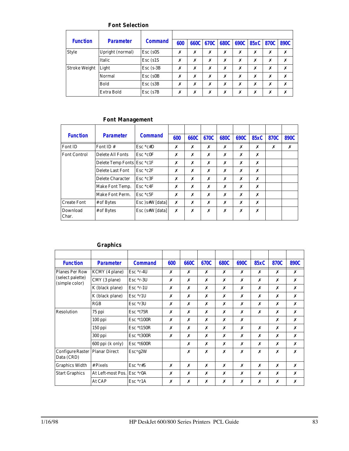#### **Font Selection**

| <b>Function</b> | <b>Parameter</b>  | <b>Command</b> | 600 |   |   |   |   | 660C 670C 680C 690C 85xC 870C |   | 890C |
|-----------------|-------------------|----------------|-----|---|---|---|---|-------------------------------|---|------|
| <b>Style</b>    | Upright (normal)  | $Esc$ (s0S)    | X   | Х | Х | Х | х | Х                             | Х | Х    |
|                 | Italic            | $Esc$ (s1S)    | X   | х | Х | х | Х | х                             | Х | х    |
| Stroke Weight   | Light             | $Esc$ (s-3B)   | Х   | Х | X | Х | Х | Х                             | х | Х    |
|                 | Normal            | Esc (s0B)      | X   | Х | Х | х | Х | Х                             | Х | х    |
|                 | <b>Bold</b>       | $Esc$ (s $3B$  | X   | Х | Х | Х | Х | Х                             | Х | x    |
|                 | <b>Extra Bold</b> | $Esc$ (s $7B$  | X   | Х | Х | х | Х | х                             | х | х    |

### **Font Management**

| <b>Function</b>     | <b>Parameter</b>                | <b>Command</b>    | 600 | 660C | 670C | 680C | 690C | 85xC | 870C | 890C |
|---------------------|---------------------------------|-------------------|-----|------|------|------|------|------|------|------|
| Font ID             | Font ID#                        | $Esc * c#D$       | Х   | Х    | Х    | Х    | Х    | Х    | x    | х    |
| <b>Font Control</b> | Delete All Fonts<br>$Esc * c0F$ |                   | Х   | Х    | Х    | x    | Х    | Х    |      |      |
|                     | Delete Temp Fonts Esc *c1F      |                   | Х   | Х    | Х    | X    | Х    | Х    |      |      |
|                     | Delete Last Font                | $Esc * c2F$       | Х   | X    | Х    | х    | Х    | X    |      |      |
|                     | Delete Character                | $Esc * c3F$       | Х   | Х    | Х    | х    | Х    | X    |      |      |
|                     | Make Font Temp.                 | $Esc * c4F$       | Х   | X    | Х    | х    | Х    | X    |      |      |
|                     | <b>Make Font Perm.</b>          | $Esc * c5F$       | Х   | Х    | Х    | Х    | Х    | X    |      |      |
| <b>Create Font</b>  | # of Bytes                      | $Esc$ )s#W [data] | Х   | Х    | Х    | Х    | Х    | Х    |      |      |
| Download<br>Char.   | # of Bytes                      | $Esc$ (s#W [data] | Х   | X    | Х    | Х    | X    | X    |      |      |

#### **Graphics**

| <b>Function</b>                       | <b>Parameter</b>  | <b>Command</b> | 600 | 660C | 670C | 680C | 690C | <b>85xC</b> | 870C | 890C |
|---------------------------------------|-------------------|----------------|-----|------|------|------|------|-------------|------|------|
| <b>Planes Per Row</b>                 | KCMY (4 plane)    | $Esc *r-4U$    | X   | X    | X    | X    | x    | X           | X    | x    |
| (select palette)<br>(simple color)    | CMY (3 plane)     | $Esc *r-3U$    | x   | x    | X    | x    | x    | X           | X    | x    |
|                                       | K (black plane)   | $Esc *r-1U$    | Х   | Х    | Х    | Х    | Х    | Х           | Х    | Х    |
|                                       | K (black plane)   | $Esc * r1U$    | Х   | X    | X    | х    | x    | X           | Х    | x    |
|                                       | RGB               | $Esc * r3U$    | X   | x    | X    | x    | x    | X           | X    | x    |
| Resolution                            | 75 ppi            | $Esc * t75R$   | Х   | х    | Х    | Х    | х    | Х           | Х    | Х    |
|                                       | $100$ ppi         | Esc *t100R     | X   | x    | X    | x    | x    |             | X    | x    |
|                                       | 150 ppi           | $Esc * t150R$  | Х   | x    | X    | Х    | x    | X           | Х    | x    |
|                                       | 300 ppi           | Esc *t300R     | Х   | X    | X    | X    | x    | X           | Х    | Х    |
|                                       | 600 ppi (k only)  | $Esc *t600R$   |     | Х    | X    | Х    | x    | Х           | Х    | x    |
| <b>Configure Raster</b><br>Data (CRD) | Planar Direct     | Esc*g2W        |     | X    | X    | Х    | x    | X           | X    | x    |
| <b>Graphics Width</b>                 | # Pixels          | $Esc *r#S$     | X   | X    | X    | X    | x    | X           | X    | x    |
| <b>Start Graphics</b>                 | At Left-most Pos. | $Esc * r0A$    | X   | X    | X    | x    | x    | X           | X    | x    |
|                                       | At CAP            | $Esc * r1A$    | Х   | х    | X    | Х    | х    | X           | Х    | x    |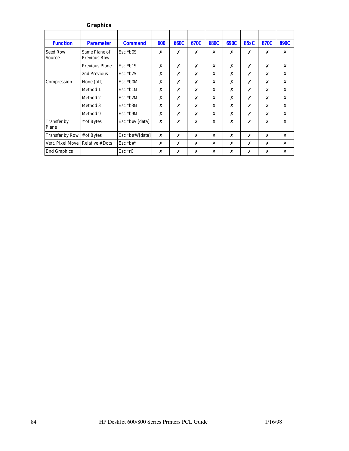|                             | <b>Graphics</b>                      |                   |     |      |      |      |      |             |      |      |
|-----------------------------|--------------------------------------|-------------------|-----|------|------|------|------|-------------|------|------|
|                             |                                      |                   |     |      |      |      |      |             |      |      |
| <b>Function</b>             | <b>Parameter</b>                     | <b>Command</b>    | 600 | 660C | 670C | 680C | 690C | <b>85xC</b> | 870C | 890C |
| <b>Seed Row</b><br>Source   | Same Plane of<br><b>Previous Row</b> | $Esc * b0S$       | x   | x    | X    | X    | х    | X           | x    | X    |
|                             | <b>Previous Plane</b>                | $Esc * b1S$       | x   | Х    | х    | Х    | х    | X           | Х    | x    |
|                             | 2nd Previous                         | $Esc * b2S$       | x   | Х    | х    | Х    | x    | X           | Х    | Х    |
| Compression                 | None (off)                           | Esc *b0M          | х   | х    | Х    | X    | x    | X           | Х    | Х    |
|                             | Method 1                             | $Esc * b1M$       | x   | x    | X    | X    | x    | X           | Х    | X    |
|                             | Method 2                             | $Esc * b2M$       | Х   | х    | X    | Х    | х    | Х           | Х    | Х    |
|                             | Method 3                             | $Esc * b3M$       | x   | x    | X    | Х    | x    | X           | x    | X    |
|                             | Method 9                             | $Esc * b9M$       | х   | х    | Х    | Х    | х    | Х           | Х    | Х    |
| <b>Transfer by</b><br>Plane | # of Bytes                           | Esc *b#V [data]   | x   | x    | X    | Х    | X    | X           | x    | Х    |
| Transfer by Row             | $#$ of Bytes                         | Esc $>b# W[data]$ | x   | х    | Х    | X    | Х    | Х           | Х    | Х    |
| Vert. Pixel Move            | <b>Relative # Dots</b>               | $Esc * b#Y$       | x   | х    | X    | Х    | x    | X           | Х    | X    |
| <b>End Graphics</b>         |                                      | Esc *rC           | х   | х    | Х    | Х    | х    | Х           | x    | Х    |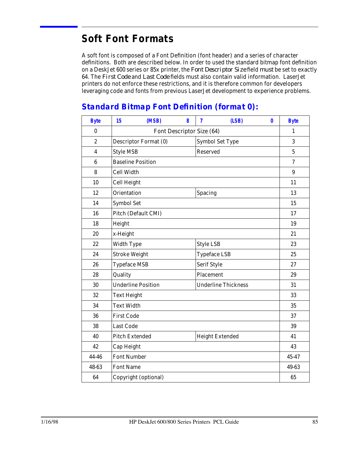# **Soft Font Formats**

A soft font is composed of a Font Definition (font header) and a series of character definitions. Both are described below. In order to used the standard bitmap font definition on a DeskJet 600 series or 85x printer, the *Font Descriptor Size* field *must* be set to exactly 64. The *First Code* and *Last Code* fields must also contain valid information. LaserJet printers do not enforce these restrictions, and it is therefore common for developers leveraging code and fonts from previous LaserJet development to experience problems.

# **Byte 15 (MSB) 8 7 (LSB) 0 Byte** 0 | Font Descriptor Size (64) | 1 2 Descriptor Format (0) Symbol Set Type 3 4 Style MSB Reserved 5 6 Baseline Position **8 August 2** and 2 and 2 and 2 and 2 and 2 and 2 and 2 and 2 and 2 and 2 and 2 and 2 and 2 and 2 and 2 and 2 and 2 and 2 and 2 and 2 and 2 and 2 and 2 and 2 and 2 and 2 and 2 and 2 and 2 and 2 and 2 and 8 Cell Width 9 10 Cell Height 11 12 | Orientation | Spacing | 13 14 Symbol Set 15 16 Pitch (Default CMI) 17 18 | Height 19  $20 \quad \boxed{\text{x-Height}}$  21 22 Width Type Style LSB 23 24 Stroke Weight Typeface LSB 25 26 Typeface MSB Serif Style 27 28 | Quality | Placement | 29 30 Underline Position Underline Thickness 31 32 Text Height 33 34 Text Width 35 36 First Code 37 38 Last Code 39 40 Pitch Extended Height Extended 41 42 Cap Height 43 44-46 Font Number 45-47 48-63 Font Name 49-63 64 Copyright (optional) 65

# *Standard Bitmap Font Definition (format 0):*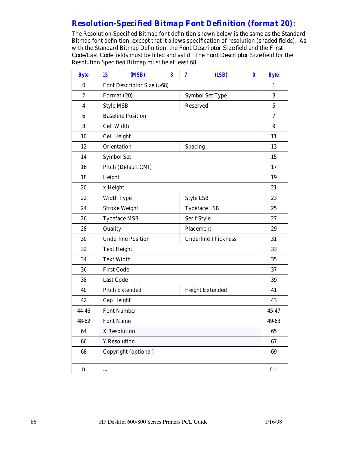# *Resolution-Specified Bitmap Font Definition (format 20):*

The Resolution-Specified Bitmap font definition shown below is the same as the Standard Bitmap font definition, except that it allows specification of resolution (shaded fields). As with the Standard Bitmap Definition, the *Font Descriptor Size* field and the *First Code/Last Code* fields must be filled and valid. The *Font Descriptor Size* field for the Resolution Specified Bitmap must be at least 68.

| <b>Byte</b>      | (MSB)<br>15                | 8 | (LSB)<br>7                 | $\bf{0}$ | <b>Byte</b> |  |  |  |
|------------------|----------------------------|---|----------------------------|----------|-------------|--|--|--|
| $\bf{0}$         | Font Descriptor Size (≥68) |   |                            |          | 1           |  |  |  |
| $\boldsymbol{2}$ | Format (20)                |   | <b>Symbol Set Type</b>     |          | 3           |  |  |  |
| $\overline{4}$   | <b>Style MSB</b>           |   | Reserved                   |          | $\sqrt{5}$  |  |  |  |
| 6                | <b>Baseline Position</b>   |   |                            |          |             |  |  |  |
| 8                | <b>Cell Width</b>          |   |                            |          | 9           |  |  |  |
| 10               | <b>Cell Height</b>         |   |                            |          | 11          |  |  |  |
| 12               | <b>Orientation</b>         |   | Spacing                    |          | 13          |  |  |  |
| 14               | <b>Symbol Set</b>          |   |                            |          | 15          |  |  |  |
| 16               | Pitch (Default CMI)        |   |                            |          | 17          |  |  |  |
| 18               | Height                     |   |                            |          | 19          |  |  |  |
| 20               | x-Height                   |   |                            |          | 21          |  |  |  |
| 22               | <b>Width Type</b>          |   | <b>Style LSB</b>           |          | 23          |  |  |  |
| 24               | <b>Stroke Weight</b>       |   | <b>Typeface LSB</b>        | 25       |             |  |  |  |
| 26               | <b>Typeface MSB</b>        |   | Serif Style                |          | 27          |  |  |  |
| 28               | Quality                    |   | Placement                  | 29       |             |  |  |  |
| 30               | <b>Underline Position</b>  |   | <b>Underline Thickness</b> |          | 31          |  |  |  |
| 32               | <b>Text Height</b>         |   |                            |          | 33          |  |  |  |
| 34               | <b>Text Width</b>          |   |                            |          | 35          |  |  |  |
| 36               | <b>First Code</b>          |   |                            |          | 37          |  |  |  |
| 38               | <b>Last Code</b>           |   |                            |          | 39          |  |  |  |
| 40               | <b>Pitch Extended</b>      |   | <b>Height Extended</b>     |          | 41          |  |  |  |
| 42               | Cap Height                 |   |                            |          | 43          |  |  |  |
| 44-46            | <b>Font Number</b>         |   |                            |          | 45-47       |  |  |  |
| 48-62            | <b>Font Name</b>           |   |                            |          | 49-63       |  |  |  |
| 64               | X Resolution               |   |                            |          | 65          |  |  |  |
| 66               | <b>Y</b> Resolution        |   |                            |          | 67          |  |  |  |
| 68               | Copyright (optional)       |   |                            |          | 69          |  |  |  |
| n                |                            |   |                            |          | $n+1$       |  |  |  |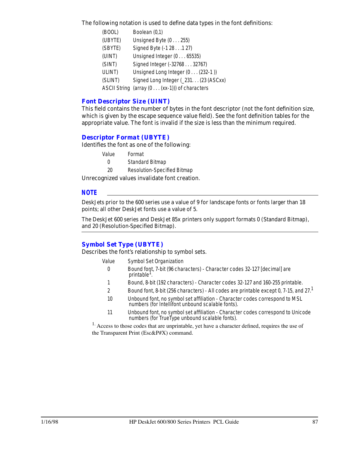The following notation is used to define data types in the font definitions:

| (BOOL)  | Boolean (0,1)                                 |
|---------|-----------------------------------------------|
| (UBYTE) | Unsigned Byte (0255)                          |
| (SBYTE) | Signed Byte (-1 28 1 27)                      |
| (UINT)  | Unsigned Integer (065535)                     |
| (SINT)  | Signed Integer (-32768 32767)                 |
| ULINT)  | Unsigned Long Integer (0 (232-1))             |
| (SLINT) | Signed Long Integer (231 (23 (ASCxx)          |
|         | ASCII String (array (0 (xx-1))) of characters |
|         |                                               |

#### *Font Descriptor Size (UINT)*

This field contains the number of bytes in the font descriptor (not the font definition size, which is given by the escape sequence value field). See the font definition tables for the appropriate value. The font is invalid if the size is less than the minimum required.

#### *Descriptor Format (UBYTE)*

Identifies the font as one of the following:

| Value | Format |
|-------|--------|
|       |        |

| $\theta$ | <b>Standard Bitmap</b> |  |
|----------|------------------------|--|
|          |                        |  |

20 Resolution-Specified Bitmap

Unrecognized values invalidate font creation.

#### *NOTE*

DeskJets prior to the 600 series use a value of 9 for landscape fonts or fonts larger than 18 points; all other DeskJet fonts use a value of 5.

The DeskJet 600 series and DeskJet 85x printers only support formats 0 (Standard Bitmap), and 20 (Resolution-Specified Bitmap).

### *Symbol Set Type (UBYTE)*

Describes the font's relationship to symbol sets.

- Value Symbol Set Organization
	- 0 Bound font, 7-bit (96 characters) Character codes 32-127 [decimal] are printable<sup>1</sup>.
- 1 Bound, 8-bit (192 characters) Character codes 32-127 and 160-255 printable.
- 2 Bound font, 8-bit (256 characters) All codes are printable except 0, 7-15, and 27.<sup>1</sup>
- 10 Unbound font, no symbol set affiliation Character codes correspond to MSL numbers (for Intellifont unbound scalable fonts).
- 11 Unbound font, no symbol set affiliation Character codes correspond to Unicode numbers (for TrueType unbound scalable fonts).

<sup>1.</sup> Access to those codes that are unprintable, yet have a character defined, requires the use of the Transparent Print (Esc&P#X) command.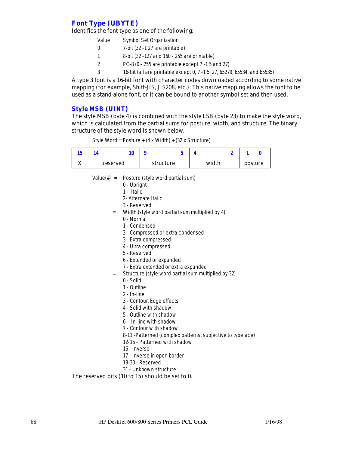# *Font Type (UBYTE)*

Identifies the font type as one of the following:

| Value | <b>Symbol Set Organization</b>                                           |
|-------|--------------------------------------------------------------------------|
|       | 7-bit (32 -1 27 are printable)                                           |
|       | 8-bit (32 -127 and 160 - 255 are printable)                              |
|       | PC-8 (0 - 255 are printable except 7 -1 5 and 27)                        |
|       | 16-bit (all are printable except 0, 7 -1 5, 27, 65279, 65534, and 65535) |
|       |                                                                          |

A type 3 font is a 16-bit font with character codes downloaded according to some native mapping (for example, Shift-JIS, JIS208, etc.). This native mapping allows the font to be used as a stand-alone font, or it can be bound to another symbol set and then used.

#### *Style MSB (UINT)*

The style MSB (byte 4) is combined with the style LSB (byte 23) to make the style word, which is calculated from the partial sums for posture, width, and structure. The binary structure of the style word is shown below.

Style Word = Posture + (4 x Width) + (32 x Structure)

| ıJ.     |          |  |           |       |         |
|---------|----------|--|-----------|-------|---------|
| <br>23. | reserved |  | structure | width | posture |

- Value(#) = Posture (style word partial sum)
	- 0 Upright
	- 1 Italic
	- 2- Alternate Italic
	- 3 Reserved
	- = Width (style word partial sum multiplied by 4)
		- 0 Normal
		- 1 Condensed
		- 2 Compressed or extra condensed
		- 3 Extra compressed
		- 4 Ultra compressed
		- 5 Reserved
		- 6 Extended or expanded
		- 7 Extra extended or extra expanded
	- = Structure (style word partial sum multiplied by 32)
		- 0 Solid
		- 1 Outline
		- 2 In-line
		- 3 Contour, Edge effects
		- 4 Solid with shadow
		- 5 Outline with shadow
		- 6 In-line with shadow
		- 7 Contour with shadow
		- 8-11 -Patterned (complex patterns, subjective to typeface)
		- 12-15 Patterned with shadow
		- 16 Inverse
		- 17 Inverse in open border
		- 18-30 Reserved
		- 31 Unknown structure

#### The reserved bits (10 to 15) should be set to 0.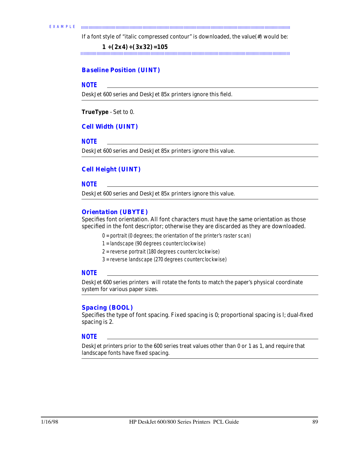If a font style of "italic compressed contour" is downloaded, the value(#) would be:

**1 +(2x4)+(3x32)=105**

#### *Baseline Position (UINT)*

#### *NOTE*

DeskJet 600 series and DeskJet 85x printers ignore this field.

**TrueType** - Set to 0.

#### *Cell Width (UINT)*

#### *NOTE*

DeskJet 600 series and DeskJet 85x printers ignore this value.

#### *Cell Height (UINT)*

#### *NOTE*

DeskJet 600 series and DeskJet 85x printers ignore this value.

#### *Orientation (UBYTE)*

Specifies font orientation. All font characters must have the same orientation as those specified in the font descriptor; otherwise they are discarded as they are downloaded.

- 0 = portrait (0 degrees; the orientation of the printer's raster scan)
- 1 = landscape (90 degrees counterclockwise)
- 2 = reverse portrait (180 degrees counterclockwise)
- 3 = reverse landscape (270 degrees counterclockwise)

#### *NOTE*

DeskJet 600 series printers will rotate the fonts to match the paper's physical coordinate system for various paper sizes.

#### *Spacing (BOOL)*

Specifies the type of font spacing. Fixed spacing is 0; proportional spacing is l; dual-fixed spacing is 2.

#### *NOTE*

DeskJet printers prior to the 600 series treat values other than 0 or 1 as 1, and require that landscape fonts have fixed spacing.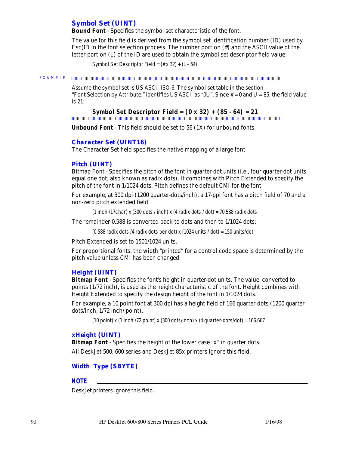### *Symbol Set (UINT)*

**Bound Font** - Specifies the symbol set characteristic of the font.

The value for this field is derived from the symbol set identification number (ID) used by Esc(lD in the font selection process. The number portion (#) and the ASCII value of the letter portion (L) of the ID are used to obtain the symbol set descriptor field value:

Symbol Set Descriptor Field =  $(\# \times 32) + (L - 64)$ 

EXAMPLE  $\label{prop:main} In an anomorphism function a nonmonomorphism function a nonhomomorphism function a nonhomomorphism.$ 

> Assume the symbol set is US ASCII ISO-6. The symbol set table in the section "Font Selection by Attribute," identifies US ASCII as " $0U$ ". Since  $# = 0$  and  $U = 85$ , the field value is 21:

# **Symbol Set Descriptor Field = (0 x 32) + (85 - 64) = 21**

**Unbound Font** - This field should be set to 56 (1X) for unbound fonts.

#### *Character Set (UINT16)*

The Character Set field specifies the native mapping of a large font.

#### *Pitch (UINT)*

Bitmap Font - Specifies the pitch of the font in quarter-dot units (i.e., four quarter-dot units equal one dot; also known as radix dots). It combines with Pitch Extended to specify the pitch of the font in 1/1024 dots. Pitch defines the default CMI for the font.

For example, at 300 dpi (1200 quarter-dots/inch), a 17-ppi font has a pitch field of 70 and a non-zero pitch extended field.

(1 inch /17char) x (300 dots / inch) x (4 radix dots / dot) = 70.588 radix dots

The remainder 0.588 is converted back to dots and then to 1/1024 dots:

(0.588 radix dots /4 radix dots per dot) x (1024 units / dot) = 150 units/dot

Pitch Extended is set to 1501/1024 units.

For proportional fonts, the width "printed" for a control code space is determined by the pitch value unless CMI has been changed.

#### *Height (UINT)*

**Bitmap Font** - Specifies the font's height in quarter-dot units. The value, converted to points (1/72 inch), is used as the height characteristic of the font. Height combines with Height Extended to specify the design height of the font in 1/1024 dots.

For example, a 10 point font at 300 dpi has a height field of 166 quarter dots (1200 quarter dots/inch, 1/72 inch/ point).

(10 point) x (1 inch /72 point) x (300 dots/inch) x (4 quarter-dots/dot) =  $166.667$ 

#### *xHeight (UINT)*

**Bitmap Font** - Specifies the height of the lower case "x" in quarter dots. All DeskJet 500, 600 series and DeskJet 85x printers ignore this field.

### *Width Type (SBYTE)*

#### *NOTE*

DeskJet printers ignore this field.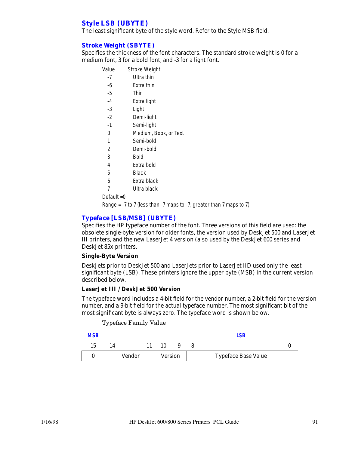## *Style LSB (UBYTE)*

The least significant byte of the style word. Refer to the Style MSB field.

#### *Stroke Weight (SBYTE)*

Specifies the thickness of the font characters. The standard stroke weight is 0 for a medium font, 3 for a bold font, and -3 for a light font.

| Value          | Stroke Weight         |
|----------------|-----------------------|
| -7             | Ultra thin            |
| -6             | Extra thin            |
| $-5$           | Thin                  |
| $-4$           | Extra light           |
| -3             | Light                 |
| $-2$           | Demi-light            |
| $-1$           | Semi-light            |
| 0              | Medium, Book, or Text |
| 1              | Semi-bold             |
| $\overline{2}$ | Demi-bold             |
| 3              | Bold                  |
| 4              | Extra bold            |
| 5              | Black                 |
| 6              | Extra black           |
| 7              | Ultra black           |
| Default $=0$   |                       |

Range =  $-7$  to 7 (less than  $-7$  maps to  $-7$ ; greater than 7 maps to 7)

#### *Typeface [LSB/MSB] (UBYTE)*

Specifies the HP typeface number of the font. Three versions of this field are used: the obsolete single-byte version for older fonts, the version used by DeskJet 500 and LaserJet III printers, and the new LaserJet 4 version (also used by the DeskJet 600 series and DeskJet 85x printers.

#### **Single-Byte Version**

DeskJets prior to DeskJet 500 and LaserJets prior to LaserJet IID used only the least significant byte (LSB). These printers ignore the upper byte (MSB) in the current version described below.

#### **LaserJet III / DeskJet 500 Version**

The typeface word includes a 4-bit field for the vendor number, a 2-bit field for the version number, and a 9-bit field for the actual typeface number. The most significant bit of the most significant byte is always zero. The typeface word is shown below.

Typeface Family Value

| <b>MSB</b> |        |                |  | LSB                        |  |
|------------|--------|----------------|--|----------------------------|--|
| 15         | 14     | 10             |  |                            |  |
|            | Vendor | <b>Version</b> |  | <b>Typeface Base Value</b> |  |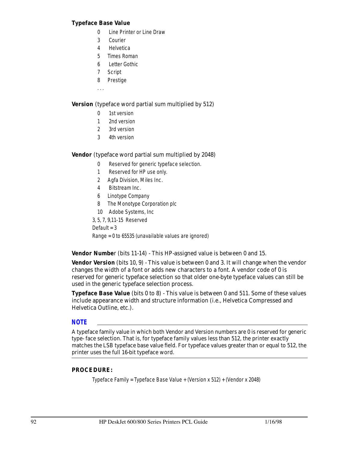#### **Typeface Base Value**

- 0 Line Printer or Line Draw
- 3 Courier
- 4 Helvetica
- 5 Times Roman
- 6 Letter Gothic
- 7 Script
- 8 Prestige
- . . .

#### **Version** (typeface word partial sum multiplied by 512)

- 0 1st version
- 1 2nd version
- 2 3rd version
- 3 4th version

#### **Vendor** (typeface word partial sum multiplied by 2048)

- 0 Reserved for generic typeface selection.
- 1 Reserved for HP use only.
- 2 Agfa Division, Miles Inc.
- 4 Bitstream Inc.
- 6 Linotype Company
- 8 The Monotype Corporation plc
- 10 Adobe Systems, Inc

3, 5, 7, 9,11-15 Reserved Default  $=$  3 Range = 0 to 65535 (unavailable values are ignored)

**Vendor Numbe**r (bits 11-14) - This HP-assigned value is between 0 and 15.

**Vendor Version** (bits 10, 9) - This value is between 0 and 3. It will change when the vendor changes the width of a font or adds new characters to a font. A vendor code of 0 is reserved for generic typeface selection so that older one-byte typeface values can still be used in the generic typeface selection process.

**Typeface Base Value** (bits 0 to 8) - This value is between 0 and 511. Some of these values include appearance width and structure information (i.e., Helvetica Compressed and Helvetica Outline, etc.).

#### *NOTE*

A typeface family value in which both Vendor and Version numbers are 0 is reserved for generic type- face selection. That is, for typeface family values less than 512, the printer exactly matches the LSB typeface base value field. For typeface values greater than or equal to 512, the printer uses the full 16-bit typeface word.

#### **PROCEDURE:**

Typeface Family = Typeface Base Value + (Version x 512) + (Vendor x 2048)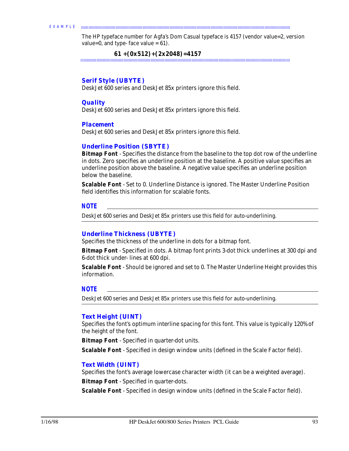#### EXAMPLE

The HP typeface number for Agfa's Dom Casual typeface is 4157 (vendor value=2, version value=0, and type- face value =  $61$ ).

 **61 +(0x512)+(2x2048)=4157**

#### *Serif Style (UBYTE)*

DeskJet 600 series and DeskJet 85x printers ignore this field.

#### *Quality*

DeskJet 600 series and DeskJet 85x printers ignore this field.

#### *Placement*

DeskJet 600 series and DeskJet 85x printers ignore this field.

#### *Underline Position (SBYTE)*

**Bitmap Font** - Specifies the distance from the baseline to the top dot row of the underline in dots. Zero specifies an underline position at the baseline. A positive value specifies an underline position above the baseline. A negative value specifies an underline position below the baseline.

**Scalable Font** - Set to 0. Underline Distance is ignored. The Master Underline Position field identifies this information for scalable fonts.

#### *NOTE*

DeskJet 600 series and DeskJet 85x printers use this field for auto-underlining.

#### *Underline Thickness (UBYTE)*

Specifies the thickness of the underline in dots for a bitmap font.

**Bitmap Font** - Specified in dots. A bitmap font prints 3-dot thick underlines at 300 dpi and 6-dot thick under- lines at 600 dpi.

**Scalable Font** - Should be ignored and set to 0. The Master Underline Height provides this information.

#### *NOTE*

DeskJet 600 series and DeskJet 85x printers use this field for auto-underlining.

#### *Text Height (UINT)*

Specifies the font's optimum interline spacing for this font. This value is typically 120% of the height of the font.

**Bitmap Font** - Specified in quarter-dot units.

**Scalable Font** - Specified in design window units (defined in the Scale Factor field).

#### *Text Width (UINT)*

Specifies the font's average lowercase character width (it can be a weighted average). **Bitmap Font** - Specified in quarter-dots.

**Scalable Font** - Specified in design window units (defined in the Scale Factor field).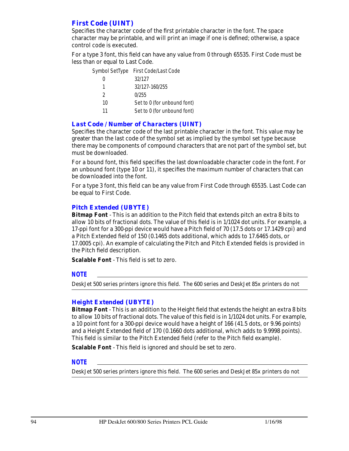# *First Code (UINT)*

Specifies the character code of the first printable character in the font. The space character may be printable, and will print an image if one is defined; otherwise, a space control code is executed.

For a type 3 font, this field can have any value from 0 through 65535. First Code must be less than or equal to Last Code.

|               | Symbol SetType First Code/Last Code |
|---------------|-------------------------------------|
|               | 32/127                              |
| 1             | 32/127-160/255                      |
| $\mathcal{P}$ | 0/255                               |
| 10            | Set to 0 (for unbound font)         |
| 11            | Set to 0 (for unbound font)         |

#### *Last Code / Number of Characters (UINT)*

Specifies the character code of the last printable character in the font. This value may be greater than the last code of the symbol set as implied by the symbol set type because there may be components of compound characters that are not part of the symbol set, but must be downloaded.

For a bound font, this field specifies the last downloadable character code in the font. For an unbound font (type 10 or 11), it specifies the maximum number of characters that can be downloaded into the font.

For a type 3 font, this field can be any value from First Code through 65535. Last Code can be equal to First Code.

#### *Pitch Extended (UBYTE)*

**Bitmap Font** - This is an addition to the Pitch field that extends pitch an extra 8 bits to allow 10 bits of fractional dots. The value of this field is in 1/1024 dot units. For example, a 17-ppi font for a 300-ppi device would have a Pitch field of 70 (17.5 dots or 17.1429 cpi) and a Pitch Extended field of 150 (0.1465 dots additional, which adds to 17.6465 dots, or 17.0005 cpi). An example of calculating the Pitch and Pitch Extended fields is provided in the Pitch field description.

**Scalable Font** - This field is set to zero.

#### *NOTE*

DeskJet 500 series printers ignore this field. The 600 series and DeskJet 85x printers do not

#### *Height Extended (UBYTE)*

**Bitmap Font** - This is an addition to the Height field that extends the height an extra 8 bits to allow 10 bits of fractional dots. The value of this field is in 1/1024 dot units. For example, a 10 point font for a 300-ppi device would have a height of 166 (41.5 dots, or 9.96 points) and a Height Extended field of 170 (0.1660 dots additional, which adds to 9.9998 points). This field is similar to the Pitch Extended field (refer to the Pitch field example).

**Scalable Font** - This field is ignored and should be set to zero.

#### *NOTE*

DeskJet 500 series printers ignore this field. The 600 series and DeskJet 85x printers do not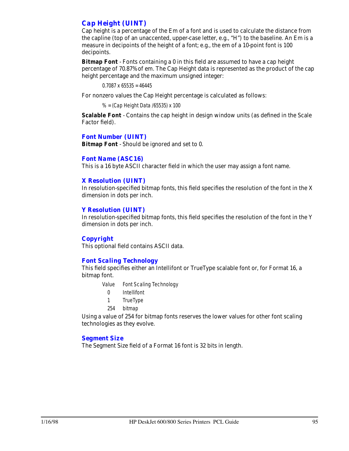# *Cap Height (UINT)*

Cap height is a percentage of the Em of a font and is used to calculate the distance from the capline (top of an unaccented, upper-case letter, e.g., "H") to the baseline. An Em is a measure in decipoints of the height of a font; e.g., the em of a 10-point font is 100 decipoints.

**Bitmap Font** - Fonts containing a 0 in this field are assumed to have a cap height percentage of 70.87% of em. The Cap Height data is represented as the product of the cap height percentage and the maximum unsigned integer:

 $0.7087 \times 65535 = 46445$ 

For nonzero values the Cap Height percentage is calculated as follows:

% = (Cap Height Data /65535) x 100

**Scalable Font** - Contains the cap height in design window units (as defined in the Scale Factor field).

#### *Font Number (UINT)*

**Bitmap Font** - Should be ignored and set to 0.

#### *Font Name (ASC16)*

This is a 16 byte ASCII character field in which the user may assign a font name.

#### *X Resolution (UINT)*

In resolution-specified bitmap fonts, this field specifies the resolution of the font in the X dimension in dots per inch.

#### *Y Resolution (UINT)*

In resolution-specified bitmap fonts, this field specifies the resolution of the font in the Y dimension in dots per inch.

#### *Copyright*

This optional field contains ASCII data.

#### *Font Scaling Technology*

This field specifies either an Intellifont or TrueType scalable font or, for Format 16, a bitmap font.

- Value Font Scaling Technology
	- 0 Intellifont
	- 1 TrueType
- 254 bitmap

Using a value of 254 for bitmap fonts reserves the lower values for other font scaling technologies as they evolve.

#### *Segment Size*

The Segment Size field of a Format 16 font is 32 bits in length.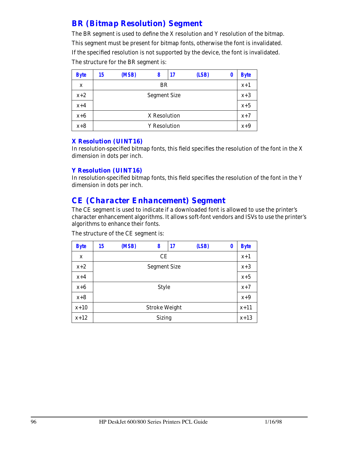# *BR (Bitmap Resolution) Segment*

The BR segment is used to define the X resolution and Y resolution of the bitmap. This segment must be present for bitmap fonts, otherwise the font is invalidated. If the specified resolution is not supported by the device, the font is invalidated. The structure for the BR segment is:

| <b>Byte</b> | 15                  | (MSB)               | 8 | 17 | (LSB) | 0 | <b>Byte</b> |  |
|-------------|---------------------|---------------------|---|----|-------|---|-------------|--|
| X           | BR                  |                     |   |    |       |   |             |  |
| $x+2$       | <b>Segment Size</b> |                     |   |    |       |   |             |  |
| $x+4$       |                     |                     |   |    |       |   |             |  |
| $x+6$       | X Resolution        |                     |   |    |       |   |             |  |
| $x+8$       |                     | <b>Y</b> Resolution |   |    |       |   |             |  |

#### *X Resolution (UINT16)*

In resolution-specified bitmap fonts, this field specifies the resolution of the font in the X dimension in dots per inch.

#### *Y Resolution (UINT16)*

In resolution-specified bitmap fonts, this field specifies the resolution of the font in the Y dimension in dots per inch.

# *CE (Character Enhancement) Segment*

The CE segment is used to indicate if a downloaded font is allowed to use the printer's character enhancement algorithms. It allows soft-font vendors and ISVs to use the printer's algorithms to enhance their fonts.

| <b>Byte</b> | 15                  | (MSB) | 8                    | 17 | (LSB) | 0 | <b>Byte</b> |  |  |
|-------------|---------------------|-------|----------------------|----|-------|---|-------------|--|--|
| $\mathbf x$ |                     | CE    |                      |    |       |   |             |  |  |
| $x+2$       | <b>Segment Size</b> |       |                      |    |       |   |             |  |  |
| $x+4$       |                     |       |                      |    |       |   |             |  |  |
| $x+6$       | <b>Style</b>        |       |                      |    |       |   |             |  |  |
| $x+8$       |                     |       |                      |    |       |   | $x+9$       |  |  |
| $x+10$      |                     |       | <b>Stroke Weight</b> |    |       |   | $x+11$      |  |  |
| $x+12$      |                     |       | <b>Sizing</b>        |    |       |   | $x+13$      |  |  |

The structure of the CE segment is: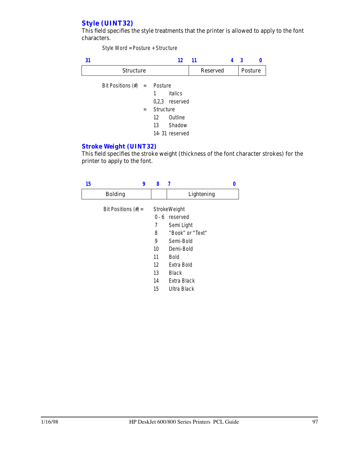# *Style (UINT32)*

This field specifies the style treatments that the printer is allowed to apply to the font characters.

Style Word = Posture + Structure

| 31 |                        |     |                                      | 12                                  | 11 |                 | 3       |  |
|----|------------------------|-----|--------------------------------------|-------------------------------------|----|-----------------|---------|--|
|    | <b>Structure</b>       |     |                                      |                                     |    | <b>Reserved</b> | Posture |  |
|    | Bit Positions $(\#)$ = |     | Posture<br>1                         | italics<br>$0,2,3$ reserved         |    |                 |         |  |
|    |                        | $=$ | Structure<br>$12 \overline{ }$<br>13 | Outline<br>Shadow<br>14-31 reserved |    |                 |         |  |

#### *Stroke Weight (UINT32)*

This field specifies the stroke weight (thickness of the font character strokes) for the printer to apply to the font.

| 15 |                        | 9 | 8  | 7                |  |
|----|------------------------|---|----|------------------|--|
|    | <b>Bolding</b>         |   |    | Lightening       |  |
|    | Bit Positions $(\#) =$ |   |    | StrokeWeight     |  |
|    |                        |   |    | $0 - 6$ reserved |  |
|    |                        |   | 7  | Semi Light       |  |
|    |                        |   | 8  | "Book" or "Text" |  |
|    |                        |   | 9  | Semi-Bold        |  |
|    |                        |   | 10 | Demi-Bold        |  |
|    |                        |   | 11 | <b>Bold</b>      |  |
|    |                        |   | 12 | Extra Bold       |  |
|    |                        |   | 13 | <b>Black</b>     |  |
|    |                        |   | 14 | Extra Black      |  |
|    |                        |   | 15 | Ultra Black      |  |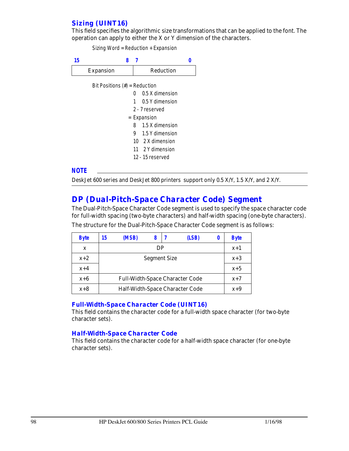## *Sizing (UINT16)*

This field specifies the algorithmic size transformations that can be applied to the font. The operation can apply to either the X or Y dimension of the characters.

Sizing Word = Reduction + Expansion

| 15 | 8                                |              |                   |  |
|----|----------------------------------|--------------|-------------------|--|
|    | Expansion                        |              | Reduction         |  |
|    | Bit Positions $(\#)$ = Reduction |              |                   |  |
|    |                                  | <sup>0</sup> | 0.5 X dimension   |  |
|    |                                  | $\mathbf{1}$ | 0.5 Y dimension   |  |
|    |                                  |              | 2 - 7 reserved    |  |
|    |                                  |              | = Expansion       |  |
|    |                                  | 8            | 1.5 X dimension   |  |
|    |                                  |              | 9 1.5 Y dimension |  |
|    |                                  |              | 10 2 X dimension  |  |
|    |                                  |              | 11 2 Y dimension  |  |
|    |                                  |              | 12 - 15 reserved  |  |

#### *NOTE*

DeskJet 600 series and DeskJet 800 printers support only 0.5 X/Y, 1.5 X/Y, and 2 X/Y.

# *DP (Dual-Pitch-Space Character Code) Segment*

The Dual-Pitch-Space Character Code segment is used to specify the space character code for full-width spacing (two-byte characters) and half-width spacing (one-byte characters).

| <b>Byte</b> | 15 | (MSB)                           |  |  | (LSB) |  | <b>Byte</b> |  |  |  |
|-------------|----|---------------------------------|--|--|-------|--|-------------|--|--|--|
| X           |    | DP                              |  |  |       |  |             |  |  |  |
| $x+2$       |    | <b>Segment Size</b>             |  |  |       |  |             |  |  |  |
| $x+4$       |    |                                 |  |  |       |  |             |  |  |  |
| $x+6$       |    | $x+7$                           |  |  |       |  |             |  |  |  |
| $x+8$       |    | Half-Width-Space Character Code |  |  |       |  |             |  |  |  |

The structure for the Dual-Pitch-Space Character Code segment is as follows:

# *Full-Width-Space Character Code (UINT16)*

This field contains the character code for a full-width space character (for two-byte character sets).

## *Half-Width-Space Character Code*

This field contains the character code for a half-width space character (for one-byte character sets).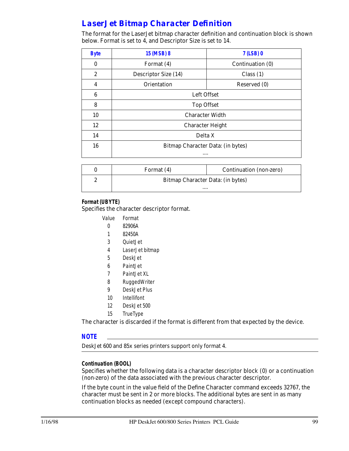# *LaserJet Bitmap Character Definition*

The format for the LaserJet bitmap character definition and continuation block is shown below. Format is set to 4, and Descriptor Size is set to 14.

| <b>Byte</b>      | 15 (MSB) 8                        | 7 (LSB) 0        |  |
|------------------|-----------------------------------|------------------|--|
| $\bf{0}$         | Format (4)                        | Continuation (0) |  |
| $\boldsymbol{2}$ | Descriptor Size (14)              | Class $(1)$      |  |
| 4                | Orientation                       | Reserved (0)     |  |
| 6                |                                   | Left Offset      |  |
| 8                | <b>Top Offset</b>                 |                  |  |
| 10               | <b>Character Width</b>            |                  |  |
| 12               | <b>Character Height</b>           |                  |  |
| 14               | Delta X                           |                  |  |
| 16               | Bitmap Character Data: (in bytes) |                  |  |
|                  | $\cdots$                          |                  |  |

| Format (4)                        | Continuation (non-zero) |
|-----------------------------------|-------------------------|
| Bitmap Character Data: (in bytes) |                         |
|                                   |                         |

# **Format (UBYTE)**

Specifies the character descriptor format.

- Value Format
	- 0 82906A
	- 1 82450A
	- 3 QuietJet
	- 4 LaserJet bitmap
	- 5 DeskJet
	- 6 PaintJet
	- 7 PaintJet XL
	- 8 RuggedWriter
	- 9 DeskJet Plus
	- 10 Intellifont
	- 12 DeskJet 500
	- 15 TrueType

The character is discarded if the format is different from that expected by the device.

## *NOTE*

DeskJet 600 and 85x series printers support only format 4.

## **Continuation (BOOL)**

Specifies whether the following data is a character descriptor block (0) or a continuation (non-zero) of the data associated with the previous character descriptor.

If the byte count in the value field of the Define Character command exceeds 32767, the character must be sent in 2 or more blocks. The additional bytes are sent in as many continuation blocks as needed (except compound characters).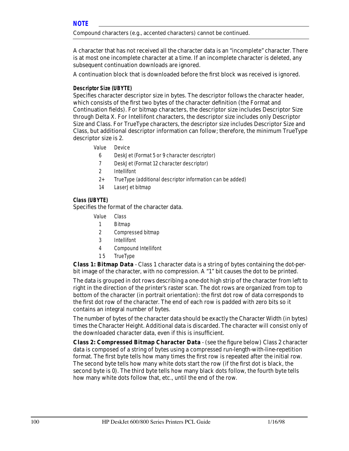Compound characters (e.g., accented characters) cannot be continued.

A character that has not received all the character data is an "incomplete" character. There is at most one incomplete character at a time. If an incomplete character is deleted, any subsequent continuation downloads are ignored.

A continuation block that is downloaded before the first block was received is ignored.

## **Descriptor Size (UBYTE)**

Specifies character descriptor size in bytes. The descriptor follows the character header, which consists of the first two bytes of the character definition (the Format and Continuation fields). For bitmap characters, the descriptor size includes Descriptor Size through Delta X. For Intellifont characters, the descriptor size includes only Descriptor Size and Class. For TrueType characters, the descriptor size includes Descriptor Size and Class, but additional descriptor information can follow; therefore, the minimum TrueType descriptor size is 2.

- Value Device
	- 6 DeskJet (Format 5 or 9 character descriptor)
	- 7 DeskJet (Format 12 character descriptor)
	- 2 Intellifont
	- 2+ TrueType (additional descriptor information can be added)
	- 14 LaserJet bitmap

# **Class (UBYTE)**

Specifies the format of the character data.

- Value Class
	- 1 Bitmap
	- 2 Compressed bitmap
	- 3 Intellifont
	- 4 Compound Intellifont
	- 1 5 TrueType

**Class 1: Bitmap Data** - Class 1 character data is a string of bytes containing the dot-perbit image of the character, with no compression. A "1" bit causes the dot to be printed.

The data is grouped in dot rows describing a one-dot high strip of the character from left to right in the direction of the printer's raster scan. The dot rows are organized from top to bottom of the character (in portrait orientation): the first dot row of data corresponds to the first dot row of the character. The end of each row is padded with zero bits so it contains an integral number of bytes.

The number of bytes of the character data should be exactly the Character Width (in bytes) times the Character Height. Additional data is discarded. The character will consist only of the downloaded character data, even if this is insufficient.

**Class 2: Compressed Bitmap Character Data** - (see the figure below) Class 2 character data is composed of a string of bytes using a compressed run-length-with-line-repetition format. The first byte tells how many times the first row is repeated after the initial row. The second byte tells how many white dots start the row (if the first dot is black, the second byte is 0). The third byte tells how many black dots follow, the fourth byte tells how many white dots follow that, etc., until the end of the row.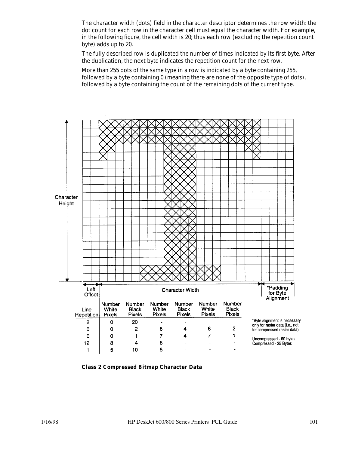The character width (dots) field in the character descriptor determines the row width: the dot count for each row in the character cell must equal the character width. For example, in the following figure, the cell width is 20; thus each row (excluding the repetition count byte) adds up to 20.

The fully described row is duplicated the number of times indicated by its first byte. After the duplication, the next byte indicates the repetition count for the next row.

More than 255 dots of the same type in a row is indicated by a byte containing 255, followed by a byte containing 0 (meaning there are none of the opposite type of dots), followed by a byte containing the count of the remaining dots of the current type.



**Class 2 Compressed Bitmap Character Data**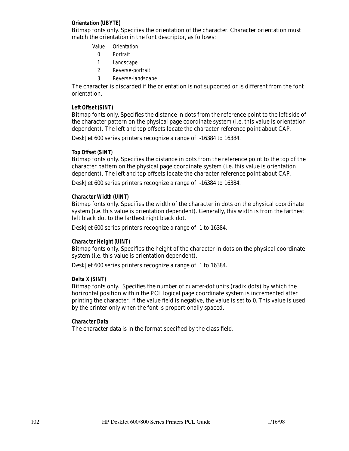## **Orientation (UBYTE)**

Bitmap fonts only. Specifies the orientation of the character. Character orientation must match the orientation in the font descriptor, as follows:

- Value Orientation
	- 0 Portrait
	- 1 Landscape
- 2 Reverse-portrait
- 3 Reverse-landscape

The character is discarded if the orientation is not supported or is different from the font orientation.

# **Left Offset (SINT)**

Bitmap fonts only. Specifies the distance in dots from the reference point to the left side of the character pattern on the physical page coordinate system (i.e. this value is orientation dependent). The left and top offsets locate the character reference point about CAP.

DeskJet 600 series printers recognize a range of -16384 to 16384.

# **Top Offset (SINT)**

Bitmap fonts only. Specifies the distance in dots from the reference point to the top of the character pattern on the physical page coordinate system (i.e. this value is orientation dependent). The left and top offsets locate the character reference point about CAP.

DeskJet 600 series printers recognize a range of -16384 to 16384.

## **Character Width (UINT)**

Bitmap fonts only. Specifies the width of the character in dots on the physical coordinate system (i.e. this value is orientation dependent). Generally, this width is from the farthest left black dot to the farthest right black dot.

DeskJet 600 series printers recognize a range of 1 to 16384.

## **Character Height (UINT)**

Bitmap fonts only. Specifies the height of the character in dots on the physical coordinate system (i.e. this value is orientation dependent).

DeskJet 600 series printers recognize a range of 1 to 16384.

## **Delta X (SINT)**

Bitmap fonts only. Specifies the number of quarter-dot units (radix dots) by which the horizontal position within the PCL logical page coordinate system is incremented after printing the character. If the value field is negative, the value is set to 0. This value is used by the printer only when the font is proportionally spaced.

## **Character Data**

The character data is in the format specified by the class field.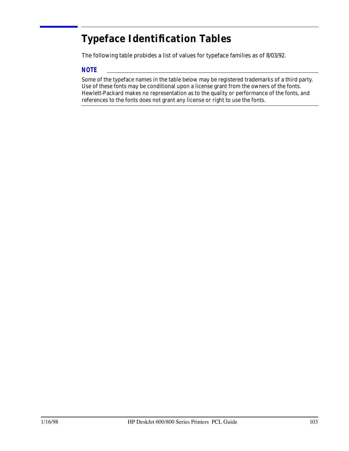# **Typeface Identification Tables**

The following table probides a list of values for typeface families as of 8/03/92.

# *NOTE*

Some of the typeface names in the table below may be registered trademarks of a third party. Use of these fonts may be conditional upon a license grant from the owners of the fonts. Hewlett-Packard makes no representation as to the quality or performance of the fonts, and references to the fonts does not grant any license or right to use the fonts.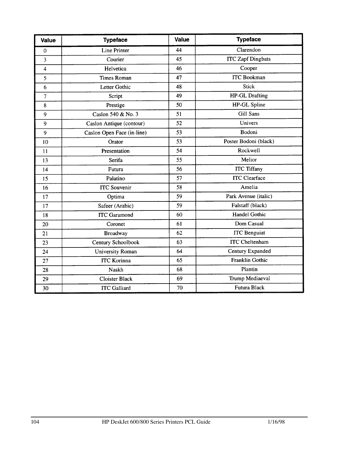| <b>Value</b>            | <b>Typeface</b>            | Value | <b>Typeface</b>          |
|-------------------------|----------------------------|-------|--------------------------|
| $\overline{0}$          | Line Printer               | 44    | Clarendon                |
| $\overline{\mathbf{3}}$ | Courier                    | 45    | <b>ITC</b> Zapf Dingbats |
| $\overline{\mathbf{4}}$ | Helvetica                  | 46    | Cooper                   |
| 5                       | <b>Times Roman</b>         | 47    | <b>ITC</b> Bookman       |
| 6                       | Letter Gothic              | 48    | <b>Stick</b>             |
| 7                       | Script                     | 49    | <b>HP-GL Drafting</b>    |
| $\bf 8$                 | Prestige                   | 50    | HP-GL Spline             |
| 9                       | Caslon 540 & No. 3         | 51    | Gill Sans                |
| 9                       | Caslon Antique (contour)   | 52    | Univers                  |
| 9                       | Caslon Open Face (in-line) | 53    | Bodoni                   |
| 10                      | Orator                     | 53    | Poster Bodoni (black)    |
| 11                      | Presentation               | 54    | Rockwell                 |
| 13                      | Serifa                     | 55    | Melior                   |
| 14                      | Futura                     | 56    | <b>ITC Tiffany</b>       |
| 15                      | Palatino                   | 57    | <b>ITC</b> Clearface     |
| 16                      | <b>ITC</b> Souvenir        | 58    | Amelia                   |
| 17                      | Optima                     | 59    | Park Avenue (italic)     |
| 17                      | Safeer (Arabic)            | 59    | Falstaff (black)         |
| 18                      | <b>ITC</b> Garamond        | 60    | <b>Handel Gothic</b>     |
| 20                      | Coronet                    | 61    | Dom Casual               |
| 21                      | <b>Broadway</b>            | 62    | <b>ITC</b> Benguiat      |
| 23                      | Century Schoolbook         | 63    | <b>ITC</b> Cheltenham    |
| 24                      | University Roman           | 64    | Century Expanded         |
| 27                      | <b>ITC Korinna</b>         | 65    | <b>Franklin Gothic</b>   |
| 28                      | Naskh                      | 68    | Plantin                  |
| 29                      | <b>Cloister Black</b>      | 69    | Trump Mediaeval          |
| 30                      | <b>ITC</b> Galliard        | 70    | <b>Futura Black</b>      |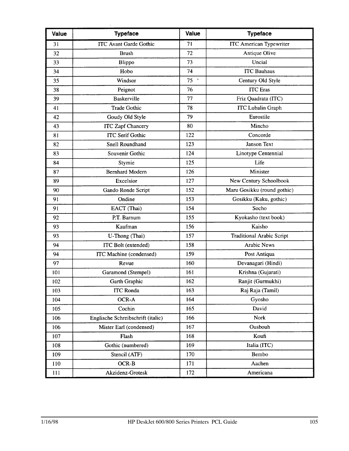| Value | <b>Typeface</b>                   | Value          | <b>Typeface</b>                  |
|-------|-----------------------------------|----------------|----------------------------------|
| 31    | <b>ITC Avant Garde Gothic</b>     | 71             | <b>ITC American Typewriter</b>   |
| 32    | <b>Brush</b>                      | 72             | Antique Olive                    |
| 33    | Blippo                            | 73             | Uncial                           |
| 34    | Hobo                              | 74             | <b>ITC Bauhaus</b>               |
| 35    | Windsor                           | $75$ $\degree$ | Century Old Style                |
| 38    | Peignot                           | 76             | <b>ITC</b> Eras                  |
| 39    | <b>Baskerville</b>                | 77             | Friz Quadrata (ITC)              |
| 41    | <b>Trade Gothic</b>               | 78             | <b>ITC Lubalin Graph</b>         |
| 42    | Goudy Old Style                   | 79             | Eurostile                        |
| 43    | <b>ITC Zapf Chancery</b>          | 80             | Mincho                           |
| 81    | <b>ITC Serif Gothic</b>           | 122            | Concorde                         |
| 82    | Snell Roundhand                   | 123            | Janson Text                      |
| 83    | Souvenir Gothic                   | 124            | Linotype Centennial              |
| 84    | Stymie                            | 125            | Life                             |
| 87    | <b>Bernhard Modern</b>            | 126            | Minister                         |
| 89    | Excelsior                         | 127            | New Century Schoolbook           |
| 90    | Gando Ronde Script                | 152            | Maru Gosikku (round gothic)      |
| 91    | Ondine                            | 153            | Gosikku (Kaku, gothic)           |
| 91    | EACT (Thai)                       | 154            | Socho                            |
| 92    | P.T. Barnum                       | 155            | Kyokasho (text book)             |
| 93    | Kaufman                           | 156            | Kaisho                           |
| 93    | U-Thong (Thai)                    | 157            | <b>Traditional Arabic Script</b> |
| 94    | ITC Bolt (extended)               | 158            | <b>Arabic News</b>               |
| 94    | ITC Machine (condensed)           | 159            | Post Antiqua                     |
| 97    | Revue                             | 160            | Devanagari (Hindi)               |
| 101   | Garamond (Stempel)                | 161            | Krishna (Gujarati)               |
| 102   | Garth Graphic                     | 162            | Ranjit (Gurmukhi)                |
| 103   | <b>ITC Ronda</b>                  | 163            | Raj Raja (Tamil)                 |
| 104   | OCR-A                             | 164            | Gyosho                           |
| 105   | Cochin                            | 165            | David                            |
| 106   | Englische Schreibschrift (italic) | 166            | Nork                             |
| 106   | Mister Earl (condensed)           | 167            | Ousbouh                          |
| 107   | Flash                             | 168            | Koufi                            |
| 108   | Gothic (numbered)                 | 169            | Italia (ITC)                     |
| 109   | Stencil (ATF)                     | 170            | Bembo                            |
| 110   | OCR-B                             | 171            | Aachen                           |
| 111   | Akzidenz-Grotesk                  | 172            | Americana                        |

 $\bar{\mathcal{A}}$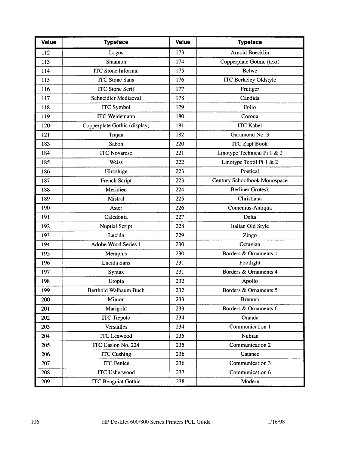| Value | <b>Typeface</b>              | <b>Value</b> | <b>Typeface</b>              |
|-------|------------------------------|--------------|------------------------------|
| 112   | Logos                        | 173          | Arnold Boecklin              |
| 113   | Shannon                      | 174          | Copperplate Gothic (text)    |
| 114   | <b>ITC</b> Stone Informal    | 175          | Belwe                        |
| 115   | <b>ITC</b> Stone Sans        | 176          | <b>ITC Berkeley Oldstyle</b> |
| 116   | <b>ITC</b> Stone Serif       | 177          | Frutiger                     |
| 117   | Schneidler Mediaeval         | 178          | Candida                      |
| 118   | <b>ITC</b> Symbol            | 179          | Folio                        |
| 119   | <b>ITC</b> Weidemann         | 180          | Corona                       |
| 120   | Copperplate Gothic (display) | 181          | <b>ITC Kabel</b>             |
| 121   | Trajan                       | 182          | Garamond No. 3               |
| 183   | Sabon                        | 220          | <b>ITC Zapf Book</b>         |
| 184   | <b>ITC</b> Novarese          | 221          | Linotype Technical Pi 1 & 2  |
| 185   | Weiss                        | 222          | Linotype Textil Pi 1 & 2     |
| 186   | Hiroshige                    | 223          | Poetical                     |
| 187   | French Script                | 223          | Century Schoolbook Monospace |
| 188   | Meridien                     | 224          | <b>Berliner Grotesk</b>      |
| 189   | Mistral                      | 225          | Christiana                   |
| 190   | Aster                        | 226          | Comenius-Antiqua             |
| 191   | Caledonia                    | 227          | Delta                        |
| 192   | <b>Nuptial Script</b>        | 228          | Italian Old Style            |
| 193   | Lucida                       | 229          | Zingo                        |
| 194   | Adobe Wood Series 1          | 230          | Octavian                     |
| 195   | Memphis                      | 230          | Borders & Ornaments 1        |
| 196   | Lucida Sans                  | 231          | Footlight                    |
| 197   | Syntax                       | 231          | Borders & Ornaments 4        |
| 198   | Utopia                       | 232          | Apollo                       |
| 199   | Berthold Walbaum Buch        | 232          | Borders & Ornaments 5        |
| 200   | Minion                       | 233          | <b>Bremen</b>                |
| 201   | Marigold                     | 233          | Borders & Ornaments 6        |
| 202   | <b>ITC</b> Tiepolo           | 234          | Oranda                       |
| 203   | Versailles                   | 234          | Communication 1              |
| 204   | <b>ITC</b> Leawood           | 235          | Nubian                       |
| 205   | ITC Caslon No. 224           | 235          | Communication 2              |
| 206   | <b>ITC Cushing</b>           | 236          | Cataneo                      |
| 207   | <b>ITC</b> Fenice            | 236          | Communication 3              |
| 208   | <b>ITC Usherwood</b>         | 237          | Communication 6              |
| 209   | <b>ITC Benguiat Gothic</b>   | 238          | Modern                       |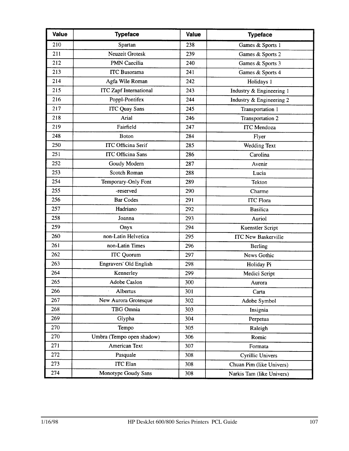| Value | <b>Typeface</b>               | <b>Value</b> | <b>Typeface</b>            |
|-------|-------------------------------|--------------|----------------------------|
| 210   | Spartan                       | 238          | Games & Sports 1           |
| 211   | <b>Neuzeit Grotesk</b>        | 239          | Games & Sports 2           |
| 212   | <b>PMN</b> Caecilia           | 240          | Games & Sports 3           |
| 213   | <b>ITC</b> Busorama           | 241          | Games & Sports 4           |
| 214   | Agfa Wile Roman               | 242          | Holidays 1                 |
| 215   | <b>ITC</b> Zapf International | 243          | Industry & Engineering 1   |
| 216   | Poppl-Pontifex                | 244          | Industry & Engineering 2   |
| 217   | <b>ITC Quay Sans</b>          | 245          | Transportation 1           |
| 218   | Arial                         | 246          | Transportation 2           |
| 219   | Fairfield                     | 247          | <b>ITC</b> Mendoza         |
| 248   | <b>Boton</b>                  | 284          | Flyer                      |
| 250   | <b>ITC Officina Serif</b>     | 285          | Wedding Text               |
| 251   | <b>ITC Officina Sans</b>      | 286          | Carolina                   |
| 252   | Goudy Modern                  | 287          | Avenir                     |
| 253   | Scotch Roman                  | 288          | Lucia                      |
| 254   | Temporary-Only Font           | 289          | Tekton                     |
| 255   | -reserved                     | 290          | Charme                     |
| 256   | <b>Bar Codes</b>              | 291          | <b>ITC Flora</b>           |
| 257   | Hadriano                      | 292          | <b>Basilica</b>            |
| 258   | Joanna                        | 293          | Auriol                     |
| 259   | Onyx                          | 294          | Kuenstler Script           |
| 260   | non-Latin Helvetica           | 295          | <b>ITC New Baskerville</b> |
| 261   | non-Latin Times               | 296          | <b>Berling</b>             |
| 262   | <b>ITC</b> Quorum             | 297          | News Gothic                |
| 263   | Engravers' Old English        | 298          | Holiday Pi                 |
| 264   | Kennerley                     | 299          | Medici Script              |
| 265   | Adobe Caslon                  | 300          | Aurora                     |
| 266   | Albertus                      | 301          | Carta                      |
| 267   | New Aurora Grotesque          | 302          | Adobe Symbol               |
| 268   | TBG Omnia                     | 303          | Insignia                   |
| 269   | Glypha                        | 304          | Perpetua                   |
| 270   | Tempo                         | 305          | Raleigh                    |
| 270   | Umbra (Tempo open shadow)     | 306          | Romic                      |
| 271   | American Text                 | 307          | Formata                    |
| 272   | Pasquale                      | 308          | <b>Cyrillic Univers</b>    |
| 273   | <b>ITC</b> Elan               | 308          | Chuan Pim (like Univers)   |
| 274   | Monotype Goudy Sans           | 308          | Narkis Tam (like Univers)  |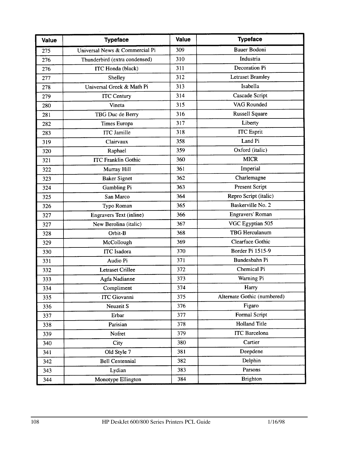| <b>Value</b> | <b>Typeface</b>                | Value | <b>Typeface</b>             |
|--------------|--------------------------------|-------|-----------------------------|
| 275          | Universal News & Commercial Pi | 309   | Bauer Bodoni                |
| 276          | Thunderbird (extra condensed)  | 310   | Industria                   |
| 276          | <b>ITC</b> Honda (black)       | 311   | Decoration Pi               |
| 277          | Shelley                        | 312   | <b>Letraset Bramley</b>     |
| 278          | Universal Greek & Math Pi      | 313   | Isabella                    |
| 279          | <b>ITC Century</b>             | 314   | Cascade Script              |
| 280          | Vineta                         | 315   | VAG Rounded                 |
| 281          | TBG Duc de Berry               | 316   | <b>Russell Square</b>       |
| 282          | Times Europa                   | 317   | Liberty                     |
| 283          | <b>ITC</b> Jamille             | 318   | <b>ITC</b> Esprit           |
| 319          | Clairvaux                      | 358   | Land Pi                     |
| 320          | Raphael                        | 359   | Oxford (italic)             |
| 321          | <b>ITC Franklin Gothic</b>     | 360   | <b>MICR</b>                 |
| 322          | Murray Hill                    | 361   | Imperial                    |
| 323          | <b>Baker Signet</b>            | 362   | Charlemagne                 |
| 324          | Gambling Pi                    | 363   | Present Script              |
| 325          | San Marco                      | 364   | Repro Script (italic)       |
| 326          | Typo Roman                     | 365   | Baskerville No. 2           |
| 327          | Engravers Text (inline)        | 366   | Engravers' Roman            |
| 327          | New Berolina (italic)          | 367   | VGC Egyptian 505            |
| 328          | Orbit-B                        | 368   | <b>TBG</b> Herculanum       |
| 329          | McCollough                     | 369   | Clearface Gothic            |
| 330          | <b>ITC</b> Isadora             | 370   | Border Pi 1515-9            |
| 331          | Audio Pi                       | 371   | Bundesbahn Pi               |
| 332          | <b>Letraset Crillee</b>        | 372   | Chemical Pi                 |
| 333          | Agfa Nadianne                  | 373   | Warning Pi                  |
| 334          | Compliment                     | 374   | Harry                       |
| 335          | ITC Giovanni                   | 375   | Alternate Gothic (numbered) |
| 336          | Neuzeit S                      | 376   | Figaro                      |
| 337          | Erbar                          | 377   | Formal Script               |
| 338          | Parisian                       | 378   | <b>Holland Title</b>        |
| 339          | Nofret                         | 379   | <b>ITC</b> Barcelona        |
| 340          | City                           | 380   | Cartier                     |
| 341          | Old Style 7                    | 381   | Deepdene                    |
| 342          | <b>Bell Centennial</b>         | 382   | Delphin                     |
| 343          | Lydian                         | 383   | Parsons                     |
| 344          | Monotype Ellington             | 384   | <b>Brighton</b>             |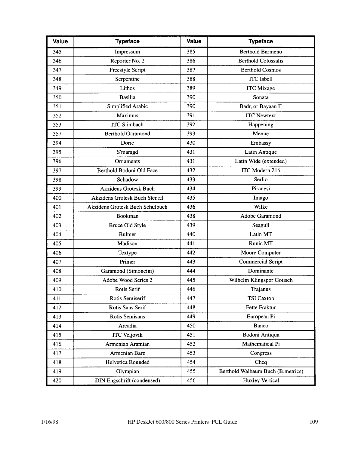| Value | <b>Typeface</b>                 | <b>Value</b> | <b>Typeface</b>                   |
|-------|---------------------------------|--------------|-----------------------------------|
| 345   | Impressum                       | 385          | <b>Berthold Barmeno</b>           |
| 346   | Reporter No. 2                  | 386          | <b>Berthold Colossalis</b>        |
| 347   | <b>Freestyle Script</b>         | 387          | <b>Berthold Cosmos</b>            |
| 348   | Serpentine                      | 388          | <b>ITC</b> Isbell                 |
| 349   | Lithos                          | 389          | <b>ITC</b> Mixage                 |
| 350   | <b>Basilia</b>                  | 390          | Sonata                            |
| 351   | Simplified Arabic               | 390          | Badr, or Bayaan II                |
| 352   | Maximus                         | 391          | <b>ITC Newtext</b>                |
| 353   | <b>ITC Slimbach</b>             | 392          | Happening                         |
| 357   | <b>Berthold Garamond</b>        | 393          | Menue                             |
| 394   | Doric                           | 430          | Embassy                           |
| 395   | S'maragd                        | 431          | Latin Antique                     |
| 396   | Ornaments                       | 431          | Latin Wide (extended)             |
| 397   | Berthold Bodoni Old Face        | 432          | ITC Modern 216                    |
| 398   | Schadow                         | 433          | Serlio                            |
| 399   | <b>Akzidens Grotesk Buch</b>    | 434          | Piranesi                          |
| 400   | Akzidens Grotesk Buch Stencil   | 435          | Imago                             |
| 401   | Akzidens Grotesk Buch Schulbuch | 436          | Wilke                             |
| 402   | Bookman                         | 438          | Adobe Garamond                    |
| 403   | Bruce Old Style                 | 439          | Seagull                           |
| 404   | <b>Bulmer</b>                   | 440          | Latin MT                          |
| 405   | Madison                         | 441          | Runic MT                          |
| 406   | Textype                         | 442          | Moore Computer                    |
| 407   | Primer                          | 443          | <b>Commercial Script</b>          |
| 408   | Garamond (Simoncini)            | 444          | Dominante                         |
| 409   | Adobe Wood Series 2             | 445          | Wilhelm Klingspor Gotisch         |
| 410   | Rotis Serif                     | 446          | Trajanus                          |
| 411   | Rotis Semiserif                 | 447          | <b>TSI Caxton</b>                 |
| 412   | Rotis Sans Serif                | 448          | Fette Fraktur                     |
| 413   | <b>Rotis Semisans</b>           | 449          | European Pi                       |
| 414   | Arcadia                         | 450          | Banco                             |
| 415   | <b>ITC Veljovik</b>             | 451          | Bodoni Antiqua                    |
| 416   | Armenian Aramian                | 452          | Mathematical Pi                   |
| 417   | <b>Armenian Barz</b>            | 453          | Congress                          |
| 418   | Helvetica Rounded               | 454          | Cheq                              |
| 419   | Olympian                        | 455          | Berthold Walbaum Buch (B.metrics) |
| 420   | DIN Engschrift (condensed)      | 456          | <b>Huxley Vertical</b>            |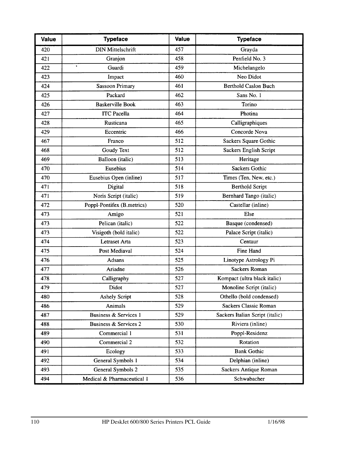| Value | <b>Typeface</b>            | <b>Value</b> | <b>Typeface</b>                 |
|-------|----------------------------|--------------|---------------------------------|
| 420   | <b>DIN Mittelschrift</b>   | 457          | Grayda                          |
| 421   | Granjon                    | 458          | Penfield No. 3                  |
| 422   | $\bullet$<br>Guardi        | 459          | Michelangelo                    |
| 423   | Impact                     | 460          | Neo Didot                       |
| 424   | <b>Sassoon Primary</b>     | 461          | <b>Berthold Caslon Buch</b>     |
| 425   | Packard                    | 462          | Sans No. 1                      |
| 426   | <b>Baskerville Book</b>    | 463          | Torino                          |
| 427   | <b>ITC</b> Pacella         | 464          | Photina                         |
| 428   | Rusticana                  | 465          | Calligraphiques                 |
| 429   | Eccentric                  | 466          | Concorde Nova                   |
| 467   | Franco                     | 512          | Sackers Square Gothic           |
| 468   | Goudy Text                 | 512          | Sackers English Script          |
| 469   | Balloon (italic)           | 513          | Heritage                        |
| 470   | Eusebius                   | 514          | Sackers Gothic                  |
| 470   | Eusebius Open (inline)     | 517          | Times (Ten, New, etc.)          |
| 471   | Digital                    | 518          | <b>Berthold Script</b>          |
| 471   | Noris Script (italic)      | 519          | Bernhard Tango (italic)         |
| 472   | Poppl-Pontifex (B.metrics) | 520          | Castellar (inline)              |
| 473   | Amigo                      | 521          | Else                            |
| 473   | Pelican (italic)           | 522          | Basque (condensed)              |
| 473   | Visigoth (bold italic)     | 522          | Palace Script (italic)          |
| 474   | Letraset Arta              | 523          | Centaur                         |
| 475   | Post Mediaval              | 524          | Fine Hand                       |
| 476   | <b>Adsans</b>              | 525          | Linotype Astrology Pi           |
| 477   | Ariadne                    | 526          | <b>Sackers Roman</b>            |
| 478   | Calligraphy                | 527          | Kompact (ultra black italic)    |
| 479   | Didot                      | 527          | Monoline Script (italic)        |
| 480   | <b>Ashely Script</b>       | 528          | Othello (bold condensed)        |
| 486   | Animals                    | 529          | Sackers Classic Roman           |
| 487   | Business & Services 1      | 529          | Sackers Italian Script (italic) |
| 488   | Business & Services 2      | 530          | Riviera (inline)                |
| 489   | Commercial 1               | 531          | Poppl-Residenz                  |
| 490   | Commercial 2               | 532          | Rotation                        |
| 491   | Ecology                    | 533          | <b>Bank Gothic</b>              |
| 492   | General Symbols 1          | 534          | Delphian (inline)               |
| 493   | General Symbols 2          | 535          | Sackers Antique Roman           |
| 494   | Medical & Pharmaceutical 1 | 536          | Schwabacher                     |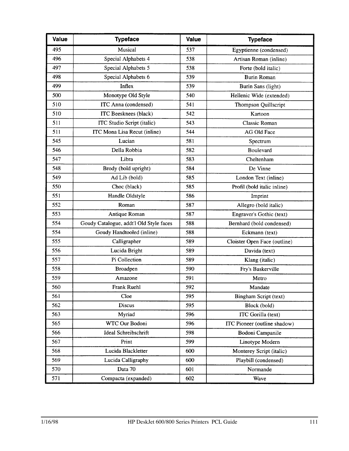| <b>Value</b> | <b>Typeface</b>                         | <b>Value</b> | <b>Typeface</b>              |
|--------------|-----------------------------------------|--------------|------------------------------|
| 495          | Musical                                 | 537          | Egyptienne (condensed)       |
| 496          | Special Alphabets 4                     | 538          | Artisan Roman (inline)       |
| 497          | Special Alphabets 5                     | 538          | Forte (bold italic)          |
| 498          | Special Alphabets 6                     | 539          | <b>Burin Roman</b>           |
| 499          | Inflex                                  | 539          | Burin Sans (light)           |
| 500          | Monotype Old Style                      | 540          | Hellenic Wide (extended)     |
| 510          | ITC Anna (condensed)                    | 541          | Thompson Quillscript         |
| 510          | ITC Beesknees (black)                   | 542          | Kartoon                      |
| 511          | ITC Studio Script (italic)              | 543          | <b>Classic Roman</b>         |
| 511          | ITC Mona Lisa Recut (inline)            | 544          | AG Old Face                  |
| 545          | Lucian                                  | 581          | Spectrum                     |
| 546          | Della Robbia                            | 582          | <b>Boulevard</b>             |
| 547          | Libra                                   | 583          | Cheltenham                   |
| 548          | Brody (bold upright)                    | 584          | De Vinne                     |
| 549          | Ad Lib (bold)                           | 585          | London Text (inline)         |
| 550          | Choc (black)                            | 585          | Profil (bold italic inline)  |
| 551          | Handle Oldstyle                         | 586          | Imprint                      |
| 552          | Roman                                   | 587          | Allegro (bold italic)        |
| 553          | Antique Roman                           | 587          | Engraver's Gothic (text)     |
| 554          | Goudy Catalogue, addt'l Old Style faces | 588          | Bernhard (bold condensed)    |
| 554          | Goudy Handtooled (inline)               | 588          | Eckmann (text)               |
| 555          | Calligrapher                            | 589          | Cloister Open Face (outline) |
| 556          | Lucida Bright                           | 589          | Davida (text)                |
| 557          | Pi Collection                           | 589          | Klang (italic)               |
| 558          | <b>Broadpen</b>                         | 590          | Fry's Baskerville            |
| 559          | Amazone                                 | 591          | Metro                        |
| 560          | Frank Ruehl                             | 592          | Mandate                      |
| 561          | Cloe                                    | 595          | Bingham Script (text)        |
| 562          | Discus                                  | 595          | Block (bold)                 |
| 563          | Myriad                                  | 596          | ITC Gorilla (text)           |
| 565          | WTC Our Bodoni                          | 596          | ITC Pioneer (outline shadow) |
| 566          | Ideal Schreibschrift                    | 598          | Bodoni Campanile             |
| 567          | Print                                   | 599          | Linotype Modern              |
| 568          | Lucida Blackletter                      | 600          | Monterey Script (italic)     |
| 569          | Lucida Calligraphy                      | 600          | Playbill (condensed)         |
| 570          | Data 70                                 | 601          | Normande                     |
| 571          | Compacta (expanded)                     | 602          | Wave                         |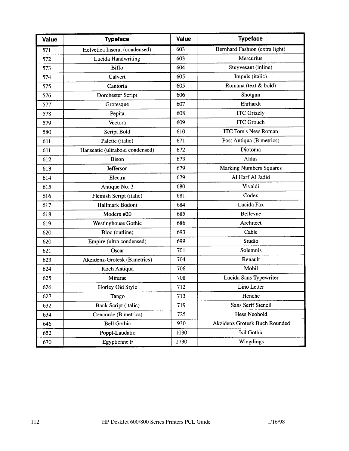| Value | <b>Typeface</b>                 | <b>Value</b> | <b>Typeface</b>                      |
|-------|---------------------------------|--------------|--------------------------------------|
| 571   | Helvetica Inserat (condensed)   | 603          | Bernhard Fashion (extra light)       |
| 572   | Lucida Handwriting              | 603          | Mercurius                            |
| 573   | <b>Biffo</b>                    | 604          | Stuyvesant (inline)                  |
| 574   | Calvert                         | 605          | Impuls (italic)                      |
| 575   | Cantoria                        | 605          | Romana (text & bold)                 |
| 576   | Dorchester Script               | 606          | Shotgun                              |
| 577   | Grotesque                       | 607          | Ehrhardt                             |
| 578   | Pepita                          | 608          | <b>ITC Grizzly</b>                   |
| 579   | Vectora                         | 609          | <b>ITC Grouch</b>                    |
| 580   | Script Bold                     | 610          | <b>ITC Tom's New Roman</b>           |
| 611   | Palette (italic)                | 671          | Post Antiqua (B.metrics)             |
| 611   | Hanseatic (ultrabold condensed) | 672          | Diotoma                              |
| 612   | <b>Bison</b>                    | 673          | Aldus                                |
| 613   | Jefferson                       | 679          | <b>Marking Numbers Squares</b>       |
| 614   | Electra                         | 679          | Al Harf Al Jadid                     |
| 615   | Antique No. 3                   | 680          | Vivaldi                              |
| 616   | Flemish Script (italic)         | 681          | Codex                                |
| 617   | Hallmark Bodoni                 | 684          | Lucida Fax                           |
| 618   | Modern #20                      | 685          | Bellevue                             |
| 619   | Westinghouse Gothic             | 686          | Architect                            |
| 620   | Bloc (outline)                  | 693          | Cable                                |
| 620   | Empire (ultra condensed)        | 699          | Studio                               |
| 621   | Oscar                           | 701          | Solemnis                             |
| 623   | Akzidenz-Grotesk (B.metrics)    | 704          | Renault                              |
| 624   | Koch Antiqua                    | 706          | Mobil                                |
| 625   | Mirarae                         | 708          | Lucida Sans Typewriter               |
| 626   | Horley Old Style                | 712          | Lino Letter                          |
| 627   | Tango                           | 713          | Henche                               |
| 632   | Bank Script (italic)            | 719          | Sans Serif Stencil                   |
| 634   | Concorde (B.metrics)            | 725          | Hess Neobold                         |
| 646   | <b>Bell Gothic</b>              | 930          | <b>Akzidenz Grotesk Buch Rounded</b> |
| 652   | Poppl-Laudatio                  | 1030         | Isil Gothic                          |
| 670   | Egyptienne F                    | 2730         | Wingdings                            |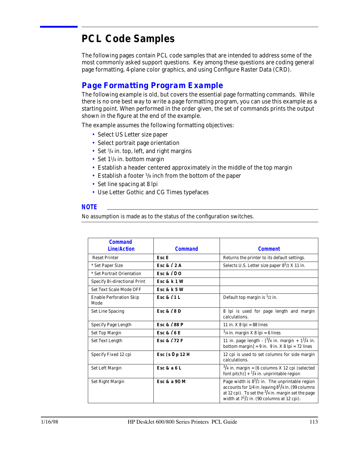# **PCL Code Samples**

The following pages contain PCL code samples that are intended to address some of the most commonly asked support questions. Key among these questions are coding general page formatting, 4-plane color graphics, and using Configure Raster Data (CRD).

# *Page Formatting Program Example*

The following example is old, but covers the essential page formatting commands. While there is no one best way to write a page formatting program, you can use this example as a starting point. When performed in the order given, the set of commands prints the output shown in the figure at the end of the example.

The example assumes the following formatting objectives:

- Select US Letter size paper
- Select portrait page orientation
- Set  $\frac{3}{4}$  in. top, left, and right margins
- Set 1<sup>1</sup>/4 in. bottom margin
- Establish a header centered approximately in the middle of the top margin
- Establish a footer <sup>5</sup>/8 inch from the bottom of the paper
- Set line spacing at 8 lpi
- Use Letter Gothic and CG Times typefaces

# *NOTE*

No assumption is made as to the status of the configuration switches.

| <b>Command</b>                         |                        |                                                                                                                                                                                                                          |
|----------------------------------------|------------------------|--------------------------------------------------------------------------------------------------------------------------------------------------------------------------------------------------------------------------|
| <b>Line/Action</b>                     | <b>Command</b>         | <b>Comment</b>                                                                                                                                                                                                           |
| <b>Reset Printer</b>                   | Esc E                  | Returns the printer to its default settings.                                                                                                                                                                             |
| * Set Paper Size                       | Esc & $\ell$ 2 A       | Selects U.S. Letter size paper $8^{1/2}$ X 11 in.                                                                                                                                                                        |
| * Set Portrait Orientation             | Esc & $\ell$ 0 0       |                                                                                                                                                                                                                          |
| <b>Specify Bi-directional Print</b>    | <b>Esc &amp; k 1 W</b> |                                                                                                                                                                                                                          |
| <b>Set Text Scale Mode OFF</b>         | Esc & k 5 W            |                                                                                                                                                                                                                          |
| <b>Enable Perforation Skip</b><br>Mode | Esc & $\ell$ 1 L       | Default top margin is $\frac{1}{2}$ in.                                                                                                                                                                                  |
| <b>Set Line Spacing</b>                | Esc & $\ell$ 8 D       | 8 lpi is used for page length and margin<br>calculations.                                                                                                                                                                |
| <b>Specify Page Length</b>             | Esc & $\ell$ 88 P      | 11 in. $X$ 8 lpi = 88 lines                                                                                                                                                                                              |
| <b>Set Top Margin</b>                  | Esc & $\ell$ 6 E       | $3/4$ in. margin X 8 lpi = 6 lines                                                                                                                                                                                       |
| Set Text Length                        | Esc & $\ell$ 72 F      | 11 in. page length - $\frac{3}{4}$ in. margin + $1^{1/4}$ in.<br>bottom margin] = $9$ in. $9$ in. $X$ $8$ lpi = $72$ lines                                                                                               |
| Specify Fixed 12 cpi                   | Esc $(s 0 p 12 H)$     | 12 cpi is used to set columns for side margin<br>calculations.                                                                                                                                                           |
| Set Left Margin                        | Esc & a $6L$           | $\frac{3}{4}$ in. margin = [6 columns X 12 cpi (selected<br>font pitch)] + $\frac{1}{4}$ in. unprintable region                                                                                                          |
| Set Right Margin                       | Esc & a 90 M           | Page width is $8^{1/2}$ in. The unprintable region<br>accounts for $1/4$ in. leaving $8^{1/4}$ in. (99 columns<br>at 12 cpi). To set the $3/4$ in. margin set the page<br>width at $7^{1}/2$ in. (90 columns at 12 cpi). |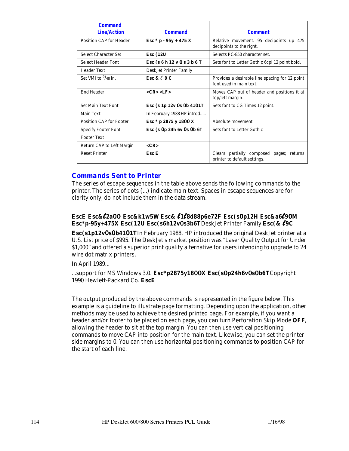| <b>Command</b><br><b>Line/Action</b> | <b>Command</b>              | <b>Comment</b>                                                            |  |  |  |  |  |
|--------------------------------------|-----------------------------|---------------------------------------------------------------------------|--|--|--|--|--|
| <b>Position CAP for Header</b>       | Esc $*$ p - 95y + 475 X     | Relative movement. 95 decipoints up 475<br>decipoints to the right.       |  |  |  |  |  |
| <b>Select Character Set</b>          | <b>Esc</b> (12U             | Selects PC-850 character set.                                             |  |  |  |  |  |
| Select Header Font                   | Esc (s 6 h 12 v 0 s 3 b 6 T | Sets font to Letter Gothic 6cpi 12 point bold.                            |  |  |  |  |  |
| Header Text                          | DeskJet Printer Family      |                                                                           |  |  |  |  |  |
| Set VMI to $\frac{9}{48}$ in.        | Esc & $\ell$ 9 C            | Provides a desirable line spacing for 12 point<br>font used in main text. |  |  |  |  |  |
| <b>End Header</b>                    | $<$ CR $>$ $<$ LF $>$       | Moves CAP out of header and positions it at<br>top/left margin.           |  |  |  |  |  |
| <b>Set Main Text Font</b>            | Esc (s 1p 12v 0s 0b 4101T   | Sets font to CG Times 12 point.                                           |  |  |  |  |  |
| <b>Main Text</b>                     | In February 1988 HP introd  |                                                                           |  |  |  |  |  |
| <b>Position CAP for Footer</b>       | Esc * p 2875 y 1800 X       | Absolute movement                                                         |  |  |  |  |  |
| <b>Specify Footer Font</b>           | Esc $(s$ Op 24h 6v Os Ob 6T | Sets font to Letter Gothic                                                |  |  |  |  |  |
| <b>Footer Text</b>                   |                             |                                                                           |  |  |  |  |  |
| Return CAP to Left Margin            | $<$ CR>                     |                                                                           |  |  |  |  |  |
| <b>Reset Printer</b>                 | Esc E                       | Clears partially composed pages; returns<br>printer to default settings.  |  |  |  |  |  |

# *Commands Sent to Printer*

The series of escape sequences in the table above sends the following commands to the printer. The series of dots (...) indicate main text. Spaces in escape sequences are for clarity only; do not include them in the data stream.

# **EscE Esc&**l**2a**0**O Esc&k1w5W Esc&** l**1**l**8d88p6e72F Esc(s**0**p12H Esc&a6**l**<sup>9</sup>**0**<sup>M</sup> Esc\*p-95y+475X Esc(12U Esc(s6h12v**0**s3b6T**DeskJet Printer Family **Esc(&** l**9C**

**Esc(s1p12v**0**s**0**b41**0**1T**In February 1988, HP introduced the original DeskJet printer at a U.S. List price of \$995. The DeskJet's market position was "Laser Quality Output for Under \$1,000" and offered a superior print quality alternative for users intending to upgrade to 24 wire dot matrix printers.

In April 1989...

...support for MS Windows 3.0. **Esc\*p2875y18**00**X Esc(s**0**p24h6v**0**s**0**b6T**Copyright 1990 Hewlett-Packard Co. **EscE**

The output produced by the above commands is represented in the figure below. This example is a guideline to illustrate page formatting. Depending upon the application, other methods may be used to achieve the desired printed page. For example, if you want a header and/or footer to be placed on each page, you can turn Perforation Skip Mode **OFF**, allowing the header to sit at the top margin. You can then use vertical positioning commands to move CAP into position for the main text. Likewise, you can set the printer side margins to 0. You can then use horizontal positioning commands to position CAP for the start of each line.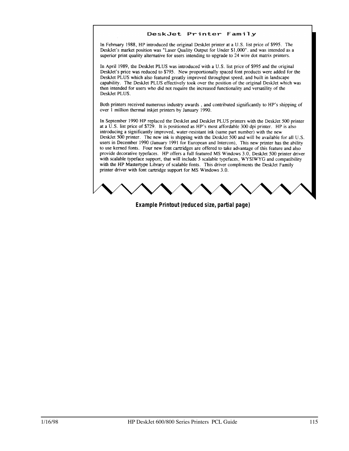#### DeskJet Printer Family

In February 1988, HP introduced the original DeskJet printer at a U.S. list price of \$995. The DeskJet's market position was "Laser Ouality Output for Under \$1,000", and was intended as a superior print quality alternative for users intending to upgrade to 24 wire dot matrix printers.

In April 1989, the DeskJet PLUS was introduced with a U.S. list price of \$995 and the original Desklet's price was reduced to \$795. New proportionally spaced font products were added for the DeskJet PLUS which also featured greatly improved throughput speed, and built in landscape capability. The Desklet PLUS effectively took over the position of the original Desklet which was then intended for users who did not require the increased functionality and versatility of the DeskJet PLUS.

Both printers received numerous industry awards, and contributed significantly to HP's shipping of over 1 million thermal inkiet printers by January 1990.

In September 1990 HP replaced the DeskJet and DeskJet PLUS printers with the DeskJet 500 printer at a U.S. list price of \$729. It is positioned as HP's most affordable 300 dpi printer. HP is also introducing a significantly improved, water-resistant ink (same part number) with the new DeskJet 500 printer. The new ink is shipping with the DeskJet 500 and will be available for all U.S. users in December 1990 (January 1991 for European and Intercon), This new printer has the ability to use kerned fonts. Four new font cartridges are offered to take advantage of this feature and also provide decorative typefaces. HP offers a full featured MS Windows 3.0, DeskJet 500 printer driver with scalable typeface support, that will include 3 scalable typefaces, WYSIWYG and compatibility with the HP Mastertype Library of scalable fonts. This driver compliments the DeskJet Family printer driver with font cartridge support for MS Windows 3.0.

**Example Printout (reduced size, partial page)**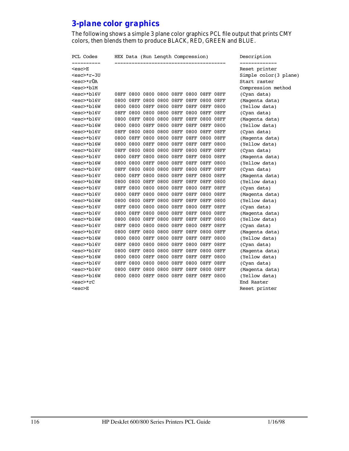# *3-plane color graphics*

The following shows a simple 3 plane color graphics PCL file output that prints CMY colors, then blends them to produce BLACK, RED, GREEN and BLUE.

| PCL Codes        |         |  |                          | HEX Data (Run Length Compression)       |         |                |                 | Description           |
|------------------|---------|--|--------------------------|-----------------------------------------|---------|----------------|-----------------|-----------------------|
| $esc>E$          |         |  |                          |                                         |         |                |                 | Reset printer         |
| <esc>*r-3U</esc> |         |  |                          |                                         |         |                |                 | Simple color(3 plane) |
| <esc>*r0A</esc>  |         |  |                          |                                         |         |                |                 | Start raster          |
| <esc>*b1M</esc>  |         |  |                          |                                         |         |                |                 | Compression method    |
| <esc>*b16V</esc> | 08FF    |  |                          | 0800 0800 0800 08FF 0800 08FF 08FF      |         |                |                 | (Cyan data)           |
| <esc>*b16V</esc> |         |  |                          | 0800 08FF 0800 0800 08FF 08FF 0800 08FF |         |                |                 | (Magenta data)        |
| <esc>*b16W</esc> | 0800    |  |                          | 0800 08FF 0800 08FF                     |         | 08FF 08FF 0800 |                 | (Yellow data)         |
| <esc>*b16V</esc> | $08$ FF |  |                          | 0800 0800 0800 08FF 0800 08FF 08FF      |         |                |                 | (Cyan data)           |
| <esc>*b16V</esc> |         |  |                          | 0800 08FF 0800 0800 08FF 08FF           |         | 0800 08FF      |                 | (Magenta data)        |
| <esc>*b16W</esc> |         |  | 0800 0800 08FF 0800 08FF |                                         | $08$ FF | $08$ FF        | 0800            | (Yellow data)         |
| <esc>*b16V</esc> | $08$ FF |  |                          | 0800 0800 0800 08FF 0800 08FF           |         |                | $08\mathrm{FF}$ | (Cyan data)           |
| <esc>*b16V</esc> |         |  |                          | 0800 08FF 0800 0800 08FF 08FF 0800 08FF |         |                |                 | (Magenta data)        |
| <esc>*b16W</esc> |         |  |                          | 0800 0800 08FF 0800 08FF 08FF 08FF 0800 |         |                |                 | (Yellow data)         |
| <esc>*b16V</esc> | 08FF    |  |                          | 0800 0800 0800 08FF 0800 08FF           |         |                | $08\mathrm{FF}$ | (Cyan data)           |
| <esc>*b16V</esc> |         |  |                          | 0800 08FF 0800 0800 08FF 08FF 0800 08FF |         |                |                 | (Magenta data)        |
| <esc>*b16W</esc> |         |  |                          | 0800 0800 08FF 0800 08FF 08FF 08FF 0800 |         |                |                 | (Yellow data)         |
| <esc>*b16V</esc> | 08FF    |  |                          | 0800 0800 0800 08FF 0800 08FF 08FF      |         |                |                 | (Cyan data)           |
| <esc>*b16V</esc> |         |  |                          | 0800 08FF 0800 0800 08FF 08FF 0800 08FF |         |                |                 | (Magenta data)        |
| <esc>*b16W</esc> |         |  |                          | 0800 0800 08FF 0800 08FF 08FF 08FF 0800 |         |                |                 | (Yellow data)         |
| <esc>*b16V</esc> | 08FF    |  |                          | 0800 0800 0800 08FF 0800 08FF           |         |                | $08\mathrm{FF}$ | (Cyan data)           |
| <esc>*b16V</esc> | 0800    |  |                          | 08FF 0800 0800 08FF 08FF 0800 08FF      |         |                |                 | (Magenta data)        |
| <esc>*b16W</esc> | 0800    |  |                          | 0800 08FF 0800 08FF 08FF 08FF           |         |                | 0800            | (Yellow data)         |
| <esc>*b16V</esc> | $08$ FF |  |                          | 0800 0800 0800 08FF 0800 08FF           |         |                | $08\mathrm{FF}$ | (Cyan data)           |
| <esc>*b16V</esc> | 0800    |  |                          | 08FF 0800 0800 08FF 08FF 0800 08FF      |         |                |                 | (Magenta data)        |
| <esc>*b16W</esc> | 0800    |  |                          | 0800 08FF 0800 08FF 08FF 08FF           |         |                | 0800            | (Yellow data)         |
| <esc>*b16V</esc> | 08FF    |  |                          | 0800 0800 0800 08FF 0800 08FF 08FF      |         |                |                 | (Cyan data)           |
| <esc>*b16V</esc> | 0800    |  |                          | 08FF 0800 0800 08FF 08FF 0800 08FF      |         |                |                 | (Magenta data)        |
| <esc>*b16W</esc> | 0800    |  |                          | 0800 08FF 0800 08FF 08FF                |         | 08FF           | 0800            | (Yellow data)         |
| <esc>*b16V</esc> | 08FF    |  |                          | 0800 0800 0800 08FF 0800 08FF 08FF      |         |                |                 | (Cyan data)           |
| <esc>*b16V</esc> |         |  |                          | 0800 08FF 0800 0800 08FF 08FF 0800 08FF |         |                |                 | (Magenta data)        |
| <esc>*b16W</esc> |         |  |                          | 0800 0800 08FF 0800 08FF 08FF 08FF 0800 |         |                |                 | (Yellow data)         |
| <esc>*b16V</esc> |         |  |                          |                                         |         |                |                 | (Cyan data)           |
| <esc>*b16V</esc> |         |  |                          | 0800 08FF 0800 0800 08FF 08FF 0800 08FF |         |                |                 | (Magenta data)        |
| <esc>*b16W</esc> |         |  |                          | 0800 0800 08FF 0800 08FF 08FF 08FF 0800 |         |                |                 | (Yellow data)         |
| <esc>*rC</esc>   |         |  |                          |                                         |         |                |                 | End Raster            |
| <esc>E</esc>     |         |  |                          |                                         |         |                |                 | Reset printer         |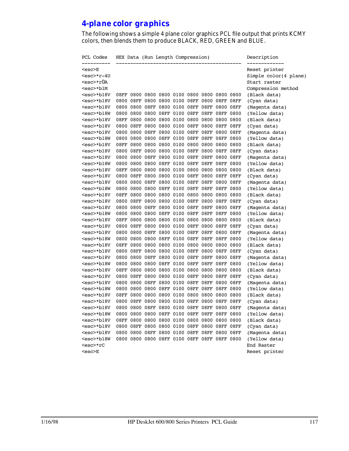# *4-plane color graphics*

The following shows a simple 4 plane color graphics PCL file output that prints KCMY colors, then blends them to produce BLACK, RED, GREEN and BLUE.

| PCL Codes        | HEX Data (Run Length Compression) |  |  |                                              |  |  |  |  | Description |                         |
|------------------|-----------------------------------|--|--|----------------------------------------------|--|--|--|--|-------------|-------------------------|
| <esc>E</esc>     |                                   |  |  |                                              |  |  |  |  |             | Reset printer           |
| <esc>*r-4U</esc> |                                   |  |  |                                              |  |  |  |  |             | Simple $color(4$ plane) |
| <esc>*r0A</esc>  |                                   |  |  |                                              |  |  |  |  |             | Start raster            |
| <esc>*b1M</esc>  |                                   |  |  |                                              |  |  |  |  |             | Compression method      |
| <esc>*b18V</esc> |                                   |  |  |                                              |  |  |  |  |             | (Black data)            |
| <esc>*b18V</esc> |                                   |  |  |                                              |  |  |  |  |             | (Cyan data)             |
| <esc>*b18V</esc> |                                   |  |  | 0800 0800 08FF 0800 0100 08FF 08FF 0800 08FF |  |  |  |  |             | (Magenta data)          |
| <esc>*b18W</esc> |                                   |  |  |                                              |  |  |  |  |             | (Yellow data)           |
| <esc>*b18V</esc> |                                   |  |  |                                              |  |  |  |  |             | (Black data)            |
| <esc>*b18V</esc> |                                   |  |  |                                              |  |  |  |  |             | (Cyan data)             |
| <esc>*b18V</esc> |                                   |  |  | 0800 0800 08FF 0800 0100 08FF 08FF 0800 08FF |  |  |  |  |             | (Magenta data)          |
| <esc>*b18W</esc> |                                   |  |  |                                              |  |  |  |  |             | (Yellow data)           |
| <esc>*b18V</esc> |                                   |  |  |                                              |  |  |  |  |             | (Black data)            |
| <esc>*b18V</esc> |                                   |  |  |                                              |  |  |  |  |             | (Cyan data)             |
| <esc>*b18V</esc> |                                   |  |  | 0800 0800 08FF 0800 0100 08FF 08FF 0800 08FF |  |  |  |  |             | (Magenta data)          |
| <esc>*b18W</esc> |                                   |  |  |                                              |  |  |  |  |             | (Yellow data)           |
| <esc>*b18V</esc> |                                   |  |  |                                              |  |  |  |  |             | (Black data)            |
| <esc>*b18V</esc> |                                   |  |  |                                              |  |  |  |  |             | (Cyan data)             |
| <esc>*b18V</esc> |                                   |  |  | 0800 0800 08FF 0800 0100 08FF 08FF 0800 08FF |  |  |  |  |             | (Magenta data)          |
| <esc>*b18W</esc> |                                   |  |  |                                              |  |  |  |  |             | (Yellow data)           |
| <esc>*b18V</esc> |                                   |  |  |                                              |  |  |  |  |             | (Black data)            |
| <esc>*b18V</esc> |                                   |  |  |                                              |  |  |  |  |             | (Cyan data)             |
| <esc>*b18V</esc> |                                   |  |  | 0800 0800 08FF 0800 0100 08FF 08FF 0800 08FF |  |  |  |  |             | (Magenta data)          |
| <esc>*b18W</esc> |                                   |  |  |                                              |  |  |  |  |             | (Yellow data)           |
| <esc>*b18V</esc> |                                   |  |  |                                              |  |  |  |  |             | (Black data)            |
| <esc>*b18V</esc> | 0800                              |  |  | 08FF 0800 0800 0100 08FF 0800 08FF 08FF      |  |  |  |  |             | (Cyan data)             |
| <esc>*b18V</esc> |                                   |  |  | 0800 0800 08FF 0800 0100 08FF 08FF 0800 08FF |  |  |  |  |             | (Magenta data)          |
| <esc>*b18W</esc> |                                   |  |  |                                              |  |  |  |  |             | (Yellow data)           |
| <esc>*b18V</esc> |                                   |  |  |                                              |  |  |  |  |             | (Black data)            |
| <esc>*b18V</esc> |                                   |  |  |                                              |  |  |  |  |             | (Cyan data)             |
| <esc>*b18V</esc> |                                   |  |  | 0800 0800 08FF 0800 0100 08FF 08FF 0800 08FF |  |  |  |  |             | (Magenta data)          |
| <esc>*b18W</esc> |                                   |  |  |                                              |  |  |  |  |             | (Yellow data)           |
| <esc>*b18V</esc> |                                   |  |  |                                              |  |  |  |  |             | (Black data)            |
| <esc>*b18V</esc> |                                   |  |  |                                              |  |  |  |  |             | (Cyan data)             |
| <esc>*b18V</esc> |                                   |  |  | 0800 0800 08FF 0800 0100 08FF 08FF 0800 08FF |  |  |  |  |             | (Magenta data)          |
| <esc>*b18W</esc> |                                   |  |  |                                              |  |  |  |  |             | (Yellow data)           |
| <esc>*b18V</esc> |                                   |  |  |                                              |  |  |  |  |             | (Black data)            |
| <esc>*b18V</esc> |                                   |  |  |                                              |  |  |  |  |             | (Cyan data)             |
| <esc>*b18V</esc> |                                   |  |  | 0800 0800 08FF 0800 0100 08FF 08FF 0800 08FF |  |  |  |  |             | (Magenta data)          |
| <esc>*b18W</esc> |                                   |  |  |                                              |  |  |  |  |             | (Yellow data)           |
| <esc>*b18V</esc> |                                   |  |  |                                              |  |  |  |  |             | (Black data)            |
| <esc>*b18V</esc> |                                   |  |  |                                              |  |  |  |  |             | (Cyan data)             |
| <esc>*b18V</esc> |                                   |  |  | 0800 0800 08FF 0800 0100 08FF 08FF 0800 08FF |  |  |  |  |             | (Magenta data)          |
| <esc>*b18W</esc> |                                   |  |  |                                              |  |  |  |  |             | (Yellow data)           |
| <esc>*rC</esc>   |                                   |  |  |                                              |  |  |  |  |             | End Raster              |
| <esc>E</esc>     |                                   |  |  |                                              |  |  |  |  |             | Reset printer           |
|                  |                                   |  |  |                                              |  |  |  |  |             |                         |